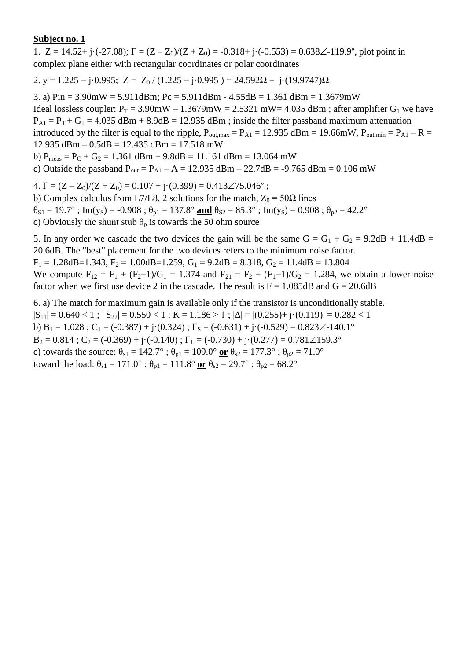1.  $Z = 14.52 + i \cdot (-27.08)$ ;  $\Gamma = (Z - Z_0)/(Z + Z_0) = -0.318 + i \cdot (-0.553) = 0.638 \angle -119.9^{\circ}$ , plot point in complex plane either with rectangular coordinates or polar coordinates

2. y = 1.225 – j·0.995; Z = Z<sub>0</sub> / (1.225 – j·0.995) = 24.592 $\Omega$  + j·(19.9747) $\Omega$ 

3. a) Pin = 3.90mW = 5.911dBm; Pc = 5.911dBm - 4.55dB = 1.361 dBm = 1.3679mW Ideal lossless coupler:  $P_T = 3.90$ mW – 1.3679mW = 2.5321 mW= 4.035 dBm; after amplifier G<sub>1</sub> we have  $P_{A1} = P_T + G_1 = 4.035$  dBm + 8.9dB = 12.935 dBm ; inside the filter passband maximum attenuation introduced by the filter is equal to the ripple,  $P_{\text{out,max}} = P_{\text{A1}} = 12.935$  dBm = 19.66mW,  $P_{\text{out,min}} = P_{\text{A1}} - R =$  $12.935$  dBm  $- 0.5$ dB  $= 12.435$  dBm  $= 17.518$  mW b)  $P_{meas} = P_C + G_2 = 1.361$  dBm + 9.8dB = 11.161 dBm = 13.064 mW

c) Outside the passband  $P_{out} = P_{A1} - A = 12.935$  dBm – 22.7dB = -9.765 dBm = 0.106 mW

4.  $\Gamma = (Z - Z_0)/(Z + Z_0) = 0.107 + j(0.399) = 0.413\angle 75.046^{\circ}$ ;

b) Complex calculus from L7/L8, 2 solutions for the match,  $Z_0 = 50\Omega$  lines  $\theta_{S1} = 19.7^\circ$ ; Im(y<sub>S</sub>) = -0.908;  $\theta_{p1} = 137.8^\circ$  and  $\theta_{S2} = 85.3^\circ$ ; Im(y<sub>S</sub>) = 0.908;  $\theta_{p2} = 42.2^\circ$ c) Obviously the shunt stub  $\theta_p$  is towards the 50 ohm source

5. In any order we cascade the two devices the gain will be the same  $G = G_1 + G_2 = 9.2dB + 11.4dB =$ 20.6dB. The "best" placement for the two devices refers to the minimum noise factor.  $F_1 = 1.28$ dB=1.343,  $F_2 = 1.00$ dB=1.259,  $G_1 = 9.2$ dB = 8.318,  $G_2 = 11.4$ dB = 13.804

We compute  $F_{12} = F_1 + (F_2 - 1)/G_1 = 1.374$  and  $F_{21} = F_2 + (F_1 - 1)/G_2 = 1.284$ , we obtain a lower noise factor when we first use device 2 in the cascade. The result is  $F = 1.085dB$  and  $G = 20.6dB$ 

6. a) The match for maximum gain is available only if the transistor is unconditionally stable.  $|S_{11}| = 0.640 < 1$ ;  $|S_{22}| = 0.550 < 1$ ;  $K = 1.186 > 1$ ;  $|\Delta| = |(0.255) + j(0.119)| = 0.282 < 1$ b) B<sub>1</sub> = 1.028 ; C<sub>1</sub> = (-0.387) + j·(0.324) ;  $\Gamma$ <sub>S</sub> = (-0.631) + j·(-0.529) = 0.823 $\angle$ -140.1°  $B_2 = 0.814$ ;  $C_2 = (-0.369) + i(-0.140)$ ;  $\Gamma_L = (-0.730) + i(0.277) = 0.781 \angle 159.3^\circ$ c) towards the source:  $\theta_{s1} = 142.7^\circ$ ;  $\theta_{p1} = 109.0^\circ$  or  $\theta_{s2} = 177.3^\circ$ ;  $\theta_{p2} = 71.0^\circ$ toward the load:  $\theta_{s1} = 171.0^{\circ}$ ;  $\theta_{p1} = 111.8^{\circ}$  or  $\theta_{s2} = 29.7^{\circ}$ ;  $\theta_{p2} = 68.2^{\circ}$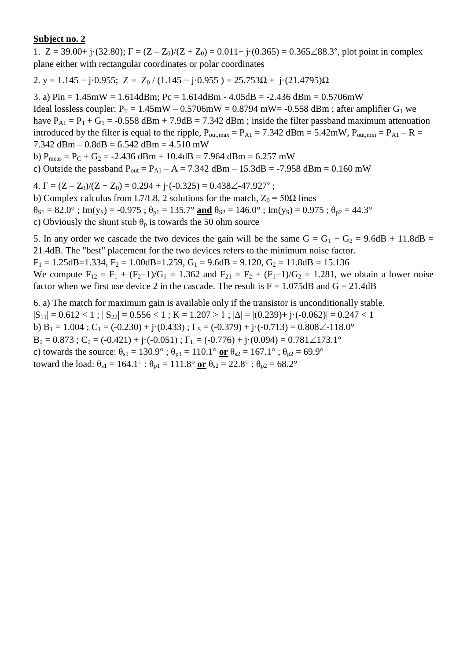1.  $Z = 39.00 + j(32.80); \Gamma = (Z - Z_0)/(Z + Z_0) = 0.011 + j(0.365) = 0.365\angle 88.3^{\circ}$ , plot point in complex plane either with rectangular coordinates or polar coordinates

2. y = 1.145 – j·0.955; Z = Z<sub>0</sub> / (1.145 – j·0.955) = 25.753 $\Omega$  + j·(21.4795) $\Omega$ 

3. a)  $Pin = 1.45mW = 1.614dBm$ ;  $Pc = 1.614dBm - 4.05dB = -2.436dBm = 0.5706mW$ Ideal lossless coupler:  $P_T = 1.45$ mW – 0.5706mW = 0.8794 mW = -0.558 dBm; after amplifier G<sub>1</sub> we have  $P_{A1} = P_T + G_1 = -0.558$  dBm + 7.9dB = 7.342 dBm ; inside the filter passband maximum attenuation introduced by the filter is equal to the ripple,  $P_{\text{out,max}} = P_{A1} = 7.342 \text{ dBm} = 5.42 \text{mW}$ ,  $P_{\text{out,min}} = P_{A1} - R =$ 7.342 dBm –  $0.8$ dB =  $6.542$  dBm =  $4.510$  mW b)  $P_{meas} = P_C + G_2 = -2.436$  dBm + 10.4dB = 7.964 dBm = 6.257 mW

c) Outside the passband  $P_{out} = P_{A1} - A = 7.342$  dBm – 15.3dB = -7.958 dBm = 0.160 mW

4.  $\Gamma = (Z - Z_0)/(Z + Z_0) = 0.294 + i \cdot (-0.325) = 0.438 \angle 47.927^{\circ}$ ;

b) Complex calculus from L7/L8, 2 solutions for the match,  $Z_0 = 50\Omega$  lines  $\theta_{S1} = 82.0^{\circ}$ ; Im(y<sub>S</sub>) = -0.975;  $\theta_{p1} = 135.7^{\circ}$  and  $\theta_{S2} = 146.0^{\circ}$ ; Im(y<sub>S</sub>) = 0.975;  $\theta_{p2} = 44.3^{\circ}$ c) Obviously the shunt stub  $\theta_p$  is towards the 50 ohm source

5. In any order we cascade the two devices the gain will be the same  $G = G_1 + G_2 = 9.6dB + 11.8dB =$ 21.4dB. The "best" placement for the two devices refers to the minimum noise factor.  $F_1 = 1.25dB = 1.334, F_2 = 1.00dB = 1.259, G_1 = 9.6dB = 9.120, G_2 = 11.8dB = 15.136$ 

We compute  $F_{12} = F_1 + (F_2 - 1)/G_1 = 1.362$  and  $F_{21} = F_2 + (F_1 - 1)/G_2 = 1.281$ , we obtain a lower noise factor when we first use device 2 in the cascade. The result is  $F = 1.075dB$  and  $G = 21.4dB$ 

6. a) The match for maximum gain is available only if the transistor is unconditionally stable.  $|S_{11}| = 0.612 < 1$ ;  $|S_{22}| = 0.556 < 1$ ;  $K = 1.207 > 1$ ;  $|\Delta| = |(0.239) + j \cdot (-0.062)| = 0.247 < 1$ b) B<sub>1</sub> = 1.004 ; C<sub>1</sub> = (-0.230) + j·(0.433) ;  $\Gamma$ <sub>S</sub> = (-0.379) + j·(-0.713) = 0.808  $\angle$ -118.0°  $B_2 = 0.873$ ;  $C_2 = (-0.421) + i(-0.051)$ ;  $\Gamma_L = (-0.776) + i(0.094) = 0.781 \angle 173.1^\circ$ c) towards the source:  $\theta_{s1} = 130.9^\circ$ ;  $\theta_{p1} = 110.1^\circ$  or  $\theta_{s2} = 167.1^\circ$ ;  $\theta_{p2} = 69.9^\circ$ toward the load:  $\theta_{s1} = 164.1^\circ$ ;  $\theta_{p1} = 111.8^\circ$  or  $\theta_{s2} = 22.8^\circ$ ;  $\theta_{p2} = 68.2^\circ$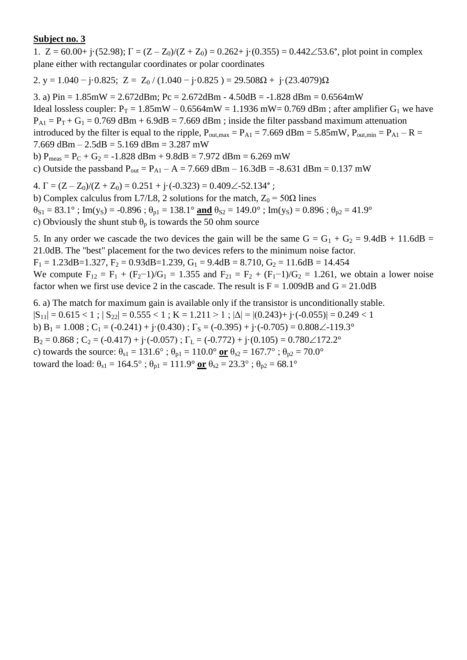1.  $Z = 60.00 + j(52.98)$ ;  $\Gamma = (Z - Z_0)/(Z + Z_0) = 0.262 + j(0.355) = 0.442\angle 53.6^{\circ}$ , plot point in complex plane either with rectangular coordinates or polar coordinates

2. y = 1.040 – j·0.825; Z = Z<sub>0</sub> / (1.040 – j·0.825) = 29.508 $\Omega$  + j·(23.4079) $\Omega$ 

3. a)  $Pin = 1.85mW = 2.672dBm$ ;  $Pc = 2.672dBm - 4.50dB = -1.828dBm = 0.6564mW$ Ideal lossless coupler:  $P_T = 1.85$ mW – 0.6564mW = 1.1936 mW = 0.769 dBm; after amplifier G<sub>1</sub> we have  $P_{A1} = P_T + G_1 = 0.769$  dBm + 6.9dB = 7.669 dBm; inside the filter passband maximum attenuation introduced by the filter is equal to the ripple,  $P_{\text{out,max}} = P_{A1} = 7.669$  dBm = 5.85mW,  $P_{\text{out,min}} = P_{A1} - R =$ 7.669 dBm –  $2.5$ dB =  $5.169$  dBm =  $3.287$  mW b)  $P_{meas} = P_C + G_2 = -1.828$  dBm + 9.8dB = 7.972 dBm = 6.269 mW c) Outside the passband  $P_{out} = P_{A1} - A = 7.669$  dBm – 16.3dB = -8.631 dBm = 0.137 mW

4.  $\Gamma = (Z - Z_0)/(Z + Z_0) = 0.251 + i \cdot (-0.323) = 0.409\angle -52.134$ °;

b) Complex calculus from L7/L8, 2 solutions for the match,  $Z_0 = 50\Omega$  lines  $\theta_{S1} = 83.1^\circ$ ; Im(y<sub>S</sub>) = -0.896;  $\theta_{p1} = 138.1^\circ$  and  $\theta_{S2} = 149.0^\circ$ ; Im(y<sub>S</sub>) = 0.896;  $\theta_{p2} = 41.9^\circ$ c) Obviously the shunt stub  $\theta_p$  is towards the 50 ohm source

5. In any order we cascade the two devices the gain will be the same  $G = G_1 + G_2 = 9.4dB + 11.6dB =$ 21.0dB. The "best" placement for the two devices refers to the minimum noise factor.

 $F_1 = 1.23$ dB=1.327,  $F_2 = 0.93$ dB=1.239,  $G_1 = 9.4$ dB = 8.710,  $G_2 = 11.6$ dB = 14.454

We compute  $F_{12} = F_1 + (F_2 - 1)/G_1 = 1.355$  and  $F_{21} = F_2 + (F_1 - 1)/G_2 = 1.261$ , we obtain a lower noise factor when we first use device 2 in the cascade. The result is  $F = 1.009dB$  and  $G = 21.0dB$ 

6. a) The match for maximum gain is available only if the transistor is unconditionally stable.  $|S_{11}| = 0.615 < 1$ ;  $|S_{22}| = 0.555 < 1$ ;  $K = 1.211 > 1$ ;  $|\Delta| = |(0.243) + j \cdot (-0.055)| = 0.249 < 1$ b)  $B_1 = 1.008$ ;  $C_1 = (-0.241) + j(0.430)$ ;  $\Gamma_s = (-0.395) + j(-0.705) = 0.808\angle -119.3^\circ$  $B_2 = 0.868$ ;  $C_2 = (-0.417) + i(-0.057)$ ;  $\Gamma_L = (-0.772) + i(0.105) = 0.780 \angle 172.2^\circ$ c) towards the source:  $\theta_{s1} = 131.6^\circ$ ;  $\theta_{p1} = 110.0^\circ$  or  $\theta_{s2} = 167.7^\circ$ ;  $\theta_{p2} = 70.0^\circ$ toward the load:  $\theta_{s1} = 164.5^\circ$ ;  $\theta_{p1} = 111.9^\circ$  or  $\theta_{s2} = 23.3^\circ$ ;  $\theta_{p2} = 68.1^\circ$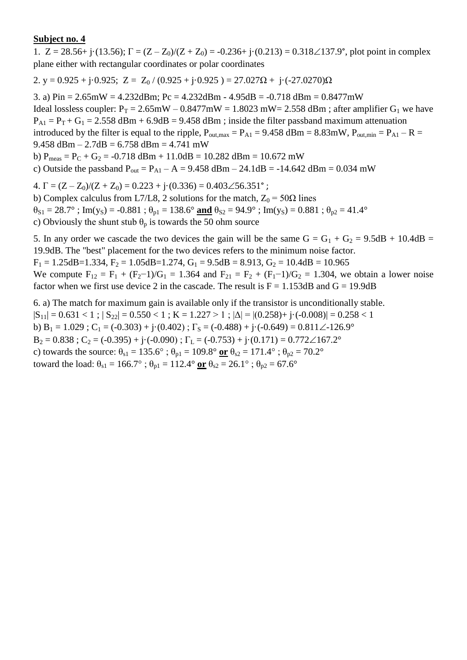1.  $Z = 28.56 + j \cdot (13.56)$ ;  $\Gamma = (Z - Z_0)/(Z + Z_0) = -0.236 + j \cdot (0.213) = 0.318 \angle 137.9^{\circ}$ , plot point in complex plane either with rectangular coordinates or polar coordinates

2. y = 0.925 + j·0.925; Z = Z<sub>0</sub> / (0.925 + j·0.925 ) = 27.027 $\Omega$  + j·(-27.0270) $\Omega$ 

3. a) Pin = 2.65mW = 4.232dBm; Pc = 4.232dBm - 4.95dB = -0.718 dBm = 0.8477mW Ideal lossless coupler:  $P_T = 2.65 \text{mW} - 0.8477 \text{mW} = 1.8023 \text{ mW} = 2.558 \text{ dBm}$ ; after amplifier  $G_1$  we have  $P_{A1} = P_T + G_1 = 2.558$  dBm + 6.9dB = 9.458 dBm; inside the filter passband maximum attenuation introduced by the filter is equal to the ripple,  $P_{\text{out,max}} = P_{A1} = 9.458$  dBm = 8.83mW,  $P_{\text{out,min}} = P_{A1} - R =$ 9.458 dBm  $- 2.7$ dB  $= 6.758$  dBm  $= 4.741$  mW b)  $P_{meas} = P_C + G_2 = -0.718$  dBm + 11.0dB = 10.282 dBm = 10.672 mW c) Outside the passband  $P_{out} = P_{A1} - A = 9.458$  dBm  $- 24.1$ dB = -14.642 dBm = 0.034 mW

4.  $\Gamma = (Z - Z_0)/(Z + Z_0) = 0.223 + j(0.336) = 0.403\angle 56.351^{\circ}$ ;

b) Complex calculus from L7/L8, 2 solutions for the match,  $Z_0 = 50\Omega$  lines  $\theta_{S1} = 28.7^\circ$ ; Im(y<sub>S</sub>) = -0.881;  $\theta_{p1} = 138.6^\circ$  and  $\theta_{S2} = 94.9^\circ$ ; Im(y<sub>S</sub>) = 0.881;  $\theta_{p2} = 41.4^\circ$ c) Obviously the shunt stub  $\theta_p$  is towards the 50 ohm source

5. In any order we cascade the two devices the gain will be the same  $G = G_1 + G_2 = 9.5dB + 10.4dB =$ 19.9dB. The "best" placement for the two devices refers to the minimum noise factor.  $F_1 = 1.25$ dB=1.334,  $F_2 = 1.05$ dB=1.274,  $G_1 = 9.5$ dB = 8.913,  $G_2 = 10.4$ dB = 10.965

We compute  $F_{12} = F_1 + (F_2 - 1)/G_1 = 1.364$  and  $F_{21} = F_2 + (F_1 - 1)/G_2 = 1.304$ , we obtain a lower noise factor when we first use device 2 in the cascade. The result is  $F = 1.153dB$  and  $G = 19.9dB$ 

6. a) The match for maximum gain is available only if the transistor is unconditionally stable.  $|S_{11}| = 0.631 < 1$ ;  $|S_{22}| = 0.550 < 1$ ;  $K = 1.227 > 1$ ;  $|\Delta| = |(0.258) + j \cdot (-0.008)| = 0.258 < 1$ b)  $B_1 = 1.029$ ;  $C_1 = (-0.303) + (-0.402)$ ;  $\Gamma_s = (-0.488) + (-0.649) = 0.811 \angle 126.9^\circ$  $B_2 = 0.838$ ;  $C_2 = (-0.395) + i(-0.090)$ ;  $\Gamma_L = (-0.753) + i(0.171) = 0.772 \angle 167.2^\circ$ c) towards the source:  $\theta_{s1} = 135.6^\circ$ ;  $\theta_{p1} = 109.8^\circ$  or  $\theta_{s2} = 171.4^\circ$ ;  $\theta_{p2} = 70.2^\circ$ toward the load:  $\theta_{s1} = 166.7^\circ$ ;  $\theta_{p1} = 112.4^\circ$  or  $\theta_{s2} = 26.1^\circ$ ;  $\theta_{p2} = 67.6^\circ$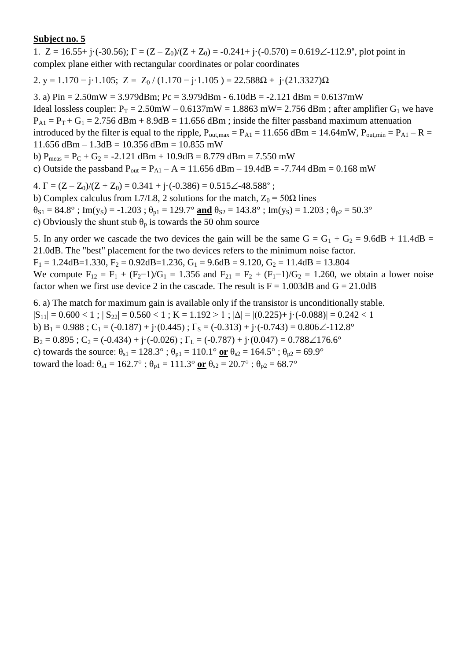1.  $Z = 16.55 + i \cdot (-30.56)$ ;  $\Gamma = (Z - Z_0)/(Z + Z_0) = -0.241 + i \cdot (-0.570) = 0.619\angle -112.9^\circ$ , plot point in complex plane either with rectangular coordinates or polar coordinates

2. y = 1.170 – j·1.105; Z = Z<sub>0</sub> / (1.170 – j·1.105) = 22.588 $\Omega$  + j·(21.3327) $\Omega$ 

3. a) Pin = 2.50mW = 3.979dBm; Pc = 3.979dBm - 6.10dB = -2.121 dBm = 0.6137mW Ideal lossless coupler:  $P_T = 2.50$ mW – 0.6137mW = 1.8863 mW = 2.756 dBm; after amplifier G<sub>1</sub> we have  $P_{A1} = P_T + G_1 = 2.756$  dBm + 8.9dB = 11.656 dBm; inside the filter passband maximum attenuation introduced by the filter is equal to the ripple,  $P_{\text{out,max}} = P_{\text{A1}} = 11.656 \text{ dBm} = 14.64 \text{mW}$ ,  $P_{\text{out,min}} = P_{\text{A1}} - R =$  $11.656$  dBm  $- 1.3$ dB  $= 10.356$  dBm  $= 10.855$  mW

b)  $P_{meas} = P_C + G_2 = -2.121$  dBm + 10.9dB = 8.779 dBm = 7.550 mW

c) Outside the passband  $P_{out} = P_{A1} - A = 11.656$  dBm – 19.4dB = -7.744 dBm = 0.168 mW

4.  $\Gamma = (Z - Z_0)/(Z + Z_0) = 0.341 + i \cdot (-0.386) = 0.515 \angle 48.588^\circ$ ;

b) Complex calculus from L7/L8, 2 solutions for the match,  $Z_0 = 50\Omega$  lines

 $\theta_{S1} = 84.8^\circ$ ; Im(y<sub>S</sub>) = -1.203;  $\theta_{p1} = 129.7^\circ$  and  $\theta_{S2} = 143.8^\circ$ ; Im(y<sub>S</sub>) = 1.203;  $\theta_{p2} = 50.3^\circ$ 

c) Obviously the shunt stub  $\theta_p$  is towards the 50 ohm source

5. In any order we cascade the two devices the gain will be the same  $G = G_1 + G_2 = 9.6dB + 11.4dB =$ 21.0dB. The "best" placement for the two devices refers to the minimum noise factor.

 $F_1 = 1.24$ dB=1.330,  $F_2 = 0.92$ dB=1.236,  $G_1 = 9.6$ dB = 9.120,  $G_2 = 11.4$ dB = 13.804

We compute  $F_{12} = F_1 + (F_2 - 1)/G_1 = 1.356$  and  $F_{21} = F_2 + (F_1 - 1)/G_2 = 1.260$ , we obtain a lower noise factor when we first use device 2 in the cascade. The result is  $F = 1.003dB$  and  $G = 21.0dB$ 

6. a) The match for maximum gain is available only if the transistor is unconditionally stable.  $|S_{11}| = 0.600 < 1$ ;  $|S_{22}| = 0.560 < 1$ ;  $K = 1.192 > 1$ ;  $|\Delta| = |(0.225) + j \cdot (-0.088)| = 0.242 < 1$ b) B<sub>1</sub> = 0.988 ; C<sub>1</sub> = (-0.187) + j·(0.445) ;  $\Gamma$ <sub>S</sub> = (-0.313) + j·(-0.743) = 0.806 $\angle$ -112.8°  $B_2 = 0.895$ ;  $C_2 = (-0.434) + (-0.026)$ ;  $\Gamma_L = (-0.787) + (-0.047) = 0.788 \measuredangle 176.6^\circ$ c) towards the source:  $\theta_{s1} = 128.3^\circ$ ;  $\theta_{p1} = 110.1^\circ$  or  $\theta_{s2} = 164.5^\circ$ ;  $\theta_{p2} = 69.9^\circ$ toward the load:  $\theta_{s1} = 162.7^\circ$ ;  $\theta_{p1} = 111.3^\circ$  or  $\theta_{s2} = 20.7^\circ$ ;  $\theta_{p2} = 68.7^\circ$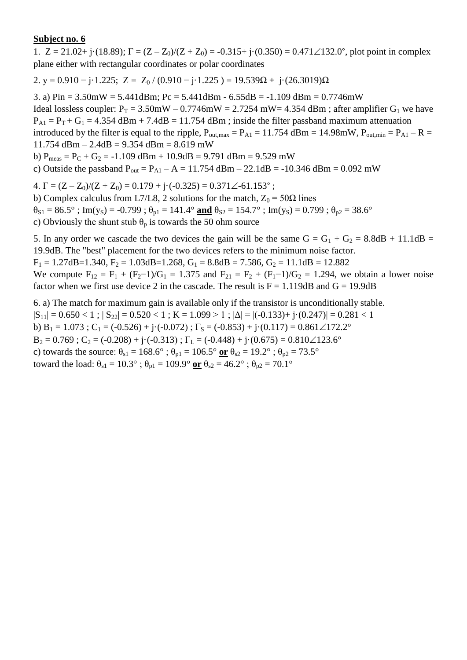1.  $Z = 21.02 + j \cdot (18.89)$ ;  $\Gamma = (Z - Z_0)/(Z + Z_0) = -0.315 + j \cdot (0.350) = 0.471 \angle 132.0^{\circ}$ , plot point in complex plane either with rectangular coordinates or polar coordinates

2. y = 0.910  $-$  j·1.225; Z = Z<sub>0</sub> / (0.910  $-$  j·1.225) = 19.539 $\Omega$  + j·(26.3019) $\Omega$ 

3. a)  $Pin = 3.50mW = 5.441dBm$ ;  $Pc = 5.441dBm - 6.55dB = -1.109dBm = 0.7746mW$ Ideal lossless coupler:  $P_T = 3.50$ mW – 0.7746mW = 2.7254 mW= 4.354 dBm; after amplifier G<sub>1</sub> we have  $P_{A1} = P_T + G_1 = 4.354$  dBm + 7.4dB = 11.754 dBm ; inside the filter passband maximum attenuation introduced by the filter is equal to the ripple,  $P_{\text{out,max}} = P_{\text{A1}} = 11.754 \text{ dBm} = 14.98 \text{mW}$ ,  $P_{\text{out,min}} = P_{\text{A1}} - R =$ 11.754 dBm – 2.4dB = 9.354 dBm = 8.619 mW b)  $P_{meas} = P_C + G_2 = -1.109$  dBm + 10.9dB = 9.791 dBm = 9.529 mW

c) Outside the passband  $P_{out} = P_{A1} - A = 11.754$  dBm – 22.1dB = -10.346 dBm = 0.092 mW

 $4. \Gamma = (Z - Z_0)/(Z + Z_0) = 0.179 + j \cdot (-0.325) = 0.371 \angle -61.153$ °;

b) Complex calculus from L7/L8, 2 solutions for the match,  $Z_0 = 50\Omega$  lines  $\theta_{S1} = 86.5^\circ$ ; Im(y<sub>S</sub>) = -0.799;  $\theta_{p1} = 141.4^\circ$  and  $\theta_{S2} = 154.7^\circ$ ; Im(y<sub>S</sub>) = 0.799;  $\theta_{p2} = 38.6^\circ$ c) Obviously the shunt stub  $\theta_p$  is towards the 50 ohm source

5. In any order we cascade the two devices the gain will be the same  $G = G_1 + G_2 = 8.8dB + 11.1dB =$ 19.9dB. The "best" placement for the two devices refers to the minimum noise factor.

 $F_1 = 1.27$ dB=1.340,  $F_2 = 1.03$ dB=1.268,  $G_1 = 8.8$ dB = 7.586,  $G_2 = 11.1$ dB = 12.882 We compute  $F_{12} = F_1 + (F_2 - 1)/G_1 = 1.375$  and  $F_{21} = F_2 + (F_1 - 1)/G_2 = 1.294$ , we obtain a lower noise

factor when we first use device 2 in the cascade. The result is  $F = 1.119dB$  and  $G = 19.9dB$ 

6. a) The match for maximum gain is available only if the transistor is unconditionally stable.  $|S_{11}| = 0.650 < 1$ ;  $|S_{22}| = 0.520 < 1$ ;  $K = 1.099 > 1$ ;  $|\Delta| = |(-0.133) + (-0.247)| = 0.281 < 1$ b)  $B_1 = 1.073$ ;  $C_1 = (-0.526) + j \cdot (-0.072)$ ;  $\Gamma_s = (-0.853) + j \cdot (0.117) = 0.861 \angle 172.2^\circ$  $B_2 = 0.769$ ;  $C_2 = (-0.208) + i(-0.313)$ ;  $\Gamma_L = (-0.448) + i(0.675) = 0.810 \angle 123.6^\circ$ c) towards the source:  $\theta_{s1} = 168.6^\circ$ ;  $\theta_{p1} = 106.5^\circ$  or  $\theta_{s2} = 19.2^\circ$ ;  $\theta_{p2} = 73.5^\circ$ toward the load:  $\theta_{s1} = 10.3^\circ$ ;  $\theta_{p1} = 109.9^\circ$  or  $\theta_{s2} = 46.2^\circ$ ;  $\theta_{p2} = 70.1^\circ$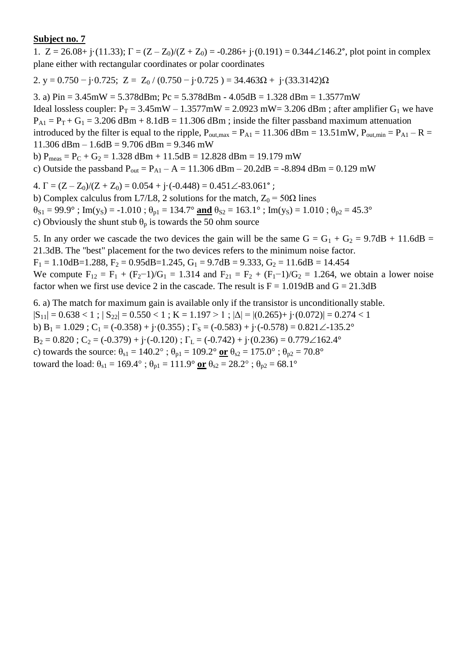1.  $Z = 26.08 + j \cdot (11.33)$ ;  $\Gamma = (Z - Z_0)/(Z + Z_0) = -0.286 + j \cdot (0.191) = 0.344 \angle 146.2^{\circ}$ , plot point in complex plane either with rectangular coordinates or polar coordinates

2. y = 0.750  $-$  j·0.725; Z = Z<sub>0</sub> / (0.750  $-$  j·0.725 ) = 34.463 $\Omega$  + j·(33.3142) $\Omega$ 

3. a) Pin = 3.45mW = 5.378dBm; Pc = 5.378dBm - 4.05dB = 1.328 dBm = 1.3577mW

Ideal lossless coupler:  $P_T = 3.45 \text{mW} - 1.3577 \text{mW} = 2.0923 \text{ mW} = 3.206 \text{ dBm}$ ; after amplifier  $G_1$  we have  $P_{A1} = P_T + G_1 = 3.206$  dBm + 8.1dB = 11.306 dBm; inside the filter passband maximum attenuation introduced by the filter is equal to the ripple,  $P_{\text{out,max}} = P_{\text{A1}} = 11.306$  dBm = 13.51mW,  $P_{\text{out,min}} = P_{\text{A1}} - R =$ 

11.306 dBm – 1.6dB = 9.706 dBm = 9.346 mW

b)  $P_{meas} = P_C + G_2 = 1.328$  dBm + 11.5dB = 12.828 dBm = 19.179 mW

c) Outside the passband  $P_{out} = P_{A1} - A = 11.306$  dBm – 20.2dB = -8.894 dBm = 0.129 mW

4.  $\Gamma = (Z - Z_0)/(Z + Z_0) = 0.054 + i \cdot (-0.448) = 0.451 \angle 83.061$ °;

b) Complex calculus from L7/L8, 2 solutions for the match,  $Z_0 = 50\Omega$  lines

 $\theta_{S1} = 99.9^\circ$ ; Im(y<sub>S</sub>) = -1.010;  $\theta_{p1} = 134.7^\circ$  and  $\theta_{S2} = 163.1^\circ$ ; Im(y<sub>S</sub>) = 1.010;  $\theta_{p2} = 45.3^\circ$ 

c) Obviously the shunt stub  $\theta_p$  is towards the 50 ohm source

5. In any order we cascade the two devices the gain will be the same  $G = G_1 + G_2 = 9.7dB + 11.6dB =$ 21.3dB. The "best" placement for the two devices refers to the minimum noise factor.  $F_1 = 1.10$ dB=1.288,  $F_2 = 0.95$ dB=1.245,  $G_1 = 9.7$ dB = 9.333,  $G_2 = 11.6$ dB = 14.454

We compute  $F_{12} = F_1 + (F_2 - 1)/G_1 = 1.314$  and  $F_{21} = F_2 + (F_1 - 1)/G_2 = 1.264$ , we obtain a lower noise factor when we first use device 2 in the cascade. The result is  $F = 1.019dB$  and  $G = 21.3dB$ 

6. a) The match for maximum gain is available only if the transistor is unconditionally stable.  $|S_{11}| = 0.638 < 1$ ;  $|S_{22}| = 0.550 < 1$ ;  $K = 1.197 > 1$ ;  $|\Delta| = |(0.265) + j(0.072)| = 0.274 < 1$ b) B<sub>1</sub> = 1.029 ; C<sub>1</sub> = (-0.358) + j·(0.355) ;  $\Gamma$ <sub>S</sub> = (-0.583) + j·(-0.578) = 0.821 $\angle$ -135.2°  $B_2 = 0.820$ ;  $C_2 = (-0.379) + i(-0.120)$ ;  $\Gamma_L = (-0.742) + i(0.236) = 0.779 \angle 162.4^\circ$ c) towards the source:  $\theta_{s1} = 140.2^\circ$ ;  $\theta_{p1} = 109.2^\circ$  or  $\theta_{s2} = 175.0^\circ$ ;  $\theta_{p2} = 70.8^\circ$ toward the load:  $\theta_{s1} = 169.4^\circ$ ;  $\theta_{p1} = 111.9^\circ$  or  $\theta_{s2} = 28.2^\circ$ ;  $\theta_{p2} = 68.1^\circ$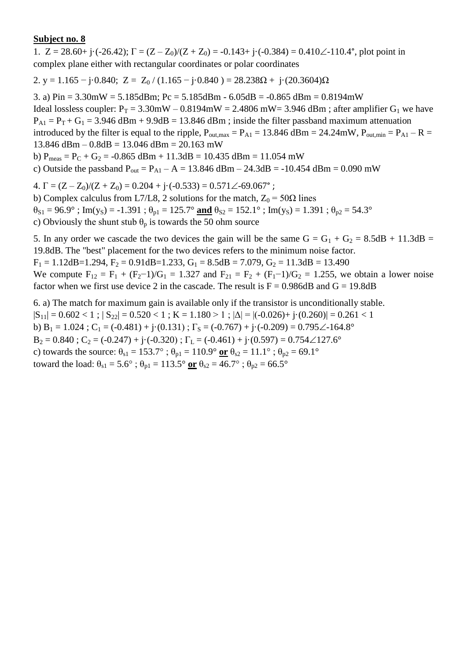1.  $Z = 28.60 + i \cdot (-26.42)$ ;  $\Gamma = (Z - Z_0)/(Z + Z_0) = -0.143 + i \cdot (-0.384) = 0.410\angle -110.4^{\circ}$ , plot point in complex plane either with rectangular coordinates or polar coordinates

2. y = 1.165 – j·0.840; Z = Z<sub>0</sub> / (1.165 – j·0.840) = 28.238 $\Omega$  + j·(20.3604) $\Omega$ 

3. a)  $Pin = 3.30mW = 5.185dBm$ ;  $Pc = 5.185dBm - 6.05dB = -0.865dBm = 0.8194mW$ Ideal lossless coupler:  $P_T = 3.30$ mW – 0.8194mW = 2.4806 mW= 3.946 dBm; after amplifier G<sub>1</sub> we have  $P_{A1} = P_T + G_1 = 3.946$  dBm + 9.9dB = 13.846 dBm; inside the filter passband maximum attenuation introduced by the filter is equal to the ripple,  $P_{\text{out,max}} = P_{\text{A1}} = 13.846 \text{ dBm} = 24.24 \text{mW}$ ,  $P_{\text{out,min}} = P_{\text{A1}} - R =$  $13.846$  dBm  $- 0.8$ dB  $= 13.046$  dBm  $= 20.163$  mW

b)  $P_{meas} = P_C + G_2 = -0.865$  dBm + 11.3dB = 10.435 dBm = 11.054 mW

c) Outside the passband  $P_{out} = P_{A1} - A = 13.846$  dBm – 24.3dB = -10.454 dBm = 0.090 mW

4.  $\Gamma = (Z - Z_0)/(Z + Z_0) = 0.204 + i \cdot (-0.533) = 0.571 \angle 69.067$ °;

b) Complex calculus from L7/L8, 2 solutions for the match,  $Z_0 = 50\Omega$  lines  $\theta_{S1} = 96.9^\circ$ ; Im(y<sub>S</sub>) = -1.391;  $\theta_{p1} = 125.7^\circ$  and  $\theta_{S2} = 152.1^\circ$ ; Im(y<sub>S</sub>) = 1.391;  $\theta_{p2} = 54.3^\circ$ 

c) Obviously the shunt stub  $\theta_p$  is towards the 50 ohm source

5. In any order we cascade the two devices the gain will be the same  $G = G_1 + G_2 = 8.5dB + 11.3dB =$ 19.8dB. The "best" placement for the two devices refers to the minimum noise factor.

 $F_1 = 1.12$ dB=1.294,  $F_2 = 0.91$ dB=1.233,  $G_1 = 8.5$ dB = 7.079,  $G_2 = 11.3$ dB = 13.490

We compute  $F_{12} = F_1 + (F_2 - 1)/G_1 = 1.327$  and  $F_{21} = F_2 + (F_1 - 1)/G_2 = 1.255$ , we obtain a lower noise factor when we first use device 2 in the cascade. The result is  $F = 0.986 dB$  and  $G = 19.8dB$ 

6. a) The match for maximum gain is available only if the transistor is unconditionally stable.  $|S_{11}| = 0.602 < 1$ ;  $|S_{22}| = 0.520 < 1$ ;  $K = 1.180 > 1$ ;  $|\Delta| = |(-0.026) + (-0.260)| = 0.261 < 1$ b) B<sub>1</sub> = 1.024 ; C<sub>1</sub> = (-0.481) + j·(0.131) ;  $\Gamma$ <sub>S</sub> = (-0.767) + j·(-0.209) = 0.795 $\angle$ -164.8°  $B_2 = 0.840$ ;  $C_2 = (-0.247) + i(-0.320)$ ;  $\Gamma_L = (-0.461) + i(0.597) = 0.754 \angle 127.6^\circ$ c) towards the source:  $\theta_{s1} = 153.7^\circ$ ;  $\theta_{p1} = 110.9^\circ$  or  $\theta_{s2} = 11.1^\circ$ ;  $\theta_{p2} = 69.1^\circ$ toward the load:  $\theta_{s1} = 5.6^\circ$ ;  $\theta_{p1} = 113.5^\circ$  or  $\theta_{s2} = 46.7^\circ$ ;  $\theta_{p2} = 66.5^\circ$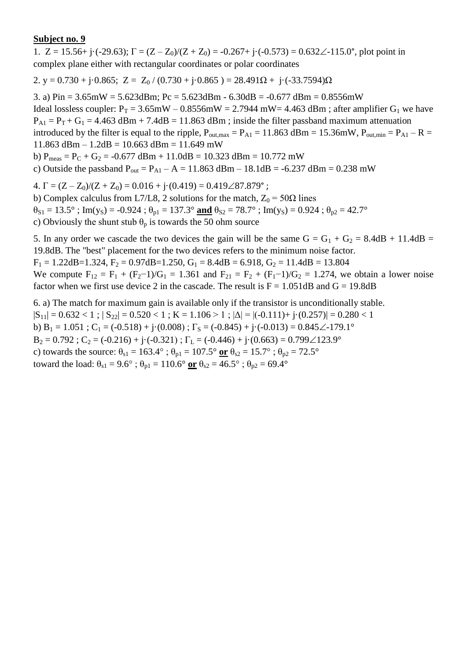1.  $Z = 15.56 + j \cdot (-29.63)$ ;  $\Gamma = (Z - Z_0)/(Z + Z_0) = -0.267 + j \cdot (-0.573) = 0.632 \angle -115.0^{\circ}$ , plot point in complex plane either with rectangular coordinates or polar coordinates

2. y = 0.730 + j·0.865; Z = Z<sub>0</sub> / (0.730 + j·0.865) = 28.491 $\Omega$  + j·(-33.7594) $\Omega$ 

3. a)  $Pin = 3.65mW = 5.623dBm$ ;  $Pc = 5.623dBm - 6.30dB = -0.677dBm = 0.8556mW$ Ideal lossless coupler:  $P_T = 3.65$ mW – 0.8556mW = 2.7944 mW= 4.463 dBm; after amplifier G<sub>1</sub> we have  $P_{A1} = P_T + G_1 = 4.463$  dBm + 7.4dB = 11.863 dBm ; inside the filter passband maximum attenuation introduced by the filter is equal to the ripple,  $P_{\text{out,max}} = P_{\text{A1}} = 11.863 \text{ dBm} = 15.36 \text{mW}$ ,  $P_{\text{out,min}} = P_{\text{A1}} - R =$  $11.863$  dBm  $- 1.2$ dB  $= 10.663$  dBm  $= 11.649$  mW b)  $P_{meas} = P_C + G_2 = -0.677$  dBm + 11.0dB = 10.323 dBm = 10.772 mW

c) Outside the passband  $P_{out} = P_{A1} - A = 11.863$  dBm  $- 18.1$ dB = -6.237 dBm = 0.238 mW

4.  $\Gamma = (Z - Z_0)/(Z + Z_0) = 0.016 + \mathrm{i} \cdot (0.419) = 0.419\angle 87.879$ °;

b) Complex calculus from L7/L8, 2 solutions for the match,  $Z_0 = 50\Omega$  lines  $\theta_{S1} = 13.5^\circ$ ; Im(y<sub>S</sub>) = -0.924;  $\theta_{p1} = 137.3^\circ$  and  $\theta_{S2} = 78.7^\circ$ ; Im(y<sub>S</sub>) = 0.924;  $\theta_{p2} = 42.7^\circ$ c) Obviously the shunt stub  $\theta_p$  is towards the 50 ohm source

5. In any order we cascade the two devices the gain will be the same  $G = G_1 + G_2 = 8.4dB + 11.4dB =$ 19.8dB. The "best" placement for the two devices refers to the minimum noise factor.  $F_1 = 1.22$ dB=1.324,  $F_2 = 0.97$ dB=1.250,  $G_1 = 8.4$ dB = 6.918,  $G_2 = 11.4$ dB = 13.804

We compute  $F_{12} = F_1 + (F_2 - 1)/G_1 = 1.361$  and  $F_{21} = F_2 + (F_1 - 1)/G_2 = 1.274$ , we obtain a lower noise factor when we first use device 2 in the cascade. The result is  $F = 1.051dB$  and  $G = 19.8dB$ 

6. a) The match for maximum gain is available only if the transistor is unconditionally stable.  $|S_{11}| = 0.632 < 1$ ;  $|S_{22}| = 0.520 < 1$ ;  $K = 1.106 > 1$ ;  $|\Delta| = |(-0.111) + (-0.257)| = 0.280 < 1$ b)  $B_1 = 1.051$ ;  $C_1 = (-0.518) + j(0.008)$ ;  $\Gamma_s = (-0.845) + j(-0.013) = 0.845\angle{-179.1^{\circ}}$  $B_2 = 0.792$ ;  $C_2 = (-0.216) + i(-0.321)$ ;  $\Gamma_L = (-0.446) + i(0.663) = 0.799 \angle 123.9^\circ$ c) towards the source:  $\theta_{s1} = 163.4^\circ$ ;  $\theta_{p1} = 107.5^\circ$  or  $\theta_{s2} = 15.7^\circ$ ;  $\theta_{p2} = 72.5^\circ$ toward the load:  $\theta_{s1} = 9.6^\circ$ ;  $\theta_{p1} = 110.6^\circ$  or  $\theta_{s2} = 46.5^\circ$ ;  $\theta_{p2} = 69.4^\circ$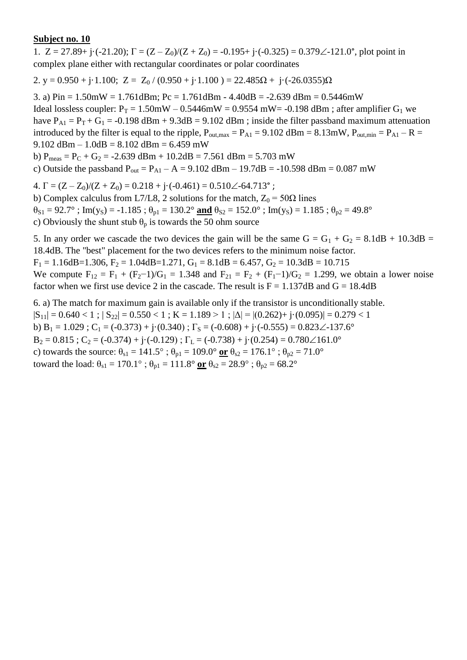1.  $Z = 27.89 + i \cdot (-21.20)$ ;  $\Gamma = (Z - Z_0)/(Z + Z_0) = -0.195 + i \cdot (-0.325) = 0.379\angle -121.0^{\circ}$ , plot point in complex plane either with rectangular coordinates or polar coordinates

2. y =  $0.950 + j \cdot 1.100$ ; Z =  $Z_0 / (0.950 + j \cdot 1.100) = 22.485\Omega + j \cdot (-26.0355)\Omega$ 

3. a) Pin = 1.50mW = 1.761dBm; Pc = 1.761dBm - 4.40dB = -2.639 dBm = 0.5446mW Ideal lossless coupler:  $P_T = 1.50$ mW – 0.5446mW = 0.9554 mW = -0.198 dBm; after amplifier G<sub>1</sub> we have  $P_{A1} = P_T + G_1 = -0.198$  dBm + 9.3dB = 9.102 dBm ; inside the filter passband maximum attenuation introduced by the filter is equal to the ripple,  $P_{\text{out,max}} = P_{A1} = 9.102$  dBm = 8.13mW,  $P_{\text{out,min}} = P_{A1} - R =$ 9.102 dBm  $- 1.0$ dB  $= 8.102$  dBm  $= 6.459$  mW b)  $P_{meas} = P_C + G_2 = -2.639$  dBm + 10.2dB = 7.561 dBm = 5.703 mW

c) Outside the passband  $P_{out} = P_{A1} - A = 9.102$  dBm – 19.7dB = -10.598 dBm = 0.087 mW

4.  $\Gamma = (Z - Z_0)/(Z + Z_0) = 0.218 + i \cdot (-0.461) = 0.510 \angle 64.713$ °;

b) Complex calculus from L7/L8, 2 solutions for the match,  $Z_0 = 50\Omega$  lines  $\theta_{S1} = 92.7^\circ$ ; Im(y<sub>S</sub>) = -1.185;  $\theta_{p1} = 130.2^\circ$  and  $\theta_{S2} = 152.0^\circ$ ; Im(y<sub>S</sub>) = 1.185;  $\theta_{p2} = 49.8^\circ$ c) Obviously the shunt stub  $\theta_p$  is towards the 50 ohm source

5. In any order we cascade the two devices the gain will be the same  $G = G_1 + G_2 = 8.1dB + 10.3dB =$ 18.4dB. The "best" placement for the two devices refers to the minimum noise factor.  $F_1 = 1.16$ dB=1.306,  $F_2 = 1.04$ dB=1.271,  $G_1 = 8.1$ dB = 6.457,  $G_2 = 10.3$ dB = 10.715

We compute  $F_{12} = F_1 + (F_2 - 1)/G_1 = 1.348$  and  $F_{21} = F_2 + (F_1 - 1)/G_2 = 1.299$ , we obtain a lower noise factor when we first use device 2 in the cascade. The result is  $F = 1.137dB$  and  $G = 18.4dB$ 

6. a) The match for maximum gain is available only if the transistor is unconditionally stable.  $|S_{11}| = 0.640 < 1$ ;  $|S_{22}| = 0.550 < 1$ ;  $K = 1.189 > 1$ ;  $|\Delta| = |(0.262) + j(0.095)| = 0.279 < 1$ b)  $B_1 = 1.029$ ;  $C_1 = (-0.373) + j(0.340)$ ;  $\Gamma_s = (-0.608) + j(-0.555) = 0.823 \angle 137.6^\circ$  $B_2 = 0.815$ ;  $C_2 = (-0.374) + i(-0.129)$ ;  $\Gamma_L = (-0.738) + i(0.254) = 0.780 \angle 161.0^\circ$ c) towards the source:  $\theta_{s1} = 141.5^\circ$ ;  $\theta_{p1} = 109.0^\circ$  or  $\theta_{s2} = 176.1^\circ$ ;  $\theta_{p2} = 71.0^\circ$ toward the load:  $\theta_{s1} = 170.1^\circ$ ;  $\theta_{p1} = 111.8^\circ$  or  $\theta_{s2} = 28.9^\circ$ ;  $\theta_{p2} = 68.2^\circ$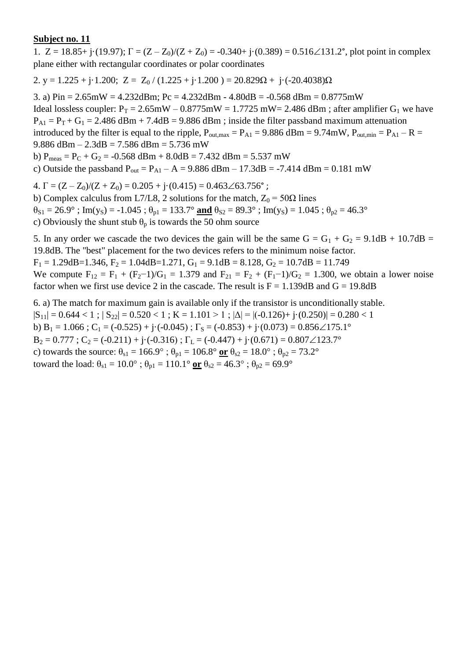1.  $Z = 18.85 + j \cdot (19.97)$ ;  $\Gamma = (Z - Z_0)/(Z + Z_0) = -0.340 + j \cdot (0.389) = 0.516\angle 131.2^\circ$ , plot point in complex plane either with rectangular coordinates or polar coordinates

2. y = 1.225 + j·1.200; Z =  $Z_0$  / (1.225 + j·1.200) = 20.829 $\Omega$  + j·(-20.4038) $\Omega$ 

3. a)  $Pin = 2.65mW = 4.232dBm$ ;  $Pc = 4.232dBm - 4.80dB = -0.568dBm = 0.8775mW$ Ideal lossless coupler:  $P_T = 2.65 \text{mW} - 0.8775 \text{mW} = 1.7725 \text{mW} = 2.486 \text{ dBm}$ ; after amplifier  $G_1$  we have  $P_{A1} = P_T + G_1 = 2.486$  dBm + 7.4dB = 9.886 dBm ; inside the filter passband maximum attenuation introduced by the filter is equal to the ripple,  $P_{\text{out,max}} = P_{A1} = 9.886$  dBm = 9.74mW,  $P_{\text{out,min}} = P_{A1} - R =$ 9.886 dBm – 2.3dB = 7.586 dBm = 5.736 mW b)  $P_{meas} = P_C + G_2 = -0.568$  dBm + 8.0dB = 7.432 dBm = 5.537 mW c) Outside the passband  $P_{out} = P_{A1} - A = 9.886$  dBm  $- 17.3$ dB = -7.414 dBm = 0.181 mW

4.  $\Gamma = (Z - Z_0)/(Z + Z_0) = 0.205 + i \cdot (0.415) = 0.463 \angle 63.756^{\circ}$ ;

b) Complex calculus from L7/L8, 2 solutions for the match,  $Z_0 = 50\Omega$  lines

 $\theta_{S1} = 26.9^\circ$ ; Im(y<sub>S</sub>) = -1.045;  $\theta_{p1} = 133.7^\circ$  and  $\theta_{S2} = 89.3^\circ$ ; Im(y<sub>S</sub>) = 1.045;  $\theta_{p2} = 46.3^\circ$ 

c) Obviously the shunt stub  $\theta_p$  is towards the 50 ohm source

5. In any order we cascade the two devices the gain will be the same  $G = G_1 + G_2 = 9.1dB + 10.7dB =$ 19.8dB. The "best" placement for the two devices refers to the minimum noise factor.  $F_1 = 1.29$ dB=1.346,  $F_2 = 1.04$ dB=1.271,  $G_1 = 9.1$ dB = 8.128,  $G_2 = 10.7$ dB = 11.749

We compute  $F_{12} = F_1 + (F_2 - 1)/G_1 = 1.379$  and  $F_{21} = F_2 + (F_1 - 1)/G_2 = 1.300$ , we obtain a lower noise factor when we first use device 2 in the cascade. The result is  $F = 1.139dB$  and  $G = 19.8dB$ 

6. a) The match for maximum gain is available only if the transistor is unconditionally stable.  $|S_{11}| = 0.644 < 1$ ;  $|S_{22}| = 0.520 < 1$ ;  $K = 1.101 > 1$ ;  $|\Delta| = |(-0.126) + (-0.250)| = 0.280 < 1$ b) B<sub>1</sub> = 1.066 ; C<sub>1</sub> = (-0.525) + j·(-0.045) ;  $\Gamma_s$  = (-0.853) + j·(0.073) = 0.856 $\angle$ 175.1°  $B_2 = 0.777$ ;  $C_2 = (-0.211) + i(-0.316)$ ;  $\Gamma_L = (-0.447) + i(0.671) = 0.807 \angle 123.7^\circ$ c) towards the source:  $\theta_{s1} = 166.9^\circ$ ;  $\theta_{p1} = 106.8^\circ$  or  $\theta_{s2} = 18.0^\circ$ ;  $\theta_{p2} = 73.2^\circ$ toward the load:  $\theta_{s1} = 10.0^\circ$ ;  $\theta_{p1} = 110.1^\circ$  or  $\theta_{s2} = 46.3^\circ$ ;  $\theta_{p2} = 69.9^\circ$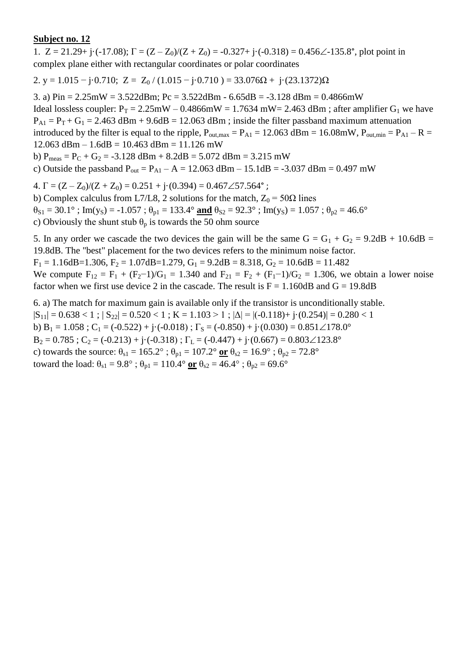1.  $Z = 21.29 + i \cdot (-17.08)$ ;  $\Gamma = (Z - Z_0)/(Z + Z_0) = -0.327 + i \cdot (-0.318) = 0.456\angle -135.8^\circ$ , plot point in complex plane either with rectangular coordinates or polar coordinates

2. y = 1.015 – j·0.710; Z = Z<sub>0</sub> / (1.015 – j·0.710) = 33.076 $\Omega$  + j·(23.1372) $\Omega$ 

3. a) Pin = 2.25mW = 3.522dBm; Pc = 3.522dBm - 6.65dB = -3.128 dBm = 0.4866mW Ideal lossless coupler:  $P_T = 2.25 \text{mW} - 0.4866 \text{mW} = 1.7634 \text{ mW} = 2.463 \text{ dBm}$ ; after amplifier  $G_1$  we have  $P_{A1} = P_T + G_1 = 2.463$  dBm + 9.6dB = 12.063 dBm; inside the filter passband maximum attenuation introduced by the filter is equal to the ripple,  $P_{\text{out,max}} = P_{\text{A1}} = 12.063 \text{ dBm} = 16.08 \text{mW}, P_{\text{out,min}} = P_{\text{A1}} - R =$  $12.063$  dBm  $- 1.6$ dB  $= 10.463$  dBm  $= 11.126$  mW b)  $P_{meas} = P_C + G_2 = -3.128$  dBm + 8.2dB = 5.072 dBm = 3.215 mW

c) Outside the passband  $P_{out} = P_{A1} - A = 12.063$  dBm  $- 15.1$ dB = -3.037 dBm = 0.497 mW

4.  $\Gamma = (Z - Z_0)/(Z + Z_0) = 0.251 + \mathrm{i} \cdot (0.394) = 0.467 \angle 57.564^{\circ}$ ;

b) Complex calculus from L7/L8, 2 solutions for the match,  $Z_0 = 50\Omega$  lines

 $\theta_{S1} = 30.1^\circ$ ; Im(y<sub>S</sub>) = -1.057;  $\theta_{p1} = 133.4^\circ$  and  $\theta_{S2} = 92.3^\circ$ ; Im(y<sub>S</sub>) = 1.057;  $\theta_{p2} = 46.6^\circ$ 

c) Obviously the shunt stub  $\theta_p$  is towards the 50 ohm source

5. In any order we cascade the two devices the gain will be the same  $G = G_1 + G_2 = 9.2dB + 10.6dB =$ 19.8dB. The "best" placement for the two devices refers to the minimum noise factor.

 $F_1 = 1.16$ dB=1.306,  $F_2 = 1.07$ dB=1.279,  $G_1 = 9.2$ dB = 8.318,  $G_2 = 10.6$ dB = 11.482

We compute  $F_{12} = F_1 + (F_2 - 1)/G_1 = 1.340$  and  $F_{21} = F_2 + (F_1 - 1)/G_2 = 1.306$ , we obtain a lower noise factor when we first use device 2 in the cascade. The result is  $F = 1.160dB$  and  $G = 19.8dB$ 

6. a) The match for maximum gain is available only if the transistor is unconditionally stable.  $|S_{11}| = 0.638 < 1$ ;  $|S_{22}| = 0.520 < 1$ ;  $K = 1.103 > 1$ ;  $|\Delta| = |(-0.118) + (-0.254)| = 0.280 < 1$ b)  $B_1 = 1.058$ ;  $C_1 = (-0.522) + j \cdot (-0.018)$ ;  $\Gamma_s = (-0.850) + j \cdot (0.030) = 0.851 \angle 178.0^\circ$  $B_2 = 0.785$ ;  $C_2 = (-0.213) + i(-0.318)$ ;  $\Gamma_L = (-0.447) + i(0.667) = 0.803 \angle 123.8^\circ$ c) towards the source:  $\theta_{s1} = 165.2^\circ$ ;  $\theta_{p1} = 107.2^\circ$  or  $\theta_{s2} = 16.9^\circ$ ;  $\theta_{p2} = 72.8^\circ$ toward the load:  $\theta_{s1} = 9.8^\circ$ ;  $\theta_{p1} = 110.4^\circ$  or  $\theta_{s2} = 46.4^\circ$ ;  $\theta_{p2} = 69.6^\circ$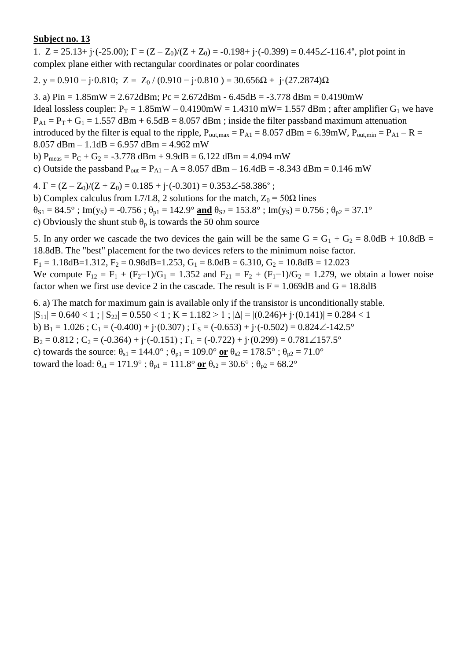1.  $Z = 25.13 + j \cdot (-25.00)$ ;  $\Gamma = (Z - Z_0)/(Z + Z_0) = -0.198 + j \cdot (-0.399) = 0.445\angle -116.4^\circ$ , plot point in complex plane either with rectangular coordinates or polar coordinates

2. y = 0.910 – j·0.810; Z = Z<sub>0</sub> / (0.910 – j·0.810 ) = 30.656 $\Omega$  + j·(27.2874) $\Omega$ 

3. a)  $Pin = 1.85mW = 2.672dBm$ ;  $Pc = 2.672dBm - 6.45dB = -3.778dBm = 0.4190mW$ Ideal lossless coupler:  $P_T = 1.85$ mW – 0.4190mW = 1.4310 mW = 1.557 dBm; after amplifier G<sub>1</sub> we have  $P_{A1} = P_T + G_1 = 1.557$  dBm + 6.5dB = 8.057 dBm; inside the filter passband maximum attenuation introduced by the filter is equal to the ripple,  $P_{\text{out,max}} = P_{\text{A1}} = 8.057$  dBm = 6.39mW,  $P_{\text{out,min}} = P_{\text{A1}} - R =$ 8.057 dBm – 1.1dB = 6.957 dBm = 4.962 mW b)  $P_{meas} = P_C + G_2 = -3.778$  dBm + 9.9dB = 6.122 dBm = 4.094 mW c) Outside the passband  $P_{out} = P_{A1} - A = 8.057$  dBm – 16.4dB = -8.343 dBm = 0.146 mW 4.  $\Gamma = (Z - Z_0)/(Z + Z_0) = 0.185 + i \cdot (-0.301) = 0.353 \angle 58.386^\circ$ ;

b) Complex calculus from L7/L8, 2 solutions for the match,  $Z_0 = 50\Omega$  lines

 $\theta_{S1} = 84.5^\circ$ ; Im(y<sub>S</sub>) = -0.756;  $\theta_{p1} = 142.9^\circ$  and  $\theta_{S2} = 153.8^\circ$ ; Im(y<sub>S</sub>) = 0.756;  $\theta_{p2} = 37.1^\circ$ 

c) Obviously the shunt stub  $\theta_p$  is towards the 50 ohm source

5. In any order we cascade the two devices the gain will be the same  $G = G_1 + G_2 = 8.0dB + 10.8dB =$ 18.8dB. The "best" placement for the two devices refers to the minimum noise factor.

 $F_1 = 1.18$ dB=1.312,  $F_2 = 0.98$ dB=1.253,  $G_1 = 8.0$ dB = 6.310,  $G_2 = 10.8$ dB = 12.023

We compute  $F_{12} = F_1 + (F_2 - 1)/G_1 = 1.352$  and  $F_{21} = F_2 + (F_1 - 1)/G_2 = 1.279$ , we obtain a lower noise factor when we first use device 2 in the cascade. The result is  $F = 1.069$ dB and  $G = 18.8$ dB

6. a) The match for maximum gain is available only if the transistor is unconditionally stable.  $|S_{11}| = 0.640 < 1$ ;  $|S_{22}| = 0.550 < 1$ ;  $K = 1.182 > 1$ ;  $|\Delta| = |(0.246) + j(0.141)| = 0.284 < 1$ b) B<sub>1</sub> = 1.026 ; C<sub>1</sub> = (-0.400) + j·(0.307) ;  $\Gamma$ <sub>S</sub> = (-0.653) + j·(-0.502) = 0.824 $\angle$ -142.5°  $B_2 = 0.812$ ;  $C_2 = (-0.364) + i(-0.151)$ ;  $\Gamma_L = (-0.722) + i(0.299) = 0.781 \angle 157.5^\circ$ c) towards the source:  $\theta_{s1} = 144.0^{\circ}$ ;  $\theta_{p1} = 109.0^{\circ}$  or  $\theta_{s2} = 178.5^{\circ}$ ;  $\theta_{p2} = 71.0^{\circ}$ toward the load:  $\theta_{s1} = 171.9^\circ$ ;  $\theta_{p1} = 111.8^\circ$  or  $\theta_{s2} = 30.6^\circ$ ;  $\theta_{p2} = 68.2^\circ$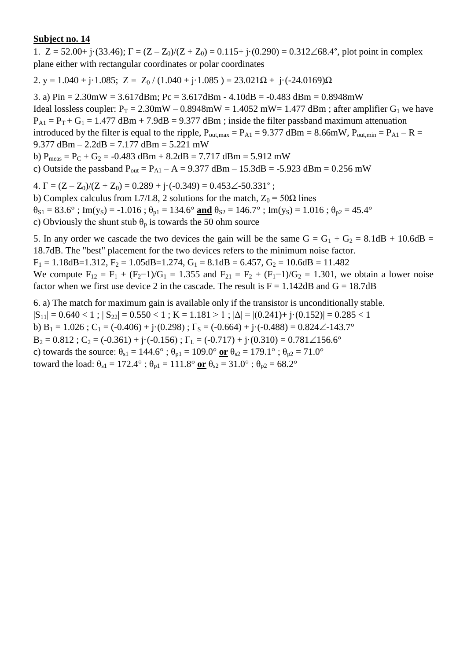1.  $Z = 52.00 + j(33.46)$ ;  $\Gamma = (Z - Z_0)/(Z + Z_0) = 0.115 + j(0.290) = 0.312\angle 68.4^{\circ}$ , plot point in complex plane either with rectangular coordinates or polar coordinates

2. y = 1.040 + j·1.085; Z = Z<sub>0</sub> / (1.040 + j·1.085) = 23.021 $\Omega$  + j·(-24.0169) $\Omega$ 

3. a)  $Pin = 2.30mW = 3.617dBm$ ;  $Pc = 3.617dBm - 4.10dB = -0.483dBm = 0.8948mW$ Ideal lossless coupler:  $P_T = 2.30$ mW – 0.8948mW = 1.4052 mW = 1.477 dBm; after amplifier G<sub>1</sub> we have  $P_{A1} = P_T + G_1 = 1.477$  dBm + 7.9dB = 9.377 dBm ; inside the filter passband maximum attenuation introduced by the filter is equal to the ripple,  $P_{\text{out,max}} = P_{\text{A1}} = 9.377 \text{ dBm} = 8.66 \text{mW}$ ,  $P_{\text{out,min}} = P_{\text{A1}} - R =$ 9.377 dBm – 2.2dB = 7.177 dBm = 5.221 mW b)  $P_{meas} = P_C + G_2 = -0.483$  dBm + 8.2dB = 7.717 dBm = 5.912 mW c) Outside the passband  $P_{out} = P_{A1} - A = 9.377$  dBm  $- 15.3$ dB = -5.923 dBm = 0.256 mW

4.  $\Gamma = (Z - Z_0)/(Z + Z_0) = 0.289 + j \cdot (-0.349) = 0.453 \angle 50.331^{\circ}$ ;

b) Complex calculus from L7/L8, 2 solutions for the match,  $Z_0 = 50\Omega$  lines  $\theta_{S1} = 83.6^\circ$ ; Im(y<sub>S</sub>) = -1.016;  $\theta_{p1} = 134.6^\circ$  and  $\theta_{S2} = 146.7^\circ$ ; Im(y<sub>S</sub>) = 1.016;  $\theta_{p2} = 45.4^\circ$ c) Obviously the shunt stub  $\theta_p$  is towards the 50 ohm source

5. In any order we cascade the two devices the gain will be the same  $G = G_1 + G_2 = 8.1dB + 10.6dB =$ 18.7dB. The "best" placement for the two devices refers to the minimum noise factor.  $F_1 = 1.18$ dB=1.312,  $F_2 = 1.05$ dB=1.274,  $G_1 = 8.1$ dB = 6.457,  $G_2 = 10.6$ dB = 11.482

We compute  $F_{12} = F_1 + (F_2 - 1)/G_1 = 1.355$  and  $F_{21} = F_2 + (F_1 - 1)/G_2 = 1.301$ , we obtain a lower noise factor when we first use device 2 in the cascade. The result is  $F = 1.142dB$  and  $G = 18.7dB$ 

6. a) The match for maximum gain is available only if the transistor is unconditionally stable.  $|S_{11}| = 0.640 < 1$ ;  $|S_{22}| = 0.550 < 1$ ;  $K = 1.181 > 1$ ;  $|\Delta| = |(0.241) + j(0.152)| = 0.285 < 1$ b)  $B_1 = 1.026$ ;  $C_1 = (-0.406) + j \cdot (0.298)$ ;  $\Gamma_s = (-0.664) + j \cdot (-0.488) = 0.824 \angle -143.7^\circ$  $B_2 = 0.812$ ;  $C_2 = (-0.361) + i(-0.156)$ ;  $\Gamma_L = (-0.717) + i(0.310) = 0.781 \angle 156.6^\circ$ c) towards the source:  $\theta_{s1} = 144.6^\circ$ ;  $\theta_{p1} = 109.0^\circ$  or  $\theta_{s2} = 179.1^\circ$ ;  $\theta_{p2} = 71.0^\circ$ toward the load:  $\theta_{s1} = 172.4^\circ$ ;  $\theta_{p1} = 111.8^\circ$  or  $\theta_{s2} = 31.0^\circ$ ;  $\theta_{p2} = 68.2^\circ$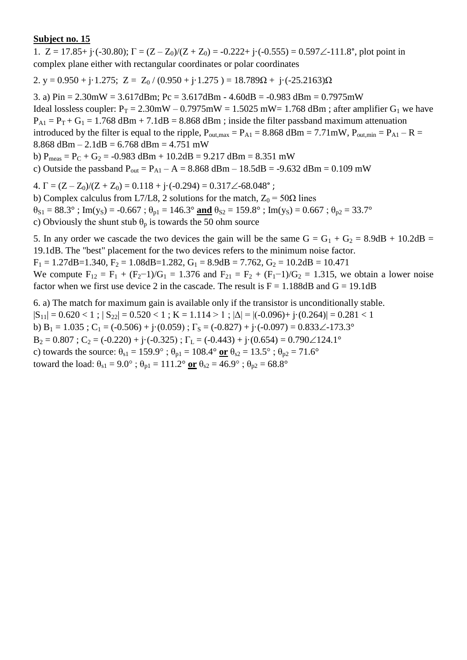1.  $Z = 17.85 + i \cdot (-30.80)$ ;  $\Gamma = (Z - Z_0)/(Z + Z_0) = -0.222 + i \cdot (-0.555) = 0.597\angle -111.8^\circ$ , plot point in complex plane either with rectangular coordinates or polar coordinates

2. y = 0.950 + j·1.275; Z = Z<sub>0</sub> / (0.950 + j·1.275) = 18.789 $\Omega$  + j·(-25.2163) $\Omega$ 

3. a)  $Pin = 2.30mW = 3.617dBm$ ;  $Pc = 3.617dBm - 4.60dB = -0.983dBm = 0.7975mW$ Ideal lossless coupler:  $P_T = 2.30$ mW – 0.7975mW = 1.5025 mW = 1.768 dBm; after amplifier G<sub>1</sub> we have  $P_{A1} = P_T + G_1 = 1.768$  dBm + 7.1dB = 8.868 dBm ; inside the filter passband maximum attenuation introduced by the filter is equal to the ripple,  $P_{\text{out,max}} = P_{\text{A1}} = 8.868$  dBm = 7.71mW,  $P_{\text{out,min}} = P_{\text{A1}} - R =$ 8.868 dBm – 2.1dB = 6.768 dBm = 4.751 mW b)  $P_{meas} = P_C + G_2 = -0.983$  dBm + 10.2dB = 9.217 dBm = 8.351 mW c) Outside the passband  $P_{out} = P_{A1} - A = 8.868$  dBm  $- 18.5$ dB = -9.632 dBm = 0.109 mW

4.  $\Gamma = (Z - Z_0)/(Z + Z_0) = 0.118 + i \cdot (-0.294) = 0.317 \angle 68.048^\circ$ ;

b) Complex calculus from L7/L8, 2 solutions for the match,  $Z_0 = 50\Omega$  lines  $\theta_{S1} = 88.3^\circ$ ; Im(y<sub>S</sub>) = -0.667;  $\theta_{p1} = 146.3^\circ$  and  $\theta_{S2} = 159.8^\circ$ ; Im(y<sub>S</sub>) = 0.667;  $\theta_{p2} = 33.7^\circ$ c) Obviously the shunt stub  $\theta_p$  is towards the 50 ohm source

5. In any order we cascade the two devices the gain will be the same  $G = G_1 + G_2 = 8.9dB + 10.2dB =$ 19.1dB. The "best" placement for the two devices refers to the minimum noise factor.  $F_1 = 1.27$ dB=1.340,  $F_2 = 1.08$ dB=1.282,  $G_1 = 8.9$ dB = 7.762,  $G_2 = 10.2$ dB = 10.471 We compute  $F_{12} = F_1 + (F_2 - 1)/G_1 = 1.376$  and  $F_{21} = F_2 + (F_1 - 1)/G_2 = 1.315$ , we obtain a lower noise

6. a) The match for maximum gain is available only if the transistor is unconditionally stable.  $|S_{11}| = 0.620 < 1$ ;  $|S_{22}| = 0.520 < 1$ ;  $K = 1.114 > 1$ ;  $|\Delta| = |(-0.096) + (-0.264)| = 0.281 < 1$ b)  $B_1 = 1.035$ ; C<sub>1</sub> = (-0.506) + j·(0.059);  $\Gamma_s = (-0.827) +$ j·(-0.097) = 0.833 $\angle$ -173.3°  $B_2 = 0.807$ ;  $C_2 = (-0.220) + i(-0.325)$ ;  $\Gamma_L = (-0.443) + i(0.654) = 0.790 \angle 124.1^\circ$ c) towards the source:  $\theta_{s1} = 159.9^\circ$ ;  $\theta_{p1} = 108.4^\circ$  or  $\theta_{s2} = 13.5^\circ$ ;  $\theta_{p2} = 71.6^\circ$ 

factor when we first use device 2 in the cascade. The result is  $F = 1.188 dB$  and  $G = 19.1dB$ 

toward the load:  $\theta_{s1} = 9.0^{\circ}$ ;  $\theta_{p1} = 111.2^{\circ}$  or  $\theta_{s2} = 46.9^{\circ}$ ;  $\theta_{p2} = 68.8^{\circ}$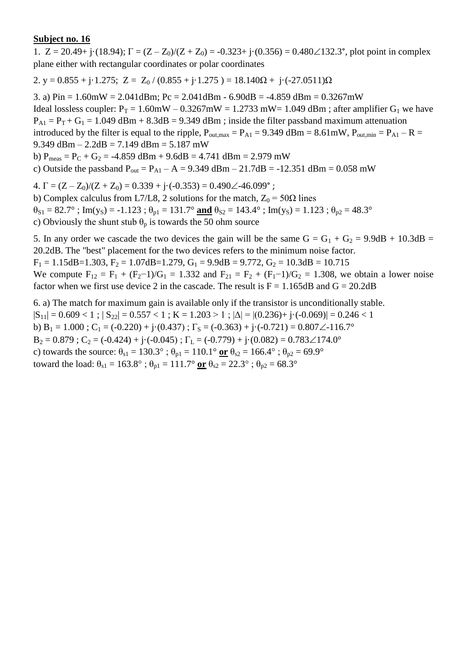1.  $Z = 20.49 + j \cdot (18.94)$ ;  $\Gamma = (Z - Z_0)/(Z + Z_0) = -0.323 + j \cdot (0.356) = 0.480 \angle 132.3^{\circ}$ , plot point in complex plane either with rectangular coordinates or polar coordinates

2. y =  $0.855 + j \cdot 1.275$ ; Z =  $Z_0 / (0.855 + j \cdot 1.275) = 18.140\Omega + j \cdot (-27.0511)\Omega$ 

3. a)  $Pin = 1.60mW = 2.041dBm$ ;  $Pc = 2.041dBm - 6.90dB = -4.859dBm = 0.3267mW$ Ideal lossless coupler:  $P_T = 1.60$ mW –  $0.3267$ mW = 1.2733 mW = 1.049 dBm; after amplifier G<sub>1</sub> we have  $P_{A1} = P_T + G_1 = 1.049$  dBm + 8.3dB = 9.349 dBm; inside the filter passband maximum attenuation introduced by the filter is equal to the ripple,  $P_{\text{out,max}} = P_{A1} = 9.349$  dBm = 8.61mW,  $P_{\text{out,min}} = P_{A1} - R =$ 9.349 dBm  $- 2.2$ dB  $= 7.149$  dBm  $= 5.187$  mW b)  $P_{meas} = P_C + G_2 = -4.859$  dBm + 9.6dB = 4.741 dBm = 2.979 mW c) Outside the passband  $P_{out} = P_{A1} - A = 9.349$  dBm  $- 21.7$ dB = -12.351 dBm = 0.058 mW

4.  $\Gamma = (Z - Z_0)/(Z + Z_0) = 0.339 + j \cdot (-0.353) = 0.490\angle -46.099^\circ$ ;

b) Complex calculus from L7/L8, 2 solutions for the match,  $Z_0 = 50\Omega$  lines  $\theta_{S1} = 82.7^\circ$ ; Im(y<sub>S</sub>) = -1.123;  $\theta_{p1} = 131.7^\circ$  and  $\theta_{S2} = 143.4^\circ$ ; Im(y<sub>S</sub>) = 1.123;  $\theta_{p2} = 48.3^\circ$ 

c) Obviously the shunt stub  $\theta_p$  is towards the 50 ohm source

5. In any order we cascade the two devices the gain will be the same  $G = G_1 + G_2 = 9.9dB + 10.3dB =$ 20.2dB. The "best" placement for the two devices refers to the minimum noise factor.  $F_1 = 1.15$ dB=1.303,  $F_2 = 1.07$ dB=1.279,  $G_1 = 9.9$ dB = 9.772,  $G_2 = 10.3$ dB = 10.715

We compute  $F_{12} = F_1 + (F_2 - 1)/G_1 = 1.332$  and  $F_{21} = F_2 + (F_1 - 1)/G_2 = 1.308$ , we obtain a lower noise factor when we first use device 2 in the cascade. The result is  $F = 1.165 dB$  and  $G = 20.2dB$ 

6. a) The match for maximum gain is available only if the transistor is unconditionally stable.  $|S_{11}| = 0.609 < 1$ ;  $|S_{22}| = 0.557 < 1$ ;  $K = 1.203 > 1$ ;  $|\Delta| = |(0.236) + j \cdot (-0.069)| = 0.246 < 1$ b) B<sub>1</sub> = 1.000 ; C<sub>1</sub> = (-0.220) + j·(0.437) ;  $\Gamma$ <sub>S</sub> = (-0.363) + j·(-0.721) = 0.807 $\angle$ -116.7°  $B_2 = 0.879$ ;  $C_2 = (-0.424) + i(-0.045)$ ;  $\Gamma_L = (-0.779) + i(0.082) = 0.783 \angle 174.0^\circ$ c) towards the source:  $\theta_{s1} = 130.3^\circ$ ;  $\theta_{p1} = 110.1^\circ$  or  $\theta_{s2} = 166.4^\circ$ ;  $\theta_{p2} = 69.9^\circ$ toward the load:  $\theta_{s1} = 163.8^\circ$ ;  $\theta_{p1} = 111.7^\circ$  or  $\theta_{s2} = 22.3^\circ$ ;  $\theta_{p2} = 68.3^\circ$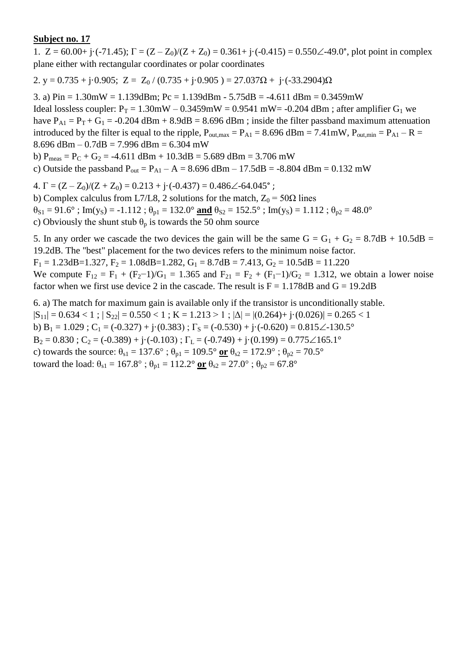1.  $Z = 60.00 + i(-71.45)$ ;  $\Gamma = (Z - Z_0)/(Z + Z_0) = 0.361 + i(-0.415) = 0.550\angle 49.0^{\circ}$ , plot point in complex plane either with rectangular coordinates or polar coordinates

2. y = 0.735 + j·0.905; Z = Z<sub>0</sub> / (0.735 + j·0.905 ) = 27.037 $\Omega$  + j·(-33.2904) $\Omega$ 

3. a) Pin = 1.30mW = 1.139dBm; Pc = 1.139dBm - 5.75dB = -4.611 dBm = 0.3459mW Ideal lossless coupler:  $P_T = 1.30$ mW – 0.3459mW = 0.9541 mW = -0.204 dBm; after amplifier G<sub>1</sub> we have  $P_{A1} = P_T + G_1 = -0.204$  dBm + 8.9dB = 8.696 dBm ; inside the filter passband maximum attenuation introduced by the filter is equal to the ripple,  $P_{\text{out,max}} = P_{A1} = 8.696$  dBm = 7.41mW,  $P_{\text{out,min}} = P_{A1} - R =$ 8.696 dBm –  $0.7$ dB = 7.996 dBm = 6.304 mW b)  $P_{meas} = P_C + G_2 = -4.611$  dBm + 10.3dB = 5.689 dBm = 3.706 mW

c) Outside the passband  $P_{out} = P_{A1} - A = 8.696$  dBm  $- 17.5$ dB = -8.804 dBm = 0.132 mW

4.  $\Gamma = (Z - Z_0)/(Z + Z_0) = 0.213 + i \cdot (-0.437) = 0.486 \angle -64.045^{\circ}$ ;

b) Complex calculus from L7/L8, 2 solutions for the match,  $Z_0 = 50\Omega$  lines  $\theta_{S1} = 91.6^\circ$ ; Im(y<sub>S</sub>) = -1.112;  $\theta_{p1} = 132.0^\circ$  and  $\theta_{S2} = 152.5^\circ$ ; Im(y<sub>S</sub>) = 1.112;  $\theta_{p2} = 48.0^\circ$ c) Obviously the shunt stub  $\theta_p$  is towards the 50 ohm source

5. In any order we cascade the two devices the gain will be the same  $G = G_1 + G_2 = 8.7dB + 10.5dB =$ 19.2dB. The "best" placement for the two devices refers to the minimum noise factor.  $F_1 = 1.23$ dB=1.327,  $F_2 = 1.08$ dB=1.282,  $G_1 = 8.7$ dB = 7.413,  $G_2 = 10.5$ dB = 11.220

We compute  $F_{12} = F_1 + (F_2 - 1)/G_1 = 1.365$  and  $F_{21} = F_2 + (F_1 - 1)/G_2 = 1.312$ , we obtain a lower noise factor when we first use device 2 in the cascade. The result is  $F = 1.178 dB$  and  $G = 19.2dB$ 

6. a) The match for maximum gain is available only if the transistor is unconditionally stable.  $|S_{11}| = 0.634 < 1$ ;  $|S_{22}| = 0.550 < 1$ ;  $K = 1.213 > 1$ ;  $|\Delta| = |(0.264) + j(0.026)| = 0.265 < 1$ b)  $B_1 = 1.029$ ;  $C_1 = (-0.327) + j(0.383)$ ;  $\Gamma_s = (-0.530) + j(-0.620) = 0.815\angle 130.5^\circ$  $B_2 = 0.830$ ;  $C_2 = (-0.389) + i(-0.103)$ ;  $\Gamma_L = (-0.749) + i(0.199) = 0.775\angle{165.1}^{\circ}$ c) towards the source:  $\theta_{s1} = 137.6^\circ$ ;  $\theta_{p1} = 109.5^\circ$  or  $\theta_{s2} = 172.9^\circ$ ;  $\theta_{p2} = 70.5^\circ$ toward the load:  $\theta_{s1} = 167.8^\circ$ ;  $\theta_{p1} = 112.2^\circ$  or  $\theta_{s2} = 27.0^\circ$ ;  $\theta_{p2} = 67.8^\circ$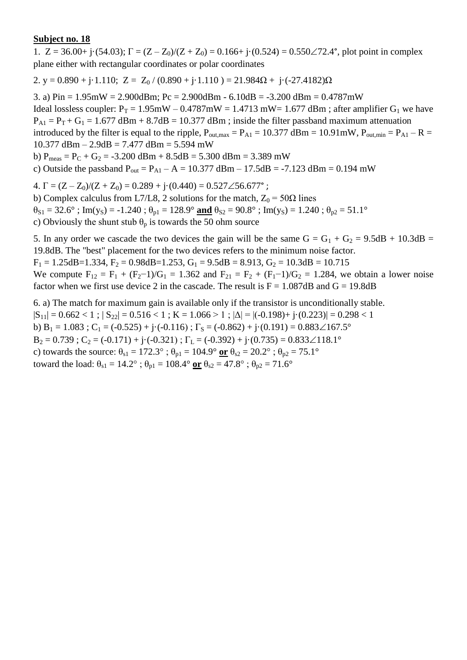1.  $Z = 36.00 + j \cdot (54.03)$ ;  $\Gamma = (Z - Z_0)/(Z + Z_0) = 0.166 + j \cdot (0.524) = 0.550 \angle 72.4^{\circ}$ , plot point in complex plane either with rectangular coordinates or polar coordinates

2. y = 0.890 + j·1.110; Z = Z<sub>0</sub> / (0.890 + j·1.110 ) = 21.984 $\Omega$  + j·(-27.4182) $\Omega$ 

3. a)  $Pin = 1.95mW = 2.900dBm$ ;  $Pc = 2.900dBm - 6.10dB = -3.200dBm = 0.4787mW$ 

Ideal lossless coupler:  $P_T = 1.95$ mW – 0.4787mW = 1.4713 mW = 1.677 dBm; after amplifier G<sub>1</sub> we have  $P_{A1} = P_T + G_1 = 1.677$  dBm + 8.7dB = 10.377 dBm; inside the filter passband maximum attenuation introduced by the filter is equal to the ripple,  $P_{\text{out,max}} = P_{\text{A1}} = 10.377 \text{ dBm} = 10.91 \text{mW}$ ,  $P_{\text{out,min}} = P_{\text{A1}} - R =$ 

10.377 dBm – 2.9dB = 7.477 dBm = 5.594 mW

b)  $P_{meas} = P_C + G_2 = -3.200$  dBm +  $8.5$ dB =  $5.300$  dBm =  $3.389$  mW

c) Outside the passband  $P_{out} = P_{A1} - A = 10.377$  dBm – 17.5dB = -7.123 dBm = 0.194 mW

4.  $\Gamma = (Z - Z_0)/(Z + Z_0) = 0.289 + i \cdot (0.440) = 0.527 \angle 56.677^{\circ}$ ;

b) Complex calculus from L7/L8, 2 solutions for the match,  $Z_0 = 50\Omega$  lines

 $\theta_{S1} = 32.6^\circ$ ; Im(y<sub>S</sub>) = -1.240;  $\theta_{p1} = 128.9^\circ$  and  $\theta_{S2} = 90.8^\circ$ ; Im(y<sub>S</sub>) = 1.240;  $\theta_{p2} = 51.1^\circ$ 

c) Obviously the shunt stub  $\theta_p$  is towards the 50 ohm source

5. In any order we cascade the two devices the gain will be the same  $G = G_1 + G_2 = 9.5dB + 10.3dB =$ 19.8dB. The "best" placement for the two devices refers to the minimum noise factor.

 $F_1 = 1.25$ dB=1.334,  $F_2 = 0.98$ dB=1.253,  $G_1 = 9.5$ dB = 8.913,  $G_2 = 10.3$ dB = 10.715 We compute  $F_{12} = F_1 + (F_2 - 1)/G_1 = 1.362$  and  $F_{21} = F_2 + (F_1 - 1)/G_2 = 1.284$ , we obtain a lower noise factor when we first use device 2 in the cascade. The result is  $F = 1.087dB$  and  $G = 19.8dB$ 

6. a) The match for maximum gain is available only if the transistor is unconditionally stable.  $|S_{11}| = 0.662 < 1$ ;  $|S_{22}| = 0.516 < 1$ ;  $K = 1.066 > 1$ ;  $|\Delta| = |(-0.198) + (-0.223)| = 0.298 < 1$ b) B<sub>1</sub> = 1.083 ; C<sub>1</sub> = (-0.525) + j·(-0.116) ;  $\Gamma$ <sub>S</sub> = (-0.862) + j·(0.191) = 0.883 $\angle 167.5^\circ$  $B_2 = 0.739$ ;  $C_2 = (-0.171) + (-0.321)$ ;  $\Gamma_L = (-0.392) + (-0.735) = 0.833 \measuredangle 118.1^\circ$ c) towards the source:  $\theta_{s1} = 172.3^\circ$ ;  $\theta_{p1} = 104.9^\circ$  or  $\theta_{s2} = 20.2^\circ$ ;  $\theta_{p2} = 75.1^\circ$ toward the load:  $\theta_{s1} = 14.2^\circ$ ;  $\theta_{p1} = 108.4^\circ$  or  $\theta_{s2} = 47.8^\circ$ ;  $\theta_{p2} = 71.6^\circ$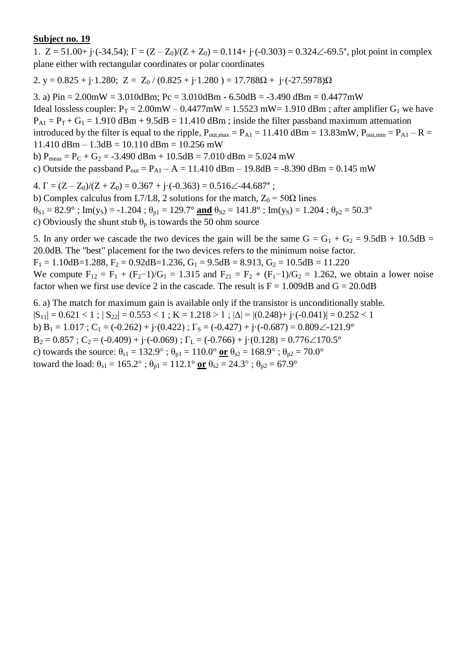1.  $Z = 51.00 + j \cdot (-34.54)$ ;  $\Gamma = (Z - Z_0)/(Z + Z_0) = 0.114 + j \cdot (-0.303) = 0.324 \angle 69.5^{\circ}$ , plot point in complex plane either with rectangular coordinates or polar coordinates

2. y =  $0.825 + j \cdot 1.280$ ; Z =  $Z_0$  /  $(0.825 + j \cdot 1.280)$  =  $17.788\Omega + j \cdot (-27.5978)\Omega$ 

3. a)  $Pin = 2.00mW = 3.010dBm$ ;  $Pc = 3.010dBm - 6.50dB = -3.490dBm = 0.4477mW$ 

Ideal lossless coupler:  $P_T = 2.00$ mW –  $0.4477$ mW = 1.5523 mW= 1.910 dBm; after amplifier G<sub>1</sub> we have  $P_{A1} = P_T + G_1 = 1.910$  dBm + 9.5dB = 11.410 dBm; inside the filter passband maximum attenuation introduced by the filter is equal to the ripple,  $P_{\text{out,max}} = P_{\text{A1}} = 11.410 \text{ dBm} = 13.83 \text{mW}$ ,  $P_{\text{out,min}} = P_{\text{A1}} - R =$ 

 $11.410$  dBm  $- 1.3$ dB  $= 10.110$  dBm  $= 10.256$  mW

b)  $P_{meas} = P_C + G_2 = -3.490$  dBm + 10.5dB = 7.010 dBm = 5.024 mW

c) Outside the passband  $P_{out} = P_{A1} - A = 11.410$  dBm – 19.8dB = -8.390 dBm = 0.145 mW

4.  $\Gamma = (Z - Z_0)/(Z + Z_0) = 0.367 + i \cdot (-0.363) = 0.516 \angle 44.687$ °;

b) Complex calculus from L7/L8, 2 solutions for the match,  $Z_0 = 50\Omega$  lines  $\theta_{S1} = 82.9^\circ$ ; Im(y<sub>S</sub>) = -1.204;  $\theta_{p1} = 129.7^\circ$  and  $\theta_{S2} = 141.8^\circ$ ; Im(y<sub>S</sub>) = 1.204;  $\theta_{p2} = 50.3^\circ$ 

c) Obviously the shunt stub  $\theta_p$  is towards the 50 ohm source

5. In any order we cascade the two devices the gain will be the same  $G = G_1 + G_2 = 9.5dB + 10.5dB =$ 20.0dB. The "best" placement for the two devices refers to the minimum noise factor.

 $F_1 = 1.10$ dB=1.288,  $F_2 = 0.92$ dB=1.236,  $G_1 = 9.5$ dB = 8.913,  $G_2 = 10.5$ dB = 11.220

We compute  $F_{12} = F_1 + (F_2 - 1)/G_1 = 1.315$  and  $F_{21} = F_2 + (F_1 - 1)/G_2 = 1.262$ , we obtain a lower noise factor when we first use device 2 in the cascade. The result is  $F = 1.009dB$  and  $G = 20.0dB$ 

6. a) The match for maximum gain is available only if the transistor is unconditionally stable.  $|S_{11}| = 0.621 < 1$ ;  $|S_{22}| = 0.553 < 1$ ;  $K = 1.218 > 1$ ;  $|\Delta| = |(0.248) + j \cdot (-0.041)| = 0.252 < 1$ b)  $B_1 = 1.017$ ;  $C_1 = (-0.262) + j \cdot (0.422)$ ;  $\Gamma_s = (-0.427) + j \cdot (-0.687) = 0.809 \angle -121.9^\circ$  $B_2 = 0.857$ ;  $C_2 = (-0.409) + i(-0.069)$ ;  $\Gamma_L = (-0.766) + i(0.128) = 0.776\angle{170.5^\circ}$ c) towards the source:  $\theta_{s1} = 132.9^\circ$ ;  $\theta_{p1} = 110.0^\circ$  or  $\theta_{s2} = 168.9^\circ$ ;  $\theta_{p2} = 70.0^\circ$ toward the load:  $\theta_{s1} = 165.2^{\circ}$ ;  $\theta_{p1} = 112.1^{\circ}$  or  $\theta_{s2} = 24.3^{\circ}$ ;  $\theta_{p2} = 67.9^{\circ}$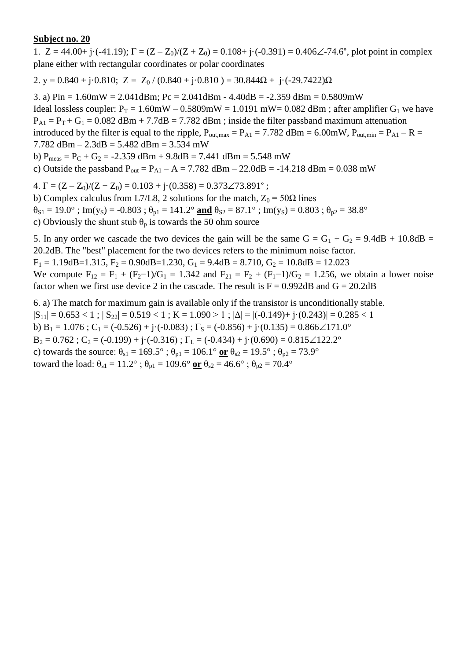1.  $Z = 44.00 + i \cdot (-41.19)$ ;  $\Gamma = (Z - Z_0)/(Z + Z_0) = 0.108 + i \cdot (-0.391) = 0.406\angle -74.6^{\circ}$ , plot point in complex plane either with rectangular coordinates or polar coordinates

2. y = 0.840 + j·0.810; Z = Z<sub>0</sub> / (0.840 + j·0.810 ) = 30.844 $\Omega$  + j·(-29.7422) $\Omega$ 

3. a)  $Pin = 1.60mW = 2.041dBm$ ;  $Pc = 2.041dBm - 4.40dB = -2.359dBm = 0.5809mW$ Ideal lossless coupler:  $P_T = 1.60$ mW – 0.5809mW = 1.0191 mW= 0.082 dBm; after amplifier G<sub>1</sub> we have  $P_{A1} = P_T + G_1 = 0.082$  dBm + 7.7dB = 7.782 dBm ; inside the filter passband maximum attenuation introduced by the filter is equal to the ripple,  $P_{\text{out,max}} = P_{A1} = 7.782 \text{ dBm} = 6.00 \text{mW}$ ,  $P_{\text{out,min}} = P_{A1} - R =$ 7.782 dBm  $- 2.3$ dB  $= 5.482$  dBm  $= 3.534$  mW b)  $P_{meas} = P_C + G_2 = -2.359$  dBm + 9.8dB = 7.441 dBm = 5.548 mW c) Outside the passband  $P_{out} = P_{A1} - A = 7.782$  dBm  $- 22.0$ dB = -14.218 dBm = 0.038 mW

4.  $\Gamma = (Z - Z_0)/(Z + Z_0) = 0.103 + j(0.358) = 0.373\angle 73.891^\circ$ ;

b) Complex calculus from L7/L8, 2 solutions for the match,  $Z_0 = 50\Omega$  lines  $\theta_{S1} = 19.0^\circ$ ; Im(y<sub>S</sub>) = -0.803;  $\theta_{p1} = 141.2^\circ$  and  $\theta_{S2} = 87.1^\circ$ ; Im(y<sub>S</sub>) = 0.803;  $\theta_{p2} = 38.8^\circ$ c) Obviously the shunt stub  $\theta_p$  is towards the 50 ohm source

5. In any order we cascade the two devices the gain will be the same  $G = G_1 + G_2 = 9.4dB + 10.8dB =$ 20.2dB. The "best" placement for the two devices refers to the minimum noise factor.  $F_1 = 1.19$ dB=1.315,  $F_2 = 0.90$ dB=1.230,  $G_1 = 9.4$ dB = 8.710,  $G_2 = 10.8$ dB = 12.023

We compute  $F_{12} = F_1 + (F_2 - 1)/G_1 = 1.342$  and  $F_{21} = F_2 + (F_1 - 1)/G_2 = 1.256$ , we obtain a lower noise factor when we first use device 2 in the cascade. The result is  $F = 0.992dB$  and  $G = 20.2dB$ 

6. a) The match for maximum gain is available only if the transistor is unconditionally stable.  $|S_{11}| = 0.653 < 1$ ;  $|S_{22}| = 0.519 < 1$ ;  $K = 1.090 > 1$ ;  $|\Delta| = |(-0.149) + (-0.243)| = 0.285 < 1$ b)  $B_1 = 1.076$ ;  $C_1 = (-0.526) + j \cdot (-0.083)$ ;  $\Gamma_s = (-0.856) + j \cdot (0.135) = 0.866 \angle 171.0^\circ$  $B_2 = 0.762$ ;  $C_2 = (-0.199) + (-0.316)$ ;  $\Gamma_L = (-0.434) + (-0.690) = 0.815 \angle 122.2^\circ$ c) towards the source:  $\theta_{s1} = 169.5^\circ$ ;  $\theta_{p1} = 106.1^\circ$  or  $\theta_{s2} = 19.5^\circ$ ;  $\theta_{p2} = 73.9^\circ$ toward the load:  $\theta_{s1} = 11.2^\circ$ ;  $\theta_{p1} = 109.6^\circ$  or  $\theta_{s2} = 46.6^\circ$ ;  $\theta_{p2} = 70.4^\circ$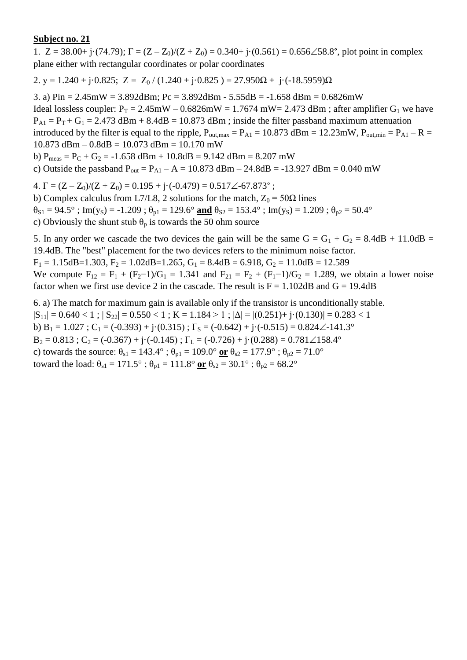1.  $Z = 38.00 + j \cdot (74.79)$ ;  $\Gamma = (Z - Z_0)/(Z + Z_0) = 0.340 + j \cdot (0.561) = 0.656 \angle 58.8^\circ$ , plot point in complex plane either with rectangular coordinates or polar coordinates

2. y = 1.240 + j·0.825; Z = Z<sub>0</sub> / (1.240 + j·0.825) = 27.950 $\Omega$  + j·(-18.5959) $\Omega$ 

3. a) Pin = 2.45mW = 3.892dBm; Pc = 3.892dBm - 5.55dB = -1.658 dBm = 0.6826mW Ideal lossless coupler:  $P_T = 2.45 \text{mW} - 0.6826 \text{mW} = 1.7674 \text{ mW} = 2.473 \text{ dBm}$ ; after amplifier  $G_1$  we have  $P_{A1} = P_T + G_1 = 2.473$  dBm + 8.4dB = 10.873 dBm; inside the filter passband maximum attenuation introduced by the filter is equal to the ripple,  $P_{\text{out,max}} = P_{\text{A1}} = 10.873 \text{ dBm} = 12.23 \text{mW}$ ,  $P_{\text{out,min}} = P_{\text{A1}} - R =$  $10.873$  dBm  $- 0.8$ dB  $= 10.073$  dBm  $= 10.170$  mW b)  $P_{meas} = P_C + G_2 = -1.658$  dBm + 10.8dB = 9.142 dBm = 8.207 mW

c) Outside the passband  $P_{out} = P_{A1} - A = 10.873$  dBm – 24.8dB = -13.927 dBm = 0.040 mW

4.  $\Gamma = (Z - Z_0)/(Z + Z_0) = 0.195 + i \cdot (-0.479) = 0.517 \angle 67.873$ °;

b) Complex calculus from L7/L8, 2 solutions for the match,  $Z_0 = 50\Omega$  lines  $\theta_{S1} = 94.5^\circ$ ; Im(y<sub>S</sub>) = -1.209;  $\theta_{p1} = 129.6^\circ$  and  $\theta_{S2} = 153.4^\circ$ ; Im(y<sub>S</sub>) = 1.209;  $\theta_{p2} = 50.4^\circ$ c) Obviously the shunt stub  $\theta_p$  is towards the 50 ohm source

5. In any order we cascade the two devices the gain will be the same  $G = G_1 + G_2 = 8.4dB + 11.0dB =$ 19.4dB. The "best" placement for the two devices refers to the minimum noise factor.  $F_1 = 1.15$ dB=1.303,  $F_2 = 1.02$ dB=1.265,  $G_1 = 8.4$ dB = 6.918,  $G_2 = 11.0$ dB = 12.589

We compute  $F_{12} = F_1 + (F_2 - 1)/G_1 = 1.341$  and  $F_{21} = F_2 + (F_1 - 1)/G_2 = 1.289$ , we obtain a lower noise factor when we first use device 2 in the cascade. The result is  $F = 1.102 dB$  and  $G = 19.4dB$ 

6. a) The match for maximum gain is available only if the transistor is unconditionally stable.  $|S_{11}| = 0.640 < 1$ ;  $|S_{22}| = 0.550 < 1$ ;  $K = 1.184 > 1$ ;  $|\Delta| = |(0.251) + j(0.130)| = 0.283 < 1$ b)  $B_1 = 1.027$ ;  $C_1 = (-0.393) + j(0.315)$ ;  $\Gamma_s = (-0.642) + j(-0.515) = 0.824 \angle -141.3^\circ$  $B_2 = 0.813$ ;  $C_2 = (-0.367) + i(-0.145)$ ;  $\Gamma_L = (-0.726) + i(0.288) = 0.781 \angle 158.4^\circ$ c) towards the source:  $\theta_{s1} = 143.4^\circ$ ;  $\theta_{p1} = 109.0^\circ$  or  $\theta_{s2} = 177.9^\circ$ ;  $\theta_{p2} = 71.0^\circ$ toward the load:  $\theta_{s1} = 171.5^\circ$ ;  $\theta_{p1} = 111.8^\circ$  or  $\theta_{s2} = 30.1^\circ$ ;  $\theta_{p2} = 68.2^\circ$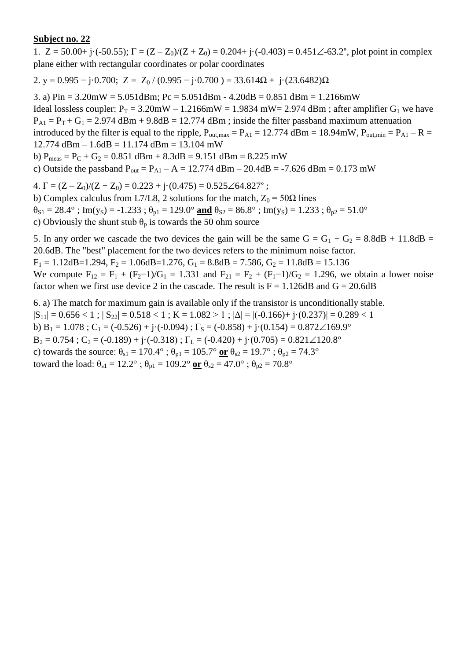1.  $Z = 50.00 + i(-50.55)$ ;  $\Gamma = (Z - Z_0)/(Z + Z_0) = 0.204 + i(-0.403) = 0.451\angle -63.2^{\circ}$ , plot point in complex plane either with rectangular coordinates or polar coordinates

2. y = 0.995 – j·0.700; Z = Z<sub>0</sub> / (0.995 – j·0.700 ) = 33.614 $\Omega$  + j·(23.6482) $\Omega$ 

3. a)  $Pin = 3.20mW = 5.051dBm$ ;  $Pc = 5.051dBm - 4.20dB = 0.851dBm = 1.2166mW$ Ideal lossless coupler:  $P_T = 3.20$ mW – 1.2166mW = 1.9834 mW = 2.974 dBm; after amplifier G<sub>1</sub> we have  $P_{A1} = P_T + G_1 = 2.974$  dBm + 9.8dB = 12.774 dBm; inside the filter passband maximum attenuation introduced by the filter is equal to the ripple,  $P_{\text{out,max}} = P_{A1} = 12.774 \text{ dBm} = 18.94 \text{mW}$ ,  $P_{\text{out,min}} = P_{A1} - R =$  $12.774$  dBm  $- 1.6$ dB  $= 11.174$  dBm  $= 13.104$  mW

b)  $P_{meas} = P_C + G_2 = 0.851$  dBm + 8.3dB = 9.151 dBm = 8.225 mW

c) Outside the passband  $P_{out} = P_{A1} - A = 12.774$  dBm – 20.4dB = -7.626 dBm = 0.173 mW

4.  $\Gamma = (Z - Z_0)/(Z + Z_0) = 0.223 + i \cdot (0.475) = 0.525 \angle 64.827$ °;

b) Complex calculus from L7/L8, 2 solutions for the match,  $Z_0 = 50\Omega$  lines  $\theta_{S1} = 28.4^\circ$ ; Im(y<sub>S</sub>) = -1.233;  $\theta_{p1} = 129.0^\circ$  and  $\theta_{S2} = 86.8^\circ$ ; Im(y<sub>S</sub>) = 1.233;  $\theta_{p2} = 51.0^\circ$ c) Obviously the shunt stub  $\theta_p$  is towards the 50 ohm source

5. In any order we cascade the two devices the gain will be the same  $G = G_1 + G_2 = 8.8dB + 11.8dB =$ 20.6dB. The "best" placement for the two devices refers to the minimum noise factor.

 $F_1 = 1.12$ dB=1.294,  $F_2 = 1.06$ dB=1.276,  $G_1 = 8.8$ dB = 7.586,  $G_2 = 11.8$ dB = 15.136

We compute  $F_{12} = F_1 + (F_2 - 1)/G_1 = 1.331$  and  $F_{21} = F_2 + (F_1 - 1)/G_2 = 1.296$ , we obtain a lower noise factor when we first use device 2 in the cascade. The result is  $F = 1.126 dB$  and  $G = 20.6dB$ 

6. a) The match for maximum gain is available only if the transistor is unconditionally stable.  $|S_{11}| = 0.656 < 1$ ;  $|S_{22}| = 0.518 < 1$ ;  $K = 1.082 > 1$ ;  $|\Delta| = |(-0.166) + (-0.237)| = 0.289 < 1$ b)  $B_1 = 1.078$ ; C<sub>1</sub> = (-0.526) + j·(-0.094);  $\Gamma_s =$  (-0.858) + j·(0.154) = 0.872 $\angle$ 169.9°  $B_2 = 0.754$ ;  $C_2 = (-0.189) + i(-0.318)$ ;  $\Gamma_L = (-0.420) + i(0.705) = 0.821 \angle 120.8^\circ$ c) towards the source:  $\theta_{s1} = 170.4^\circ$ ;  $\theta_{p1} = 105.7^\circ$  or  $\theta_{s2} = 19.7^\circ$ ;  $\theta_{p2} = 74.3^\circ$ toward the load:  $\theta_{s1} = 12.2^\circ$ ;  $\theta_{p1} = 109.2^\circ$  or  $\theta_{s2} = 47.0^\circ$ ;  $\theta_{p2} = 70.8^\circ$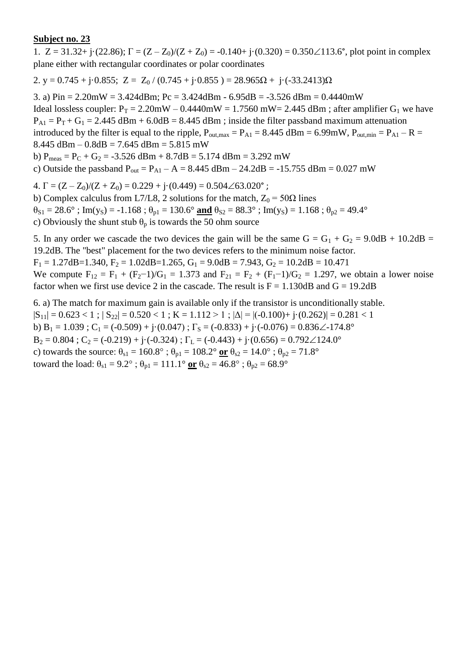1.  $Z = 31.32 + j(22.86)$ ;  $\Gamma = (Z - Z_0)/(Z + Z_0) = -0.140 + j(0.320) = 0.350 \angle 113.6^{\circ}$ , plot point in complex plane either with rectangular coordinates or polar coordinates

2. y = 0.745 + j·0.855; Z = Z<sub>0</sub> / (0.745 + j·0.855) = 28.965 $\Omega$  + j·(-33.2413) $\Omega$ 

3. a) Pin = 2.20mW = 3.424dBm; Pc = 3.424dBm - 6.95dB = -3.526 dBm = 0.4440mW Ideal lossless coupler:  $P_T = 2.20$ mW – 0.4440mW = 1.7560 mW = 2.445 dBm; after amplifier G<sub>1</sub> we have  $P_{A1} = P_T + G_1 = 2.445$  dBm + 6.0dB = 8.445 dBm ; inside the filter passband maximum attenuation introduced by the filter is equal to the ripple,  $P_{\text{out,max}} = P_{\text{A1}} = 8.445 \text{ dBm} = 6.99 \text{mW}$ ,  $P_{\text{out,min}} = P_{\text{A1}} - R =$  $8.445$  dBm  $- 0.8$ dB  $= 7.645$  dBm  $= 5.815$  mW b)  $P_{meas} = P_C + G_2 = -3.526$  dBm + 8.7dB = 5.174 dBm = 3.292 mW c) Outside the passband  $P_{out} = P_{A1} - A = 8.445$  dBm  $- 24.2$ dB = -15.755 dBm = 0.027 mW

4.  $\Gamma = (Z - Z_0)/(Z + Z_0) = 0.229 + j(0.449) = 0.504\angle 63.020^\circ$ ;

b) Complex calculus from L7/L8, 2 solutions for the match,  $Z_0 = 50\Omega$  lines  $\theta_{S1} = 28.6^\circ$ ; Im(y<sub>S</sub>) = -1.168;  $\theta_{p1} = 130.6^\circ$  and  $\theta_{S2} = 88.3^\circ$ ; Im(y<sub>S</sub>) = 1.168;  $\theta_{p2} = 49.4^\circ$ 

c) Obviously the shunt stub  $\theta_p$  is towards the 50 ohm source

5. In any order we cascade the two devices the gain will be the same  $G = G_1 + G_2 = 9.0dB + 10.2dB =$ 19.2dB. The "best" placement for the two devices refers to the minimum noise factor.  $F_1 = 1.27$ dB=1.340,  $F_2 = 1.02$ dB=1.265,  $G_1 = 9.0$ dB = 7.943,  $G_2 = 10.2$ dB = 10.471

We compute  $F_{12} = F_1 + (F_2 - 1)/G_1 = 1.373$  and  $F_{21} = F_2 + (F_1 - 1)/G_2 = 1.297$ , we obtain a lower noise factor when we first use device 2 in the cascade. The result is  $F = 1.130dB$  and  $G = 19.2dB$ 

6. a) The match for maximum gain is available only if the transistor is unconditionally stable.  $|S_{11}| = 0.623 < 1$ ;  $|S_{22}| = 0.520 < 1$ ;  $K = 1.112 > 1$ ;  $|\Delta| = |(-0.100) + (-0.262)| = 0.281 < 1$ b) B<sub>1</sub> = 1.039 ; C<sub>1</sub> = (-0.509) + j·(0.047) ;  $\Gamma$ <sub>S</sub> = (-0.833) + j·(-0.076) = 0.836 $\angle$ -174.8°  $B_2 = 0.804$ ;  $C_2 = (-0.219) + i(-0.324)$ ;  $\Gamma_L = (-0.443) + i(0.656) = 0.792 \angle 124.0^\circ$ c) towards the source:  $\theta_{s1} = 160.8^\circ$ ;  $\theta_{p1} = 108.2^\circ$  or  $\theta_{s2} = 14.0^\circ$ ;  $\theta_{p2} = 71.8^\circ$ toward the load:  $\theta_{s1} = 9.2^{\circ}$ ;  $\theta_{p1} = 111.1^{\circ}$  or  $\theta_{s2} = 46.8^{\circ}$ ;  $\theta_{p2} = 68.9^{\circ}$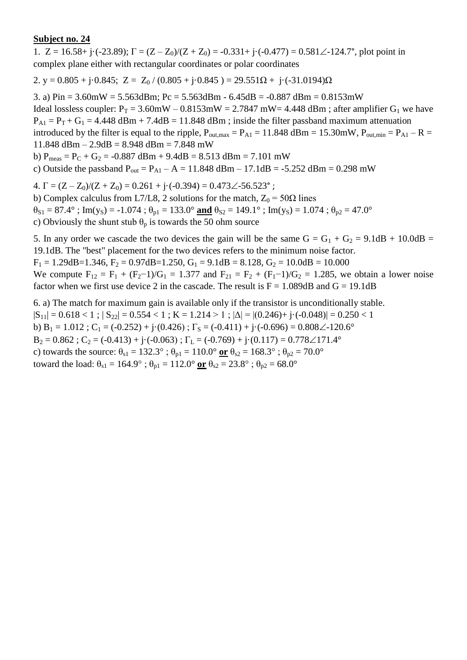1.  $Z = 16.58 + i \cdot (-23.89)$ ;  $\Gamma = (Z - Z_0)/(Z + Z_0) = -0.331 + i \cdot (-0.477) = 0.581 \angle 124.7^\circ$ , plot point in complex plane either with rectangular coordinates or polar coordinates

2. y =  $0.805 + j \cdot 0.845$ ; Z =  $Z_0$  /  $(0.805 + j \cdot 0.845)$  =  $29.551\Omega + j \cdot (-31.0194)\Omega$ 

3. a) Pin =  $3.60$ mW =  $5.563$ dBm; Pc =  $5.563$ dBm -  $6.45$ dB =  $-0.887$  dBm =  $0.8153$ mW Ideal lossless coupler:  $P_T = 3.60$ mW – 0.8153mW = 2.7847 mW= 4.448 dBm; after amplifier G<sub>1</sub> we have  $P_{A1} = P_T + G_1 = 4.448$  dBm + 7.4dB = 11.848 dBm ; inside the filter passband maximum attenuation introduced by the filter is equal to the ripple,  $P_{\text{out,max}} = P_{\text{A1}} = 11.848 \text{ dBm} = 15.30 \text{mW}$ ,  $P_{\text{out,min}} = P_{\text{A1}} - R =$ 11.848 dBm – 2.9dB = 8.948 dBm = 7.848 mW b)  $P_{meas} = P_C + G_2 = -0.887$  dBm + 9.4dB = 8.513 dBm = 7.101 mW

c) Outside the passband  $P_{out} = P_{A1} - A = 11.848$  dBm – 17.1dB = -5.252 dBm = 0.298 mW

4.  $\Gamma = (Z - Z_0)/(Z + Z_0) = 0.261 + i \cdot (-0.394) = 0.473 \angle 56.523$ °;

b) Complex calculus from L7/L8, 2 solutions for the match,  $Z_0 = 50\Omega$  lines  $\theta_{S1} = 87.4^\circ$ ; Im(y<sub>S</sub>) = -1.074;  $\theta_{p1} = 133.0^\circ$  and  $\theta_{S2} = 149.1^\circ$ ; Im(y<sub>S</sub>) = 1.074;  $\theta_{p2} = 47.0^\circ$ 

c) Obviously the shunt stub  $\theta_p$  is towards the 50 ohm source

5. In any order we cascade the two devices the gain will be the same  $G = G_1 + G_2 = 9.1dB + 10.0dB =$ 19.1dB. The "best" placement for the two devices refers to the minimum noise factor.  $F_1 = 1.29$ dB=1.346,  $F_2 = 0.97$ dB=1.250,  $G_1 = 9.1$ dB = 8.128,  $G_2 = 10.0$ dB = 10.000

We compute  $F_{12} = F_1 + (F_2 - 1)/G_1 = 1.377$  and  $F_{21} = F_2 + (F_1 - 1)/G_2 = 1.285$ , we obtain a lower noise factor when we first use device 2 in the cascade. The result is  $F = 1.089dB$  and  $G = 19.1dB$ 

6. a) The match for maximum gain is available only if the transistor is unconditionally stable.  $|S_{11}| = 0.618 < 1$ ;  $|S_{22}| = 0.554 < 1$ ;  $K = 1.214 > 1$ ;  $|\Delta| = |(0.246) + j \cdot (-0.048)| = 0.250 < 1$ b)  $B_1 = 1.012$ ;  $C_1 = (-0.252) + j \cdot (0.426)$ ;  $\Gamma_s = (-0.411) + j \cdot (-0.696) = 0.808 \angle 120.6^\circ$  $B_2 = 0.862$ ;  $C_2 = (-0.413) + i(-0.063)$ ;  $\Gamma_L = (-0.769) + i(0.117) = 0.778\angle 171.4^\circ$ c) towards the source:  $\theta_{s1} = 132.3^\circ$ ;  $\theta_{p1} = 110.0^\circ$  or  $\theta_{s2} = 168.3^\circ$ ;  $\theta_{p2} = 70.0^\circ$ toward the load:  $\theta_{s1} = 164.9^\circ$ ;  $\theta_{p1} = 112.0^\circ$  or  $\theta_{s2} = 23.8^\circ$ ;  $\theta_{p2} = 68.0^\circ$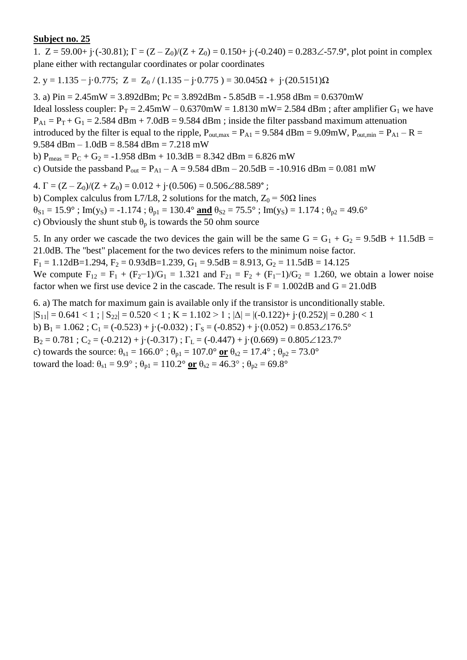1.  $Z = 59.00 + j \cdot (-30.81)$ ;  $\Gamma = (Z - Z_0)/(Z + Z_0) = 0.150 + j \cdot (-0.240) = 0.283\angle -57.9^{\circ}$ , plot point in complex plane either with rectangular coordinates or polar coordinates

2. y = 1.135 – j·0.775; Z = Z<sub>0</sub> / (1.135 – j·0.775) = 30.045 $\Omega$  + j·(20.5151) $\Omega$ 

3. a) Pin = 2.45mW = 3.892dBm; Pc = 3.892dBm - 5.85dB = -1.958 dBm = 0.6370mW Ideal lossless coupler:  $P_T = 2.45 \text{mW} - 0.6370 \text{mW} = 1.8130 \text{ mW} = 2.584 \text{ dBm}$ ; after amplifier  $G_1$  we have  $P_{A1} = P_T + G_1 = 2.584$  dBm + 7.0dB = 9.584 dBm ; inside the filter passband maximum attenuation introduced by the filter is equal to the ripple,  $P_{\text{out,max}} = P_{\text{A1}} = 9.584 \text{ dBm} = 9.09 \text{mW}$ ,  $P_{\text{out,min}} = P_{\text{A1}} - R =$ 9.584 dBm  $- 1.0$ dB  $= 8.584$  dBm  $= 7.218$  mW b)  $P_{meas} = P_C + G_2 = -1.958$  dBm + 10.3dB = 8.342 dBm = 6.826 mW c) Outside the passband  $P_{out} = P_{A1} - A = 9.584$  dBm – 20.5dB = -10.916 dBm = 0.081 mW 4.  $\Gamma = (Z - Z_0)/(Z + Z_0) = 0.012 + j(0.506) = 0.506\angle 88.589^\circ$ ;

b) Complex calculus from L7/L8, 2 solutions for the match,  $Z_0 = 50\Omega$  lines  $\theta_{S1} = 15.9^\circ$ ; Im(y<sub>S</sub>) = -1.174;  $\theta_{p1} = 130.4^\circ$  and  $\theta_{S2} = 75.5^\circ$ ; Im(y<sub>S</sub>) = 1.174;  $\theta_{p2} = 49.6^\circ$ c) Obviously the shunt stub  $\theta_p$  is towards the 50 ohm source

5. In any order we cascade the two devices the gain will be the same  $G = G_1 + G_2 = 9.5dB + 11.5dB =$ 21.0dB. The "best" placement for the two devices refers to the minimum noise factor.

 $F_1 = 1.12$ dB=1.294,  $F_2 = 0.93$ dB=1.239,  $G_1 = 9.5$ dB = 8.913,  $G_2 = 11.5$ dB = 14.125

We compute  $F_{12} = F_1 + (F_2 - 1)/G_1 = 1.321$  and  $F_{21} = F_2 + (F_1 - 1)/G_2 = 1.260$ , we obtain a lower noise factor when we first use device 2 in the cascade. The result is  $F = 1.002dB$  and  $G = 21.0dB$ 

6. a) The match for maximum gain is available only if the transistor is unconditionally stable.  $|S_{11}| = 0.641 < 1$ ;  $|S_{22}| = 0.520 < 1$ ;  $K = 1.102 > 1$ ;  $|\Delta| = |(-0.122) + (-0.252)| = 0.280 < 1$ b) B<sub>1</sub> = 1.062 ; C<sub>1</sub> = (-0.523) + j·(-0.032) ;  $\Gamma$ <sub>S</sub> = (-0.852) + j·(0.052) = 0.853 $\angle$ 176.5°  $B_2 = 0.781$ ;  $C_2 = (-0.212) + i(-0.317)$ ;  $\Gamma_L = (-0.447) + i(0.669) = 0.805 \angle 123.7^\circ$ c) towards the source:  $\theta_{s1} = 166.0^\circ$ ;  $\theta_{p1} = 107.0^\circ$  or  $\theta_{s2} = 17.4^\circ$ ;  $\theta_{p2} = 73.0^\circ$ toward the load:  $\theta_{s1} = 9.9^\circ$ ;  $\theta_{p1} = 110.2^\circ$  or  $\theta_{s2} = 46.3^\circ$ ;  $\theta_{p2} = 69.8^\circ$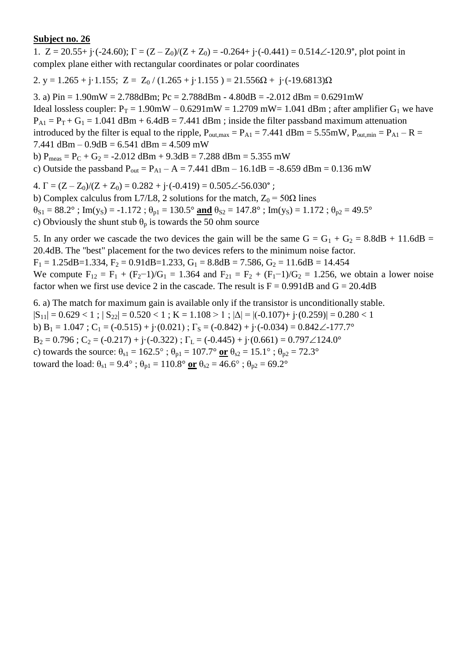1.  $Z = 20.55 + i \cdot (-24.60)$ ;  $\Gamma = (Z - Z_0)/(Z + Z_0) = -0.264 + i \cdot (-0.441) = 0.514 \angle -120.9^{\circ}$ , plot point in complex plane either with rectangular coordinates or polar coordinates

2. y = 1.265 + j·1.155; Z =  $Z_0$  / (1.265 + j·1.155) = 21.556 $\Omega$  + j·(-19.6813) $\Omega$ 

3. a)  $Pin = 1.90mW = 2.788dBm$ ;  $Pc = 2.788dBm - 4.80dB = -2.012dBm = 0.6291mW$ Ideal lossless coupler:  $P_T = 1.90$ mW – 0.6291mW = 1.2709 mW = 1.041 dBm; after amplifier G<sub>1</sub> we have  $P_{A1} = P_T + G_1 = 1.041$  dBm + 6.4dB = 7.441 dBm ; inside the filter passband maximum attenuation introduced by the filter is equal to the ripple,  $P_{\text{out,max}} = P_{A1} = 7.441$  dBm = 5.55mW,  $P_{\text{out,min}} = P_{A1} - R =$ 7.441 dBm –  $0.9$ dB = 6.541 dBm = 4.509 mW b)  $P_{meas} = P_C + G_2 = -2.012$  dBm + 9.3dB = 7.288 dBm = 5.355 mW c) Outside the passband  $P_{out} = P_{A1} - A = 7.441$  dBm – 16.1dB = -8.659 dBm = 0.136 mW

4.  $\Gamma = (Z - Z_0)/(Z + Z_0) = 0.282 + i \cdot (-0.419) = 0.505 \angle 56.030^{\circ}$ ;

b) Complex calculus from L7/L8, 2 solutions for the match,  $Z_0 = 50\Omega$  lines  $\theta_{S1} = 88.2^\circ$ ; Im(y<sub>S</sub>) = -1.172;  $\theta_{p1} = 130.5^\circ$  and  $\theta_{S2} = 147.8^\circ$ ; Im(y<sub>S</sub>) = 1.172;  $\theta_{p2} = 49.5^\circ$ 

c) Obviously the shunt stub  $\theta_p$  is towards the 50 ohm source

5. In any order we cascade the two devices the gain will be the same  $G = G_1 + G_2 = 8.8dB + 11.6dB =$ 20.4dB. The "best" placement for the two devices refers to the minimum noise factor.

 $F_1 = 1.25$ dB=1.334,  $F_2 = 0.91$ dB=1.233,  $G_1 = 8.8$ dB = 7.586,  $G_2 = 11.6$ dB = 14.454

We compute  $F_{12} = F_1 + (F_2 - 1)/G_1 = 1.364$  and  $F_{21} = F_2 + (F_1 - 1)/G_2 = 1.256$ , we obtain a lower noise factor when we first use device 2 in the cascade. The result is  $F = 0.991dB$  and  $G = 20.4dB$ 

6. a) The match for maximum gain is available only if the transistor is unconditionally stable.  $|S_{11}| = 0.629 < 1$ ;  $|S_{22}| = 0.520 < 1$ ;  $K = 1.108 > 1$ ;  $|\Delta| = |(-0.107) + (-0.259)| = 0.280 < 1$ b)  $B_1 = 1.047$ ;  $C_1 = (-0.515) + j(0.021)$ ;  $\Gamma_s = (-0.842) + j(-0.034) = 0.842\angle -177.7^\circ$  $B_2 = 0.796$ ;  $C_2 = (-0.217) + i(-0.322)$ ;  $\Gamma_L = (-0.445) + i(0.661) = 0.797 \angle 124.0^\circ$ c) towards the source:  $\theta_{s1} = 162.5^\circ$ ;  $\theta_{p1} = 107.7^\circ$  or  $\theta_{s2} = 15.1^\circ$ ;  $\theta_{p2} = 72.3^\circ$ toward the load:  $\theta_{s1} = 9.4^\circ$ ;  $\theta_{p1} = 110.8^\circ$  or  $\theta_{s2} = 46.6^\circ$ ;  $\theta_{p2} = 69.2^\circ$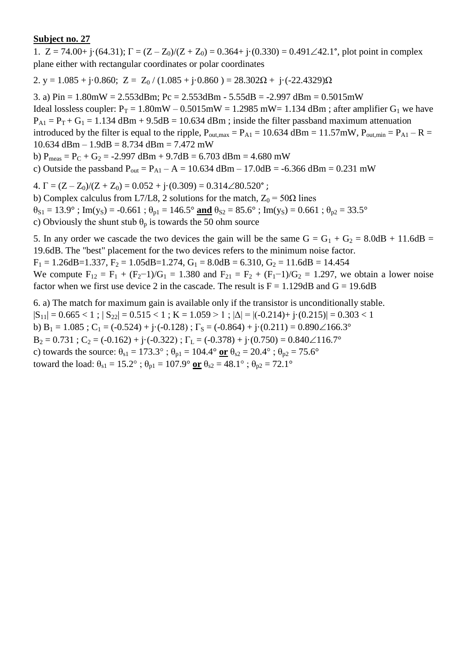1.  $Z = 74.00 + j \cdot (64.31)$ ;  $\Gamma = (Z - Z_0)/(Z + Z_0) = 0.364 + j \cdot (0.330) = 0.491 \angle 42.1^{\circ}$ , plot point in complex plane either with rectangular coordinates or polar coordinates

2. y = 1.085 + j·0.860; Z = Z<sub>0</sub> / (1.085 + j·0.860 ) = 28.302 $\Omega$  + j·(-22.4329) $\Omega$ 

3. a)  $Pin = 1.80mW = 2.553dBm$ ;  $Pc = 2.553dBm - 5.55dB = -2.997dBm = 0.5015mW$ Ideal lossless coupler:  $P_T = 1.80$ mW – 0.5015mW = 1.2985 mW = 1.134 dBm; after amplifier G<sub>1</sub> we have  $P_{A1} = P_T + G_1 = 1.134$  dBm + 9.5dB = 10.634 dBm; inside the filter passband maximum attenuation introduced by the filter is equal to the ripple,  $P_{\text{out,max}} = P_{\text{A1}} = 10.634 \text{ dBm} = 11.57 \text{mW}$ ,  $P_{\text{out,min}} = P_{\text{A1}} - R =$  $10.634$  dBm  $- 1.9$ dB  $= 8.734$  dBm  $= 7.472$  mW b)  $P_{meas} = P_C + G_2 = -2.997$  dBm + 9.7dB = 6.703 dBm = 4.680 mW

c) Outside the passband  $P_{out} = P_{A1} - A = 10.634$  dBm – 17.0dB = -6.366 dBm = 0.231 mW

4.  $\Gamma = (Z - Z_0)/(Z + Z_0) = 0.052 + i \cdot (0.309) = 0.314 \angle 80.520^{\circ}$ ;

b) Complex calculus from L7/L8, 2 solutions for the match,  $Z_0 = 50\Omega$  lines

 $\theta_{S1} = 13.9^\circ$ ; Im(y<sub>S</sub>) = -0.661;  $\theta_{p1} = 146.5^\circ$  and  $\theta_{S2} = 85.6^\circ$ ; Im(y<sub>S</sub>) = 0.661;  $\theta_{p2} = 33.5^\circ$ 

c) Obviously the shunt stub  $\theta_p$  is towards the 50 ohm source

5. In any order we cascade the two devices the gain will be the same  $G = G_1 + G_2 = 8.0dB + 11.6dB =$ 19.6dB. The "best" placement for the two devices refers to the minimum noise factor.

 $F_1 = 1.26$ dB=1.337,  $F_2 = 1.05$ dB=1.274,  $G_1 = 8.0$ dB = 6.310,  $G_2 = 11.6$ dB = 14.454

We compute  $F_{12} = F_1 + (F_2 - 1)/G_1 = 1.380$  and  $F_{21} = F_2 + (F_1 - 1)/G_2 = 1.297$ , we obtain a lower noise factor when we first use device 2 in the cascade. The result is  $F = 1.129dB$  and  $G = 19.6dB$ 

6. a) The match for maximum gain is available only if the transistor is unconditionally stable.  $|S_{11}| = 0.665 < 1$ ;  $|S_{22}| = 0.515 < 1$ ;  $K = 1.059 > 1$ ;  $|\Delta| = |(-0.214) + (-0.215)| = 0.303 < 1$ b)  $B_1 = 1.085$ ;  $C_1 = (-0.524) + j \cdot (-0.128)$ ;  $\Gamma_s = (-0.864) + j \cdot (0.211) = 0.890 \angle 166.3^\circ$  $B_2 = 0.731$ ;  $C_2 = (-0.162) + i(-0.322)$ ;  $\Gamma_L = (-0.378) + i(0.750) = 0.840 \angle 116.7^\circ$ c) towards the source:  $\theta_{s1} = 173.3^\circ$ ;  $\theta_{p1} = 104.4^\circ$  or  $\theta_{s2} = 20.4^\circ$ ;  $\theta_{p2} = 75.6^\circ$ toward the load:  $\theta_{s1} = 15.2^\circ$ ;  $\theta_{p1} = 107.9^\circ$  or  $\theta_{s2} = 48.1^\circ$ ;  $\theta_{p2} = 72.1^\circ$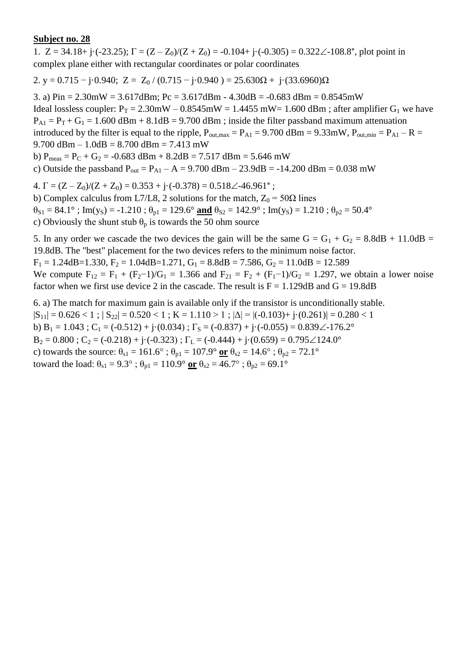1.  $Z = 34.18 + i(-23.25)$ ;  $\Gamma = (Z - Z_0)/(Z + Z_0) = -0.104 + i(-0.305) = 0.322\angle 108.8^\circ$ , plot point in complex plane either with rectangular coordinates or polar coordinates

2. y = 0.715 – j·0.940; Z = Z<sub>0</sub> / (0.715 – j·0.940) = 25.630 $\Omega$  + j·(33.6960) $\Omega$ 

3. a)  $Pin = 2.30mW = 3.617dBm$ ;  $Pc = 3.617dBm - 4.30dB = -0.683dBm = 0.8545mW$ Ideal lossless coupler:  $P_T = 2.30$ mW – 0.8545mW = 1.4455 mW = 1.600 dBm; after amplifier G<sub>1</sub> we have  $P_{A1} = P_T + G_1 = 1.600$  dBm + 8.1dB = 9.700 dBm; inside the filter passband maximum attenuation introduced by the filter is equal to the ripple,  $P_{\text{out,max}} = P_{\text{A1}} = 9.700 \text{ dBm} = 9.33 \text{mW}$ ,  $P_{\text{out,min}} = P_{\text{A1}} - R =$ 9.700 dBm –  $1.0$ dB =  $8.700$  dBm =  $7.413$  mW b)  $P_{\text{meas}} = P_C + G_2 = -0.683 \text{ dBm} + 8.2 \text{dB} = 7.517 \text{ dBm} = 5.646 \text{ mW}$ c) Outside the passband  $P_{out} = P_{A1} - A = 9.700$  dBm  $- 23.9$ dB  $= -14.200$  dBm  $= 0.038$  mW 4.  $\Gamma = (Z - Z_0)/(Z + Z_0) = 0.353 + i \cdot (-0.378) = 0.518 \angle 46.961$ °;

b) Complex calculus from L7/L8, 2 solutions for the match,  $Z_0 = 50\Omega$  lines  $\theta_{S1} = 84.1^\circ$ ; Im(y<sub>S</sub>) = -1.210;  $\theta_{p1} = 129.6^\circ$  and  $\theta_{S2} = 142.9^\circ$ ; Im(y<sub>S</sub>) = 1.210;  $\theta_{p2} = 50.4^\circ$ c) Obviously the shunt stub  $\theta_p$  is towards the 50 ohm source

5. In any order we cascade the two devices the gain will be the same  $G = G_1 + G_2 = 8.8dB + 11.0dB =$ 19.8dB. The "best" placement for the two devices refers to the minimum noise factor.  $F_1 = 1.24$ dB=1.330,  $F_2 = 1.04$ dB=1.271,  $G_1 = 8.8$ dB = 7.586,  $G_2 = 11.0$ dB = 12.589

We compute  $F_{12} = F_1 + (F_2 - 1)/G_1 = 1.366$  and  $F_{21} = F_2 + (F_1 - 1)/G_2 = 1.297$ , we obtain a lower noise factor when we first use device 2 in the cascade. The result is  $F = 1.129dB$  and  $G = 19.8dB$ 

6. a) The match for maximum gain is available only if the transistor is unconditionally stable.  $|S_{11}| = 0.626 < 1$ ;  $|S_{22}| = 0.520 < 1$ ;  $K = 1.110 > 1$ ;  $|\Delta| = |(-0.103) + (-0.261)| = 0.280 < 1$ b) B<sub>1</sub> = 1.043 ; C<sub>1</sub> = (-0.512) + j·(0.034) ;  $\Gamma$ <sub>S</sub> = (-0.837) + j·(-0.055) = 0.839 $\angle$ -176.2°  $B_2 = 0.800$ ;  $C_2 = (-0.218) + i(-0.323)$ ;  $\Gamma_L = (-0.444) + i(0.659) = 0.795 \angle 124.0^\circ$ c) towards the source:  $\theta_{s1} = 161.6^\circ$ ;  $\theta_{p1} = 107.9^\circ$  or  $\theta_{s2} = 14.6^\circ$ ;  $\theta_{p2} = 72.1^\circ$ toward the load:  $\theta_{s1} = 9.3^\circ$ ;  $\theta_{p1} = 110.9^\circ$  or  $\theta_{s2} = 46.7^\circ$ ;  $\theta_{p2} = 69.1^\circ$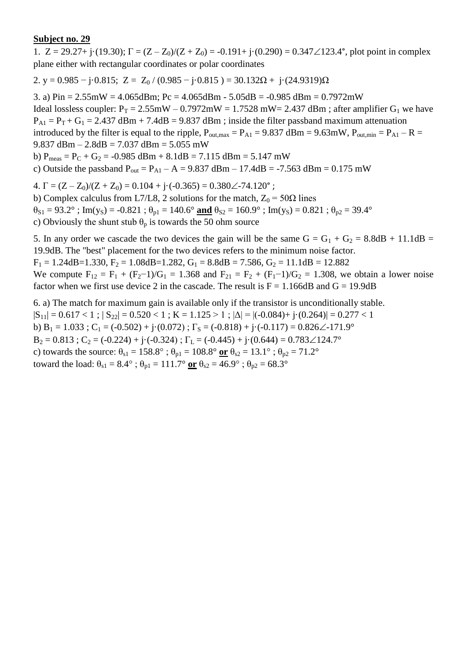1.  $Z = 29.27 + j \cdot (19.30)$ ;  $\Gamma = (Z - Z_0)/(Z + Z_0) = -0.191 + j \cdot (0.290) = 0.347 \angle 123.4^{\circ}$ , plot point in complex plane either with rectangular coordinates or polar coordinates

2. y = 0.985 – j·0.815; Z = Z<sub>0</sub> / (0.985 – j·0.815) = 30.132 $\Omega$  + j·(24.9319) $\Omega$ 

3. a)  $Pin = 2.55mW = 4.065dBm$ ;  $Pc = 4.065dBm - 5.05dB = -0.985dBm = 0.7972mW$ Ideal lossless coupler:  $P_T = 2.55 \text{mW} - 0.7972 \text{mW} = 1.7528 \text{ mW} = 2.437 \text{ dBm}$ ; after amplifier  $G_1$  we have  $P_{A1} = P_T + G_1 = 2.437$  dBm + 7.4dB = 9.837 dBm ; inside the filter passband maximum attenuation introduced by the filter is equal to the ripple,  $P_{\text{out,max}} = P_{A1} = 9.837$  dBm = 9.63mW,  $P_{\text{out,min}} = P_{A1} - R =$ 9.837 dBm – 2.8dB = 7.037 dBm = 5.055 mW b)  $P_{meas} = P_C + G_2 = -0.985$  dBm + 8.1dB = 7.115 dBm = 5.147 mW c) Outside the passband  $P_{out} = P_{A1} - A = 9.837$  dBm – 17.4dB = -7.563 dBm = 0.175 mW 4.  $\Gamma = (Z - Z_0)/(Z + Z_0) = 0.104 + i \cdot (-0.365) = 0.380 \angle -74.120^{\circ}$ ;

b) Complex calculus from L7/L8, 2 solutions for the match,  $Z_0 = 50\Omega$  lines  $\theta_{S1} = 93.2^\circ$ ; Im(y<sub>S</sub>) = -0.821;  $\theta_{p1} = 140.6^\circ$  and  $\theta_{S2} = 160.9^\circ$ ; Im(y<sub>S</sub>) = 0.821;  $\theta_{p2} = 39.4^\circ$ c) Obviously the shunt stub  $\theta_p$  is towards the 50 ohm source

5. In any order we cascade the two devices the gain will be the same  $G = G_1 + G_2 = 8.8dB + 11.1dB =$ 19.9dB. The "best" placement for the two devices refers to the minimum noise factor.

 $F_1 = 1.24$ dB=1.330,  $F_2 = 1.08$ dB=1.282,  $G_1 = 8.8$ dB = 7.586,  $G_2 = 11.1$ dB = 12.882

We compute  $F_{12} = F_1 + (F_2 - 1)/G_1 = 1.368$  and  $F_{21} = F_2 + (F_1 - 1)/G_2 = 1.308$ , we obtain a lower noise factor when we first use device 2 in the cascade. The result is  $F = 1.166 dB$  and  $G = 19.9dB$ 

6. a) The match for maximum gain is available only if the transistor is unconditionally stable.  $|S_{11}| = 0.617 < 1$ ;  $|S_{22}| = 0.520 < 1$ ;  $K = 1.125 > 1$ ;  $|\Delta| = |(-0.084) + (-0.264)| = 0.277 < 1$ b)  $B_1 = 1.033$ ; C<sub>1</sub> = (-0.502) + j·(0.072);  $\Gamma_s = (-0.818) +$ j·(-0.117) = 0.826 $\angle$ -171.9°  $B_2 = 0.813$ ;  $C_2 = (-0.224) + i(-0.324)$ ;  $\Gamma_L = (-0.445) + i(0.644) = 0.783 \angle 124.7^\circ$ c) towards the source:  $\theta_{s1} = 158.8^\circ$ ;  $\theta_{p1} = 108.8^\circ$  or  $\theta_{s2} = 13.1^\circ$ ;  $\theta_{p2} = 71.2^\circ$ toward the load:  $\theta_{s1} = 8.4^\circ$ ;  $\theta_{p1} = 111.7^\circ$  or  $\theta_{s2} = 46.9^\circ$ ;  $\theta_{p2} = 68.3^\circ$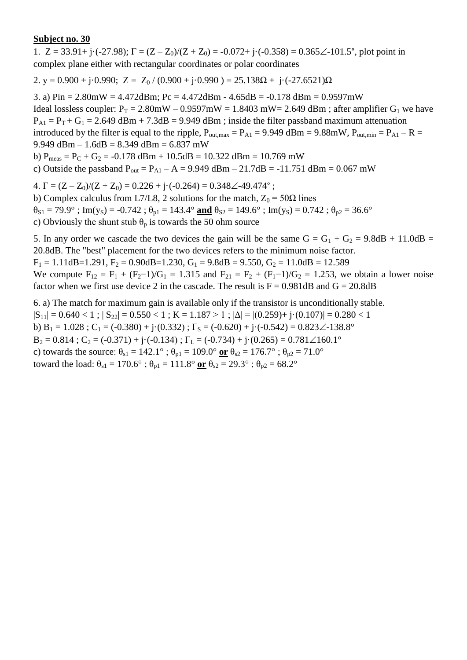1.  $Z = 33.91 + i(-27.98)$ ;  $\Gamma = (Z - Z_0)/(Z + Z_0) = -0.072 + i(-0.358) = 0.365\angle 101.5^{\circ}$ , plot point in complex plane either with rectangular coordinates or polar coordinates

2. y = 0.900 + j·0.990; Z =  $Z_0$  / (0.900 + j·0.990 ) = 25.138 $\Omega$  + j·(-27.6521) $\Omega$ 

3. a)  $Pin = 2.80mW = 4.472dBm$ ;  $Pc = 4.472dBm - 4.65dB = -0.178dBm = 0.9597mW$ Ideal lossless coupler:  $P_T = 2.80$ mW – 0.9597mW = 1.8403 mW = 2.649 dBm; after amplifier G<sub>1</sub> we have  $P_{A1} = P_T + G_1 = 2.649$  dBm + 7.3dB = 9.949 dBm ; inside the filter passband maximum attenuation introduced by the filter is equal to the ripple,  $P_{\text{out,max}} = P_{A1} = 9.949$  dBm = 9.88mW,  $P_{\text{out,min}} = P_{A1} - R =$ 9.949 dBm – 1.6dB = 8.349 dBm = 6.837 mW b)  $P_{meas} = P_C + G_2 = -0.178$  dBm + 10.5dB = 10.322 dBm = 10.769 mW c) Outside the passband  $P_{out} = P_{A1} - A = 9.949$  dBm  $- 21.7$ dB = -11.751 dBm = 0.067 mW 4.  $\Gamma = (Z - Z_0)/(Z + Z_0) = 0.226 + i \cdot (-0.264) = 0.348 \angle 49.474$ °;

b) Complex calculus from L7/L8, 2 solutions for the match,  $Z_0 = 50\Omega$  lines  $\theta_{S1} = 79.9^\circ$ ; Im(y<sub>S</sub>) = -0.742;  $\theta_{p1} = 143.4^\circ$  and  $\theta_{S2} = 149.6^\circ$ ; Im(y<sub>S</sub>) = 0.742;  $\theta_{p2} = 36.6^\circ$ c) Obviously the shunt stub  $\theta_p$  is towards the 50 ohm source

5. In any order we cascade the two devices the gain will be the same  $G = G_1 + G_2 = 9.8dB + 11.0dB =$ 20.8dB. The "best" placement for the two devices refers to the minimum noise factor.  $F_1 = 1.11$ dB=1.291,  $F_2 = 0.90$ dB=1.230,  $G_1 = 9.8$ dB = 9.550,  $G_2 = 11.0$ dB = 12.589 We compute  $F_{12} = F_1 + (F_2 - 1)/G_1 = 1.315$  and  $F_{21} = F_2 + (F_1 - 1)/G_2 = 1.253$ , we obtain a lower noise

factor when we first use device 2 in the cascade. The result is  $F = 0.981dB$  and  $G = 20.8dB$ 

6. a) The match for maximum gain is available only if the transistor is unconditionally stable.  $|S_{11}| = 0.640 < 1$ ;  $|S_{22}| = 0.550 < 1$ ;  $K = 1.187 > 1$ ;  $|\Delta| = |(0.259) + j(0.107)| = 0.280 < 1$ b) B<sub>1</sub> = 1.028 ; C<sub>1</sub> = (-0.380) + j·(0.332) ;  $\Gamma$ <sub>S</sub> = (-0.620) + j·(-0.542) = 0.823 $\angle$ -138.8°  $B_2 = 0.814$ ;  $C_2 = (-0.371) + i(-0.134)$ ;  $\Gamma_L = (-0.734) + i(0.265) = 0.781 \angle 160.1^\circ$ c) towards the source:  $\theta_{s1} = 142.1^\circ$ ;  $\theta_{p1} = 109.0^\circ$  or  $\theta_{s2} = 176.7^\circ$ ;  $\theta_{p2} = 71.0^\circ$ toward the load:  $\theta_{s1} = 170.6^\circ$ ;  $\theta_{p1} = 111.8^\circ$  or  $\theta_{s2} = 29.3^\circ$ ;  $\theta_{p2} = 68.2^\circ$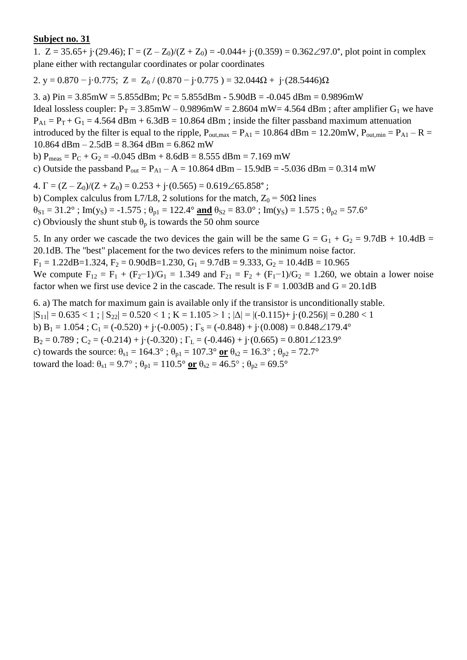1.  $Z = 35.65 + j \cdot (29.46)$ ;  $\Gamma = (Z - Z_0)/(Z + Z_0) = -0.044 + j \cdot (0.359) = 0.362\angle 97.0^{\circ}$ , plot point in complex plane either with rectangular coordinates or polar coordinates

2. y = 0.870 – j·0.775; Z = Z<sub>0</sub> / (0.870 – j·0.775) = 32.044 $\Omega$  + j·(28.5446) $\Omega$ 

3. a) Pin = 3.85mW = 5.855dBm; Pc = 5.855dBm - 5.90dB = -0.045 dBm = 0.9896mW Ideal lossless coupler:  $P_T = 3.85$ mW – 0.9896mW = 2.8604 mW= 4.564 dBm; after amplifier G<sub>1</sub> we have  $P_{A1} = P_T + G_1 = 4.564$  dBm + 6.3dB = 10.864 dBm ; inside the filter passband maximum attenuation introduced by the filter is equal to the ripple,  $P_{\text{out,max}} = P_{\text{A1}} = 10.864$  dBm = 12.20mW,  $P_{\text{out,min}} = P_{\text{A1}} - R =$ 10.864 dBm – 2.5dB = 8.364 dBm = 6.862 mW b)  $P_{meas} = P_C + G_2 = -0.045$  dBm + 8.6dB = 8.555 dBm = 7.169 mW

c) Outside the passband  $P_{out} = P_{A1} - A = 10.864$  dBm – 15.9dB = -5.036 dBm = 0.314 mW

4.  $\Gamma = (Z - Z_0)/(Z + Z_0) = 0.253 + i \cdot (0.565) = 0.619\angle 65.858^\circ$ ;

b) Complex calculus from L7/L8, 2 solutions for the match,  $Z_0 = 50\Omega$  lines  $\theta_{S1} = 31.2^\circ$ ; Im(y<sub>S</sub>) = -1.575;  $\theta_{p1} = 122.4^\circ$  and  $\theta_{S2} = 83.0^\circ$ ; Im(y<sub>S</sub>) = 1.575;  $\theta_{p2} = 57.6^\circ$ c) Obviously the shunt stub  $\theta_p$  is towards the 50 ohm source

5. In any order we cascade the two devices the gain will be the same  $G = G_1 + G_2 = 9.7dB + 10.4dB =$ 20.1dB. The "best" placement for the two devices refers to the minimum noise factor.  $F_1 = 1.22$ dB=1.324,  $F_2 = 0.90$ dB=1.230,  $G_1 = 9.7$ dB = 9.333,  $G_2 = 10.4$ dB = 10.965

We compute  $F_{12} = F_1 + (F_2 - 1)/G_1 = 1.349$  and  $F_{21} = F_2 + (F_1 - 1)/G_2 = 1.260$ , we obtain a lower noise factor when we first use device 2 in the cascade. The result is  $F = 1.003dB$  and  $G = 20.1dB$ 

6. a) The match for maximum gain is available only if the transistor is unconditionally stable.  $|S_{11}| = 0.635 < 1$ ;  $|S_{22}| = 0.520 < 1$ ;  $K = 1.105 > 1$ ;  $|\Delta| = |(-0.115) + (-0.256)| = 0.280 < 1$ b)  $B_1 = 1.054$ ;  $C_1 = (-0.520) + j \cdot (-0.005)$ ;  $\Gamma_s = (-0.848) + j \cdot (0.008) = 0.848 \angle 179.4^\circ$  $B_2 = 0.789$ ;  $C_2 = (-0.214) + (-0.320)$ ;  $\Gamma_L = (-0.446) + (-0.665) = 0.801 \angle 123.9^\circ$ c) towards the source:  $\theta_{s1} = 164.3^\circ$ ;  $\theta_{p1} = 107.3^\circ$  or  $\theta_{s2} = 16.3^\circ$ ;  $\theta_{p2} = 72.7^\circ$ toward the load:  $\theta_{s1} = 9.7^\circ$ ;  $\theta_{p1} = 110.5^\circ$  or  $\theta_{s2} = 46.5^\circ$ ;  $\theta_{p2} = 69.5^\circ$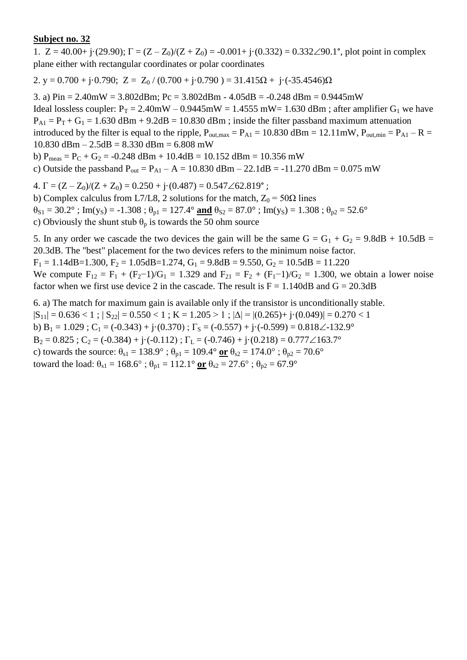1.  $Z = 40.00 + j(29.90); \Gamma = (Z - Z_0)/(Z + Z_0) = -0.001 + j(0.332) = 0.332\angle 90.1^{\circ}$ , plot point in complex plane either with rectangular coordinates or polar coordinates

2. y = 0.700 + j·0.790; Z = Z<sub>0</sub> / (0.700 + j·0.790 ) = 31.415 $\Omega$  + j·(-35.4546) $\Omega$ 

3. a) Pin = 2.40mW = 3.802dBm; Pc = 3.802dBm - 4.05dB = -0.248 dBm = 0.9445mW Ideal lossless coupler:  $P_T = 2.40$ mW – 0.9445mW = 1.4555 mW = 1.630 dBm; after amplifier G<sub>1</sub> we have  $P_{A1} = P_T + G_1 = 1.630$  dBm + 9.2dB = 10.830 dBm; inside the filter passband maximum attenuation introduced by the filter is equal to the ripple,  $P_{\text{out,max}} = P_{\text{A1}} = 10.830 \text{ dBm} = 12.11 \text{mW}$ ,  $P_{\text{out,min}} = P_{\text{A1}} - R =$ 10.830 dBm – 2.5dB = 8.330 dBm = 6.808 mW b)  $P_{meas} = P_C + G_2 = -0.248$  dBm + 10.4dB = 10.152 dBm = 10.356 mW

c) Outside the passband  $P_{out} = P_{A1} - A = 10.830$  dBm – 22.1dB = -11.270 dBm = 0.075 mW

4.  $\Gamma = (Z - Z_0)/(Z + Z_0) = 0.250 + i \cdot (0.487) = 0.547 \angle 62.819^{\circ}$ ;

b) Complex calculus from L7/L8, 2 solutions for the match,  $Z_0 = 50\Omega$  lines  $\theta_{S1} = 30.2^\circ$ ; Im(y<sub>S</sub>) = -1.308;  $\theta_{p1} = 127.4^\circ$  and  $\theta_{S2} = 87.0^\circ$ ; Im(y<sub>S</sub>) = 1.308;  $\theta_{p2} = 52.6^\circ$ c) Obviously the shunt stub  $\theta_p$  is towards the 50 ohm source

5. In any order we cascade the two devices the gain will be the same  $G = G_1 + G_2 = 9.8dB + 10.5dB =$ 20.3dB. The "best" placement for the two devices refers to the minimum noise factor.  $F_1 = 1.14$ dB=1.300,  $F_2 = 1.05$ dB=1.274,  $G_1 = 9.8$ dB = 9.550,  $G_2 = 10.5$ dB = 11.220

We compute  $F_{12} = F_1 + (F_2 - 1)/G_1 = 1.329$  and  $F_{21} = F_2 + (F_1 - 1)/G_2 = 1.300$ , we obtain a lower noise factor when we first use device 2 in the cascade. The result is  $F = 1.140dB$  and  $G = 20.3dB$ 

6. a) The match for maximum gain is available only if the transistor is unconditionally stable.  $|S_{11}| = 0.636 < 1$ ;  $|S_{22}| = 0.550 < 1$ ;  $K = 1.205 > 1$ ;  $|\Delta| = |(0.265) + j(0.049)| = 0.270 < 1$ b)  $B_1 = 1.029$ ;  $C_1 = (-0.343) + j(0.370)$ ;  $\Gamma_s = (-0.557) + j(-0.599) = 0.818 \angle -132.9^\circ$  $B_2 = 0.825$ ;  $C_2 = (-0.384) + i(-0.112)$ ;  $\Gamma_L = (-0.746) + i(0.218) = 0.777 \angle 163.7^\circ$ c) towards the source:  $\theta_{s1} = 138.9^\circ$ ;  $\theta_{p1} = 109.4^\circ$  or  $\theta_{s2} = 174.0^\circ$ ;  $\theta_{p2} = 70.6^\circ$ toward the load:  $\theta_{s1} = 168.6^\circ$ ;  $\theta_{p1} = 112.1^\circ$  or  $\theta_{s2} = 27.6^\circ$ ;  $\theta_{p2} = 67.9^\circ$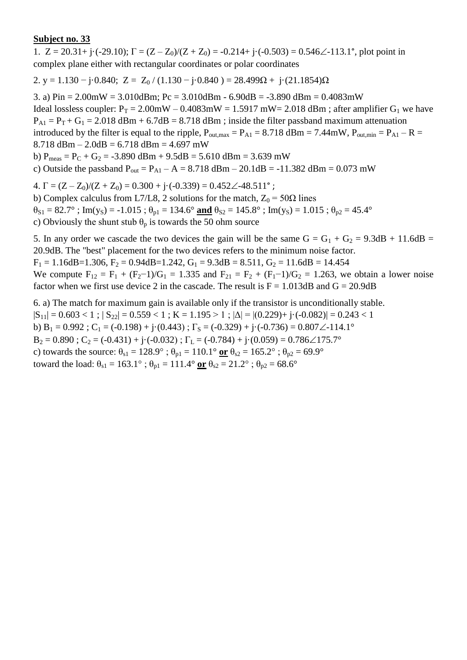1.  $Z = 20.31 + i(-29.10)$ ;  $\Gamma = (Z - Z_0)/(Z + Z_0) = -0.214 + i(-0.503) = 0.546\angle -113.1^\circ$ , plot point in complex plane either with rectangular coordinates or polar coordinates

2. y = 1.130 – j·0.840; Z = Z<sub>0</sub> / (1.130 – j·0.840) = 28.499 $\Omega$  + j·(21.1854) $\Omega$ 

3. a)  $Pin = 2.00mW = 3.010dBm$ ;  $Pc = 3.010dBm - 6.90dB = -3.890dBm = 0.4083mW$ Ideal lossless coupler:  $P_T = 2.00$ mW – 0.4083mW = 1.5917 mW= 2.018 dBm; after amplifier G<sub>1</sub> we have  $P_{A1} = P_T + G_1 = 2.018$  dBm + 6.7dB = 8.718 dBm; inside the filter passband maximum attenuation introduced by the filter is equal to the ripple,  $P_{\text{out,max}} = P_{A1} = 8.718$  dBm = 7.44mW,  $P_{\text{out,min}} = P_{A1} - R =$  $8.718$  dBm  $- 2.0$ dB  $= 6.718$  dBm  $= 4.697$  mW b)  $P_{meas} = P_C + G_2 = -3.890$  dBm +  $9.5$ dB =  $5.610$  dBm =  $3.639$  mW c) Outside the passband  $P_{out} = P_{A1} - A = 8.718$  dBm  $- 20.1$ dB = -11.382 dBm = 0.073 mW 4.  $\Gamma = (Z - Z_0)/(Z + Z_0) = 0.300 + i \cdot (-0.339) = 0.452 \angle 48.511^{\circ}$ ;

b) Complex calculus from L7/L8, 2 solutions for the match,  $Z_0 = 50\Omega$  lines  $\theta_{S1} = 82.7^\circ$ ; Im(y<sub>S</sub>) = -1.015;  $\theta_{p1} = 134.6^\circ$  and  $\theta_{S2} = 145.8^\circ$ ; Im(y<sub>S</sub>) = 1.015;  $\theta_{p2} = 45.4^\circ$ c) Obviously the shunt stub  $\theta_p$  is towards the 50 ohm source

5. In any order we cascade the two devices the gain will be the same  $G = G_1 + G_2 = 9.3dB + 11.6dB =$ 20.9dB. The "best" placement for the two devices refers to the minimum noise factor.  $F_1 = 1.16$ dB=1.306,  $F_2 = 0.94$ dB=1.242,  $G_1 = 9.3$ dB = 8.511,  $G_2 = 11.6$ dB = 14.454

We compute  $F_{12} = F_1 + (F_2 - 1)/G_1 = 1.335$  and  $F_{21} = F_2 + (F_1 - 1)/G_2 = 1.263$ , we obtain a lower noise factor when we first use device 2 in the cascade. The result is  $F = 1.013dB$  and  $G = 20.9dB$ 

6. a) The match for maximum gain is available only if the transistor is unconditionally stable.  $|S_{11}| = 0.603 < 1$ ;  $|S_{22}| = 0.559 < 1$ ;  $K = 1.195 > 1$ ;  $|\Delta| = |(0.229) + j \cdot (-0.082)| = 0.243 < 1$ b) B<sub>1</sub> = 0.992 ; C<sub>1</sub> = (-0.198) + j·(0.443) ;  $\Gamma$ <sub>S</sub> = (-0.329) + j·(-0.736) = 0.807 $\angle$ -114.1°  $B_2 = 0.890$ ;  $C_2 = (-0.431) + i(-0.032)$ ;  $\Gamma_L = (-0.784) + i(0.059) = 0.786\angle 175.7^\circ$ c) towards the source:  $\theta_{s1} = 128.9^\circ$ ;  $\theta_{p1} = 110.1^\circ$  or  $\theta_{s2} = 165.2^\circ$ ;  $\theta_{p2} = 69.9^\circ$ toward the load:  $\theta_{s1} = 163.1^\circ$ ;  $\theta_{p1} = 111.4^\circ$  or  $\theta_{s2} = 21.2^\circ$ ;  $\theta_{p2} = 68.6^\circ$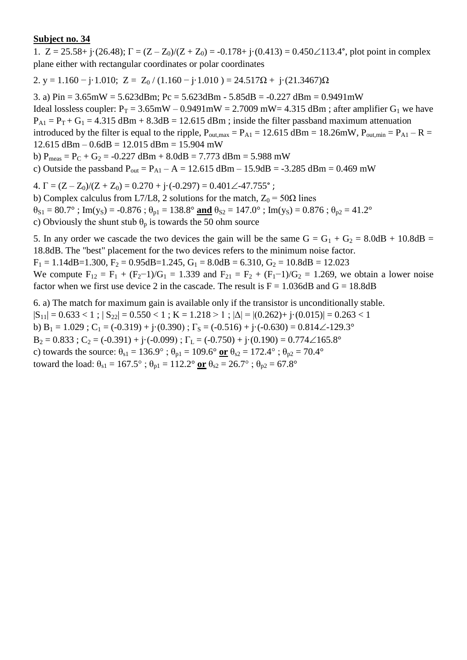1.  $Z = 25.58 + j \cdot (26.48)$ ;  $\Gamma = (Z - Z_0)/(Z + Z_0) = -0.178 + j \cdot (0.413) = 0.450 \angle 113.4^{\circ}$ , plot point in complex plane either with rectangular coordinates or polar coordinates

2. y = 1.160 – j·1.010; Z = Z<sub>0</sub> / (1.160 – j·1.010) = 24.517 $\Omega$  + j·(21.3467) $\Omega$ 

3. a)  $Pin = 3.65mW = 5.623dBm$ ;  $Pc = 5.623dBm - 5.85dB = -0.227dBm = 0.9491mW$ Ideal lossless coupler:  $P_T = 3.65 \text{mW} - 0.9491 \text{mW} = 2.7009 \text{mW} = 4.315 \text{ dBm}$ ; after amplifier  $G_1$  we have  $P_{A1} = P_T + G_1 = 4.315$  dBm + 8.3dB = 12.615 dBm; inside the filter passband maximum attenuation introduced by the filter is equal to the ripple,  $P_{\text{out,max}} = P_{\text{A1}} = 12.615 \text{ dBm} = 18.26 \text{mW}$ ,  $P_{\text{out,min}} = P_{\text{A1}} - R =$  $12.615$  dBm  $- 0.6$ dB  $= 12.015$  dBm  $= 15.904$  mW b)  $P_{meas} = P_C + G_2 = -0.227$  dBm + 8.0dB = 7.773 dBm = 5.988 mW

c) Outside the passband  $P_{out} = P_{A1} - A = 12.615$  dBm  $- 15.9$ dB = -3.285 dBm = 0.469 mW

4.  $\Gamma = (Z - Z_0)/(Z + Z_0) = 0.270 + i \cdot (-0.297) = 0.401 \angle 47.755$ °;

b) Complex calculus from L7/L8, 2 solutions for the match,  $Z_0 = 50\Omega$  lines  $\theta_{S1} = 80.7^\circ$ ; Im(y<sub>S</sub>) = -0.876;  $\theta_{p1} = 138.8^\circ$  and  $\theta_{S2} = 147.0^\circ$ ; Im(y<sub>S</sub>) = 0.876;  $\theta_{p2} = 41.2^\circ$ c) Obviously the shunt stub  $\theta_p$  is towards the 50 ohm source

5. In any order we cascade the two devices the gain will be the same  $G = G_1 + G_2 = 8.0dB + 10.8dB =$ 18.8dB. The "best" placement for the two devices refers to the minimum noise factor.

 $F_1 = 1.14$ dB=1.300,  $F_2 = 0.95$ dB=1.245,  $G_1 = 8.0$ dB = 6.310,  $G_2 = 10.8$ dB = 12.023

We compute  $F_{12} = F_1 + (F_2 - 1)/G_1 = 1.339$  and  $F_{21} = F_2 + (F_1 - 1)/G_2 = 1.269$ , we obtain a lower noise factor when we first use device 2 in the cascade. The result is  $F = 1.036dB$  and  $G = 18.8dB$ 

6. a) The match for maximum gain is available only if the transistor is unconditionally stable.  $|S_{11}| = 0.633 < 1$ ;  $|S_{22}| = 0.550 < 1$ ;  $K = 1.218 > 1$ ;  $|\Delta| = |(0.262) + j(0.015)| = 0.263 < 1$ b)  $B_1 = 1.029$ ;  $C_1 = (-0.319) + j(0.390)$ ;  $\Gamma_s = (-0.516) + j(-0.630) = 0.814 \angle -129.3^\circ$  $B_2 = 0.833$ ;  $C_2 = (-0.391) + i(-0.099)$ ;  $\Gamma_L = (-0.750) + i(0.190) = 0.774 \angle 165.8^\circ$ c) towards the source:  $\theta_{s1} = 136.9^\circ$ ;  $\theta_{p1} = 109.6^\circ$  or  $\theta_{s2} = 172.4^\circ$ ;  $\theta_{p2} = 70.4^\circ$ toward the load:  $\theta_{s1} = 167.5^{\circ}$ ;  $\theta_{p1} = 112.2^{\circ}$  or  $\theta_{s2} = 26.7^{\circ}$ ;  $\theta_{p2} = 67.8^{\circ}$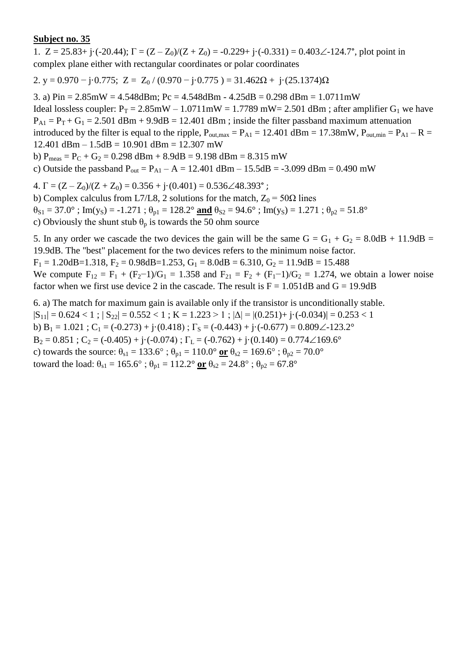1.  $Z = 25.83 + i \cdot (-20.44); \Gamma = (Z - Z_0)/(Z + Z_0) = -0.229 + i \cdot (-0.331) = 0.403\angle -124.7^\circ$ , plot point in complex plane either with rectangular coordinates or polar coordinates

2. y = 0.970  $-$  j $\cdot$ 0.775; Z = Z<sub>0</sub> / (0.970  $-$  j $\cdot$ 0.775 ) = 31.462 $\Omega$  + j $\cdot$ (25.1374) $\Omega$ 

3. a)  $Pin = 2.85mW = 4.548dBm$ ;  $Pc = 4.548dBm - 4.25dB = 0.298dBm = 1.0711mW$ Ideal lossless coupler:  $P_T = 2.85 \text{mW} - 1.0711 \text{mW} = 1.7789 \text{ mW} = 2.501 \text{ dBm}$ ; after amplifier  $G_1$  we have  $P_{A1} = P_T + G_1 = 2.501$  dBm + 9.9dB = 12.401 dBm; inside the filter passband maximum attenuation introduced by the filter is equal to the ripple,  $P_{\text{out,max}} = P_{\text{A1}} = 12.401 \text{ dBm} = 17.38 \text{mW}$ ,  $P_{\text{out,min}} = P_{\text{A1}} - R =$  $12.401$  dBm  $- 1.5$ dB  $= 10.901$  dBm  $= 12.307$  mW b)  $P_{meas} = P_C + G_2 = 0.298$  dBm + 8.9dB = 9.198 dBm = 8.315 mW

c) Outside the passband  $P_{out} = P_{A1} - A = 12.401$  dBm  $- 15.5dB = -3.099$  dBm  $= 0.490$  mW

4.  $\Gamma = (Z - Z_0)/(Z + Z_0) = 0.356 + \mathrm{i} \cdot (0.401) = 0.536 \angle 48.393$ °;

b) Complex calculus from L7/L8, 2 solutions for the match,  $Z_0 = 50\Omega$  lines

 $\theta_{S1} = 37.0^{\circ}$ ; Im(y<sub>S</sub>) = -1.271;  $\theta_{p1} = 128.2^{\circ}$  and  $\theta_{S2} = 94.6^{\circ}$ ; Im(y<sub>S</sub>) = 1.271;  $\theta_{p2} = 51.8^{\circ}$ 

c) Obviously the shunt stub  $\theta_p$  is towards the 50 ohm source

5. In any order we cascade the two devices the gain will be the same  $G = G_1 + G_2 = 8.0dB + 11.9dB =$ 19.9dB. The "best" placement for the two devices refers to the minimum noise factor.  $F_1 = 1.20$ dB=1.318,  $F_2 = 0.98$ dB=1.253,  $G_1 = 8.0$ dB = 6.310,  $G_2 = 11.9$ dB = 15.488

We compute  $F_{12} = F_1 + (F_2 - 1)/G_1 = 1.358$  and  $F_{21} = F_2 + (F_1 - 1)/G_2 = 1.274$ , we obtain a lower noise factor when we first use device 2 in the cascade. The result is  $F = 1.051dB$  and  $G = 19.9dB$ 

6. a) The match for maximum gain is available only if the transistor is unconditionally stable.  $|S_{11}| = 0.624 < 1$ ;  $|S_{22}| = 0.552 < 1$ ;  $K = 1.223 > 1$ ;  $|\Delta| = |(0.251) + j \cdot (-0.034)| = 0.253 < 1$ b) B<sub>1</sub> = 1.021 ; C<sub>1</sub> = (-0.273) + j·(0.418) ;  $\Gamma$ <sub>S</sub> = (-0.443) + j·(-0.677) = 0.809 $\angle$ -123.2°  $B_2 = 0.851$ ;  $C_2 = (-0.405) + i(-0.074)$ ;  $\Gamma_L = (-0.762) + i(0.140) = 0.774 \angle 169.6^\circ$ c) towards the source:  $\theta_{s1} = 133.6^\circ$ ;  $\theta_{p1} = 110.0^\circ$  or  $\theta_{s2} = 169.6^\circ$ ;  $\theta_{p2} = 70.0^\circ$ toward the load:  $\theta_{s1} = 165.6^\circ$ ;  $\theta_{p1} = 112.2^\circ$  or  $\theta_{s2} = 24.8^\circ$ ;  $\theta_{p2} = 67.8^\circ$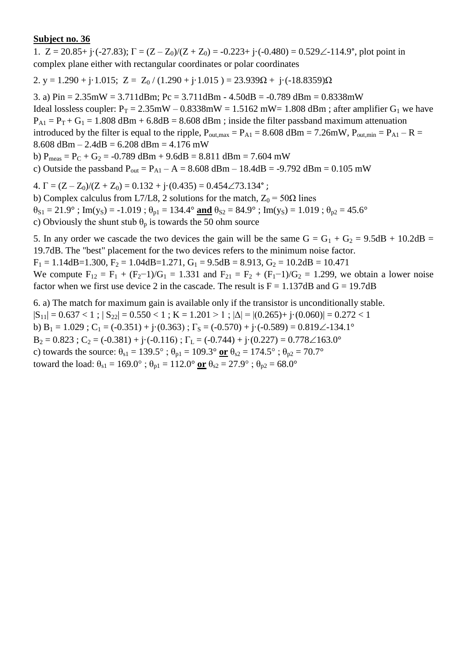1.  $Z = 20.85 + i \cdot (-27.83)$ ;  $\Gamma = (Z - Z_0)/(Z + Z_0) = -0.223 + i \cdot (-0.480) = 0.529\angle -114.9^\circ$ , plot point in complex plane either with rectangular coordinates or polar coordinates

2. y = 1.290 + j·1.015; Z = Z<sub>0</sub> / (1.290 + j·1.015 ) = 23.939 $\Omega$  + j·(-18.8359) $\Omega$ 

3. a) Pin = 2.35mW = 3.711dBm; Pc = 3.711dBm - 4.50dB = -0.789 dBm = 0.8338mW Ideal lossless coupler:  $P_T = 2.35$ mW – 0.8338mW = 1.5162 mW= 1.808 dBm; after amplifier G<sub>1</sub> we have  $P_{A1} = P_T + G_1 = 1.808$  dBm + 6.8dB = 8.608 dBm; inside the filter passband maximum attenuation introduced by the filter is equal to the ripple,  $P_{\text{out,max}} = P_{A1} = 8.608$  dBm = 7.26mW,  $P_{\text{out,min}} = P_{A1} - R =$  $8.608$  dBm  $- 2.4$ dB  $= 6.208$  dBm  $= 4.176$  mW b)  $P_{meas} = P_C + G_2 = -0.789$  dBm + 9.6dB = 8.811 dBm = 7.604 mW c) Outside the passband  $P_{out} = P_{A1} - A = 8.608$  dBm  $- 18.4$ dB = -9.792 dBm = 0.105 mW

4.  $\Gamma = (Z - Z_0)/(Z + Z_0) = 0.132 + i \cdot (0.435) = 0.454 \cdot 73.134$ °;

b) Complex calculus from L7/L8, 2 solutions for the match,  $Z_0 = 50\Omega$  lines  $\theta_{S1} = 21.9^\circ$ ; Im(y<sub>S</sub>) = -1.019;  $\theta_{p1} = 134.4^\circ$  and  $\theta_{S2} = 84.9^\circ$ ; Im(y<sub>S</sub>) = 1.019;  $\theta_{p2} = 45.6^\circ$ c) Obviously the shunt stub  $\theta_p$  is towards the 50 ohm source

5. In any order we cascade the two devices the gain will be the same  $G = G_1 + G_2 = 9.5dB + 10.2dB =$ 19.7dB. The "best" placement for the two devices refers to the minimum noise factor.  $F_1 = 1.14$ dB=1.300,  $F_2 = 1.04$ dB=1.271,  $G_1 = 9.5$ dB = 8.913,  $G_2 = 10.2$ dB = 10.471 We compute  $F_{12} = F_1 + (F_2 - 1)/G_1 = 1.331$  and  $F_{21} = F_2 + (F_1 - 1)/G_2 = 1.299$ , we obtain a lower noise

6. a) The match for maximum gain is available only if the transistor is unconditionally stable.  $|S_{11}| = 0.637 < 1$ ;  $|S_{22}| = 0.550 < 1$ ;  $K = 1.201 > 1$ ;  $|\Delta| = |(0.265) + j(0.060)| = 0.272 < 1$ b) B<sub>1</sub> = 1.029 ; C<sub>1</sub> = (-0.351) + j·(0.363) ;  $\Gamma$ <sub>S</sub> = (-0.570) + j·(-0.589) = 0.819 $\angle$ -134.1°  $B_2 = 0.823$ ;  $C_2 = (-0.381) + i(-0.116)$ ;  $\Gamma_L = (-0.744) + i(0.227) = 0.778\angle 163.0^\circ$ 

factor when we first use device 2 in the cascade. The result is  $F = 1.137dB$  and  $G = 19.7dB$ 

c) towards the source:  $\theta_{s1} = 139.5^\circ$ ;  $\theta_{p1} = 109.3^\circ$  or  $\theta_{s2} = 174.5^\circ$ ;  $\theta_{p2} = 70.7^\circ$ 

toward the load:  $\theta_{s1} = 169.0^{\circ}$ ;  $\theta_{p1} = 112.0^{\circ}$  or  $\theta_{s2} = 27.9^{\circ}$ ;  $\theta_{p2} = 68.0^{\circ}$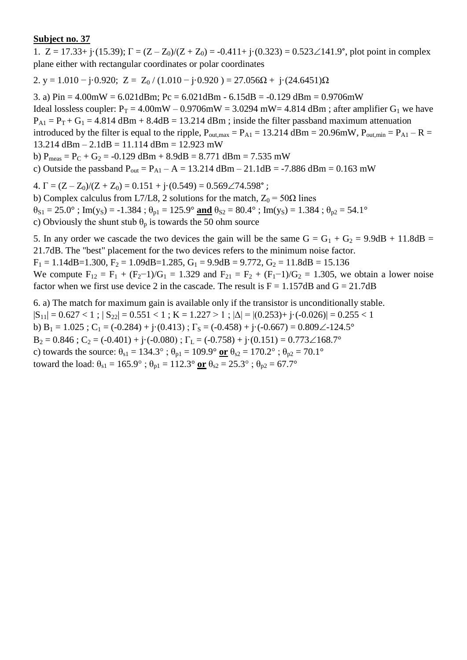1.  $Z = 17.33 + j(15.39)$ ;  $\Gamma = (Z - Z_0)/(Z + Z_0) = -0.411 + j(0.323) = 0.523 \angle 141.9^{\circ}$ , plot point in complex plane either with rectangular coordinates or polar coordinates

2. y = 1.010 – j·0.920; Z = Z<sub>0</sub> / (1.010 – j·0.920) = 27.056 $\Omega$  + j·(24.6451) $\Omega$ 

3. a)  $Pin = 4.00mW = 6.021dBm$ ;  $Pc = 6.021dBm - 6.15dB = -0.129dBm = 0.9706mW$ Ideal lossless coupler:  $P_T = 4.00$ mW – 0.9706mW = 3.0294 mW= 4.814 dBm; after amplifier G<sub>1</sub> we have  $P_{A1} = P_T + G_1 = 4.814$  dBm + 8.4dB = 13.214 dBm ; inside the filter passband maximum attenuation introduced by the filter is equal to the ripple,  $P_{\text{out,max}} = P_{\text{A1}} = 13.214 \text{ dBm} = 20.96 \text{mW}$ ,  $P_{\text{out,min}} = P_{\text{A1}} - R =$ 13.214 dBm – 2.1dB = 11.114 dBm = 12.923 mW b)  $P_{meas} = P_C + G_2 = -0.129$  dBm + 8.9dB = 8.771 dBm = 7.535 mW

c) Outside the passband  $P_{out} = P_{A1} - A = 13.214$  dBm  $- 21.1$ dB = -7.886 dBm = 0.163 mW

4.  $\Gamma = (Z - Z_0)/(Z + Z_0) = 0.151 + \mathrm{i} \cdot (0.549) = 0.569 \angle 74.598^\circ$ ;

b) Complex calculus from L7/L8, 2 solutions for the match,  $Z_0 = 50\Omega$  lines  $\theta_{S1} = 25.0^{\circ}$ ; Im(y<sub>S</sub>) = -1.384;  $\theta_{p1} = 125.9^{\circ}$  and  $\theta_{S2} = 80.4^{\circ}$ ; Im(y<sub>S</sub>) = 1.384;  $\theta_{p2} = 54.1^{\circ}$ 

c) Obviously the shunt stub  $\theta_p$  is towards the 50 ohm source

5. In any order we cascade the two devices the gain will be the same  $G = G_1 + G_2 = 9.9dB + 11.8dB =$ 21.7dB. The "best" placement for the two devices refers to the minimum noise factor.  $F_1 = 1.14$ dB=1.300,  $F_2 = 1.09$ dB=1.285,  $G_1 = 9.9$ dB = 9.772,  $G_2 = 11.8$ dB = 15.136

We compute  $F_{12} = F_1 + (F_2 - 1)/G_1 = 1.329$  and  $F_{21} = F_2 + (F_1 - 1)/G_2 = 1.305$ , we obtain a lower noise factor when we first use device 2 in the cascade. The result is  $F = 1.157dB$  and  $G = 21.7dB$ 

6. a) The match for maximum gain is available only if the transistor is unconditionally stable.  $|S_{11}| = 0.627 < 1$ ;  $|S_{22}| = 0.551 < 1$ ;  $K = 1.227 > 1$ ;  $|\Delta| = |(0.253) + j \cdot (-0.026)| = 0.255 < 1$ b) B<sub>1</sub> = 1.025 ; C<sub>1</sub> = (-0.284) + j·(0.413) ;  $\Gamma$ <sub>S</sub> = (-0.458) + j·(-0.667) = 0.809 $\angle$ -124.5°  $B_2 = 0.846$ ;  $C_2 = (-0.401) + i(-0.080)$ ;  $\Gamma_L = (-0.758) + i(0.151) = 0.773 \angle 168.7^\circ$ c) towards the source:  $\theta_{s1} = 134.3^\circ$ ;  $\theta_{p1} = 109.9^\circ$  or  $\theta_{s2} = 170.2^\circ$ ;  $\theta_{p2} = 70.1^\circ$ toward the load:  $\theta_{s1} = 165.9^\circ$ ;  $\theta_{p1} = 112.3^\circ$  or  $\theta_{s2} = 25.3^\circ$ ;  $\theta_{p2} = 67.7^\circ$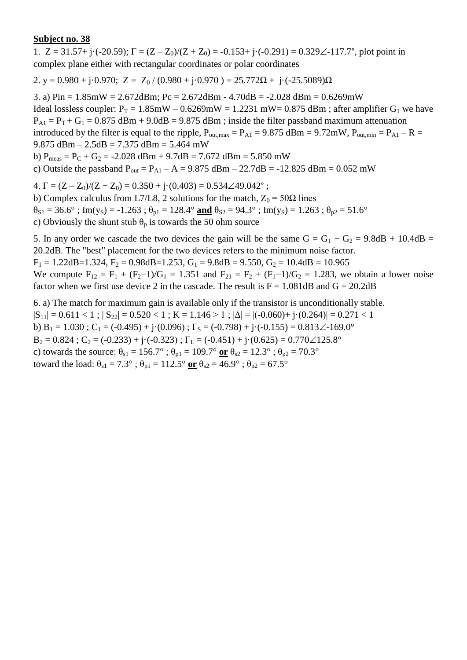1.  $Z = 31.57 + i(-20.59)$ ;  $\Gamma = (Z - Z_0)/(Z + Z_0) = -0.153 + i(-0.291) = 0.329\angle -117.7^\circ$ , plot point in complex plane either with rectangular coordinates or polar coordinates

2. y = 0.980 + j·0.970; Z =  $Z_0$  / (0.980 + j·0.970 ) = 25.772 $\Omega$  + j·(-25.5089) $\Omega$ 

3. a)  $Pin = 1.85mW = 2.672dBm$ ;  $Pc = 2.672dBm - 4.70dB = -2.028dBm = 0.6269mW$ Ideal lossless coupler:  $P_T = 1.85$ mW – 0.6269mW = 1.2231 mW= 0.875 dBm; after amplifier G<sub>1</sub> we have  $P_{A1} = P_T + G_1 = 0.875$  dBm + 9.0dB = 9.875 dBm; inside the filter passband maximum attenuation introduced by the filter is equal to the ripple,  $P_{\text{out,max}} = P_{\text{A1}} = 9.875 \text{ dBm} = 9.72 \text{mW}$ ,  $P_{\text{out,min}} = P_{\text{A1}} - R =$ 9.875 dBm – 2.5dB = 7.375 dBm = 5.464 mW b)  $P_{meas} = P_C + G_2 = -2.028$  dBm + 9.7dB = 7.672 dBm = 5.850 mW c) Outside the passband  $P_{out} = P_{A1} - A = 9.875$  dBm  $- 22.7$ dB = -12.825 dBm = 0.052 mW

4.  $\Gamma = (Z - Z_0)/(Z + Z_0) = 0.350 + i \cdot (0.403) = 0.534 \angle 49.042^{\circ}$ ;

b) Complex calculus from L7/L8, 2 solutions for the match,  $Z_0 = 50\Omega$  lines  $\theta_{S1} = 36.6^\circ$ ; Im(y<sub>S</sub>) = -1.263;  $\theta_{p1} = 128.4^\circ$  and  $\theta_{S2} = 94.3^\circ$ ; Im(y<sub>S</sub>) = 1.263;  $\theta_{p2} = 51.6^\circ$ 

c) Obviously the shunt stub  $\theta_p$  is towards the 50 ohm source

5. In any order we cascade the two devices the gain will be the same  $G = G_1 + G_2 = 9.8dB + 10.4dB =$ 20.2dB. The "best" placement for the two devices refers to the minimum noise factor.

 $F_1 = 1.22$ dB=1.324,  $F_2 = 0.98$ dB=1.253,  $G_1 = 9.8$ dB = 9.550,  $G_2 = 10.4$ dB = 10.965

We compute  $F_{12} = F_1 + (F_2 - 1)/G_1 = 1.351$  and  $F_{21} = F_2 + (F_1 - 1)/G_2 = 1.283$ , we obtain a lower noise factor when we first use device 2 in the cascade. The result is  $F = 1.081dB$  and  $G = 20.2dB$ 

6. a) The match for maximum gain is available only if the transistor is unconditionally stable.  $|S_{11}| = 0.611 < 1$ ;  $|S_{22}| = 0.520 < 1$ ;  $K = 1.146 > 1$ ;  $|\Delta| = |(-0.060) + (-0.264)| = 0.271 < 1$ b) B<sub>1</sub> = 1.030 ; C<sub>1</sub> = (-0.495) + j·(0.096) ;  $\Gamma$ <sub>S</sub> = (-0.798) + j·(-0.155) = 0.813 $\angle$ -169.0°  $B_2 = 0.824$ ;  $C_2 = (-0.233) + i(-0.323)$ ;  $\Gamma_L = (-0.451) + i(0.625) = 0.770 \angle 125.8^\circ$ c) towards the source:  $\theta_{s1} = 156.7^\circ$ ;  $\theta_{p1} = 109.7^\circ$  or  $\theta_{s2} = 12.3^\circ$ ;  $\theta_{p2} = 70.3^\circ$ toward the load:  $\theta_{s1} = 7.3^\circ$ ;  $\theta_{p1} = 112.5^\circ$  or  $\theta_{s2} = 46.9^\circ$ ;  $\theta_{p2} = 67.5^\circ$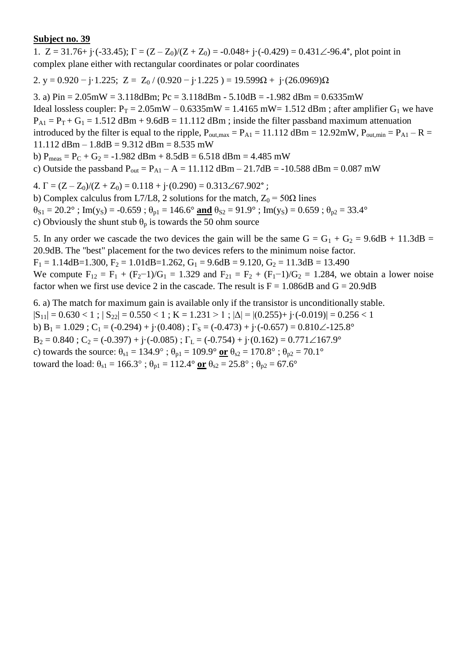1.  $Z = 31.76 + i(-33.45)$ ;  $\Gamma = (Z - Z_0)/(Z + Z_0) = -0.048 + i(-0.429) = 0.431 \angle 96.4^{\circ}$ , plot point in complex plane either with rectangular coordinates or polar coordinates

2. y = 0.920 – j·1.225; Z = Z<sub>0</sub> / (0.920 – j·1.225) = 19.599Ω + j·(26.0969)Ω

3. a)  $Pin = 2.05mW = 3.118dBm$ ;  $Pc = 3.118dBm - 5.10dB = -1.982dBm = 0.6335mW$ Ideal lossless coupler:  $P_T = 2.05 \text{mW} - 0.6335 \text{mW} = 1.4165 \text{ mW} = 1.512 \text{ dBm}$ ; after amplifier  $G_1$  we have  $P_{A1} = P_T + G_1 = 1.512$  dBm + 9.6dB = 11.112 dBm; inside the filter passband maximum attenuation introduced by the filter is equal to the ripple,  $P_{\text{out,max}} = P_{\text{A1}} = 11.112 \text{ dBm} = 12.92 \text{mW}$ ,  $P_{\text{out,min}} = P_{\text{A1}} - R =$ 11.112 dBm – 1.8dB =  $9.312$  dBm =  $8.535$  mW b)  $P_{meas} = P_C + G_2 = -1.982$  dBm  $+ 8.5$ dB  $= 6.518$  dBm  $= 4.485$  mW c) Outside the passband  $P_{out} = P_{A1} - A = 11.112$  dBm  $- 21.7$ dB = -10.588 dBm = 0.087 mW

4.  $\Gamma = (Z - Z_0)/(Z + Z_0) = 0.118 + j \cdot (0.290) = 0.313 \angle 67.902^{\circ}$ ;

b) Complex calculus from L7/L8, 2 solutions for the match,  $Z_0 = 50\Omega$  lines  $\theta_{S1} = 20.2^\circ$ ; Im(y<sub>S</sub>) = -0.659;  $\theta_{p1} = 146.6^\circ$  and  $\theta_{S2} = 91.9^\circ$ ; Im(y<sub>S</sub>) = 0.659;  $\theta_{p2} = 33.4^\circ$ c) Obviously the shunt stub  $\theta_p$  is towards the 50 ohm source

5. In any order we cascade the two devices the gain will be the same  $G = G_1 + G_2 = 9.6dB + 11.3dB =$ 20.9dB. The "best" placement for the two devices refers to the minimum noise factor.  $F_1 = 1.14$ dB=1.300,  $F_2 = 1.01$ dB=1.262,  $G_1 = 9.6$ dB = 9.120,  $G_2 = 11.3$ dB = 13.490

We compute  $F_{12} = F_1 + (F_2 - 1)/G_1 = 1.329$  and  $F_{21} = F_2 + (F_1 - 1)/G_2 = 1.284$ , we obtain a lower noise factor when we first use device 2 in the cascade. The result is  $F = 1.086dB$  and  $G = 20.9dB$ 

6. a) The match for maximum gain is available only if the transistor is unconditionally stable.  $|S_{11}| = 0.630 < 1$ ;  $|S_{22}| = 0.550 < 1$ ;  $K = 1.231 > 1$ ;  $|\Delta| = |(0.255) + j \cdot (-0.019)| = 0.256 < 1$ b) B<sub>1</sub> = 1.029; C<sub>1</sub> = (-0.294) + j·(0.408);  $\Gamma$ <sub>S</sub> = (-0.473) + j·(-0.657) = 0.810 $\angle$ -125.8°  $B_2 = 0.840$ ;  $C_2 = (-0.397) + i(-0.085)$ ;  $\Gamma_L = (-0.754) + i(0.162) = 0.771 \angle 167.9^\circ$ c) towards the source:  $\theta_{s1} = 134.9^\circ$ ;  $\theta_{p1} = 109.9^\circ$  or  $\theta_{s2} = 170.8^\circ$ ;  $\theta_{p2} = 70.1^\circ$ toward the load:  $\theta_{s1} = 166.3^\circ$ ;  $\theta_{p1} = 112.4^\circ$  or  $\theta_{s2} = 25.8^\circ$ ;  $\theta_{p2} = 67.6^\circ$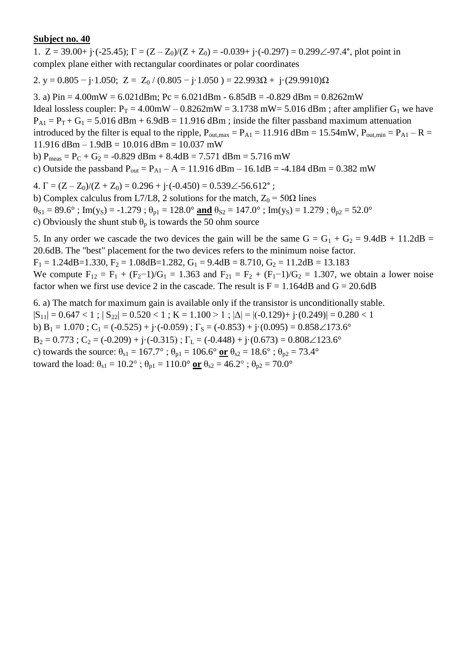1.  $Z = 39.00 + i(-25.45)$ ;  $\Gamma = (Z - Z_0)/(Z + Z_0) = -0.039 + i(-0.297) = 0.299\angle -97.4^{\circ}$ , plot point in complex plane either with rectangular coordinates or polar coordinates

2. y = 0.805  $-$  j·1.050; Z = Z<sub>0</sub> / (0.805  $-$  j·1.050 ) = 22.993 $\Omega$  + j·(29.9910) $\Omega$ 

3. a)  $Pin = 4.00mW = 6.021dBm$ ;  $Pc = 6.021dBm - 6.85dB = -0.829dBm = 0.8262mW$ Ideal lossless coupler:  $P_T = 4.00$ mW –  $0.8262$ mW = 3.1738 mW = 5.016 dBm; after amplifier G<sub>1</sub> we have  $P_{A1} = P_T + G_1 = 5.016$  dBm + 6.9dB = 11.916 dBm; inside the filter passband maximum attenuation introduced by the filter is equal to the ripple,  $P_{\text{out,max}} = P_{\text{A1}} = 11.916$  dBm = 15.54mW,  $P_{\text{out,min}} = P_{\text{A1}} - R =$  $11.916$  dBm  $- 1.9$ dB  $= 10.016$  dBm  $= 10.037$  mW b)  $P_{meas} = P_C + G_2 = -0.829$  dBm + 8.4dB = 7.571 dBm = 5.716 mW

c) Outside the passband  $P_{out} = P_{A1} - A = 11.916$  dBm – 16.1dB = -4.184 dBm = 0.382 mW

4.  $\Gamma = (Z - Z_0)/(Z + Z_0) = 0.296 + i \cdot (-0.450) = 0.539\angle 56.612^{\circ}$ ;

b) Complex calculus from L7/L8, 2 solutions for the match,  $Z_0 = 50\Omega$  lines  $\theta_{S1} = 89.6^\circ$ ; Im(y<sub>S</sub>) = -1.279;  $\theta_{p1} = 128.0^\circ$  and  $\theta_{S2} = 147.0^\circ$ ; Im(y<sub>S</sub>) = 1.279;  $\theta_{p2} = 52.0^\circ$ 

c) Obviously the shunt stub  $\theta_p$  is towards the 50 ohm source

5. In any order we cascade the two devices the gain will be the same  $G = G_1 + G_2 = 9.4dB + 11.2dB =$ 20.6dB. The "best" placement for the two devices refers to the minimum noise factor.  $F_1 = 1.24$ dB=1.330,  $F_2 = 1.08$ dB=1.282,  $G_1 = 9.4$ dB = 8.710,  $G_2 = 11.2$ dB = 13.183

We compute  $F_{12} = F_1 + (F_2 - 1)/G_1 = 1.363$  and  $F_{21} = F_2 + (F_1 - 1)/G_2 = 1.307$ , we obtain a lower noise factor when we first use device 2 in the cascade. The result is  $F = 1.164 dB$  and  $G = 20.6dB$ 

6. a) The match for maximum gain is available only if the transistor is unconditionally stable.  $|S_{11}| = 0.647 < 1$ ;  $|S_{22}| = 0.520 < 1$ ;  $K = 1.100 > 1$ ;  $|\Delta| = |(-0.129) + (-0.249)| = 0.280 < 1$ b)  $B_1 = 1.070$ ;  $C_1 = (-0.525) + j \cdot (-0.059)$ ;  $\Gamma_s = (-0.853) + j \cdot (0.095) = 0.858 \measuredangle 173.6^\circ$  $B_2 = 0.773$ ;  $C_2 = (-0.209) + i(-0.315)$ ;  $\Gamma_L = (-0.448) + i(0.673) = 0.808 \angle 123.6^\circ$ c) towards the source:  $\theta_{s1} = 167.7^\circ$ ;  $\theta_{p1} = 106.6^\circ$  or  $\theta_{s2} = 18.6^\circ$ ;  $\theta_{p2} = 73.4^\circ$ toward the load:  $\theta_{s1} = 10.2^\circ$ ;  $\theta_{p1} = 110.0^\circ$  or  $\theta_{s2} = 46.2^\circ$ ;  $\theta_{p2} = 70.0^\circ$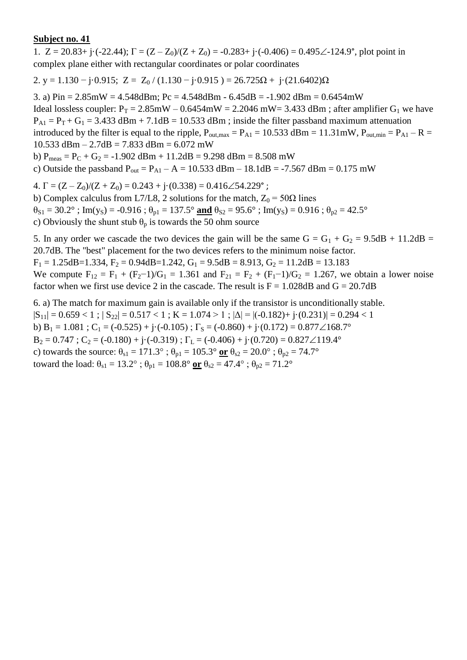1.  $Z = 20.83 + i(-22.44)$ ;  $\Gamma = (Z - Z_0)/(Z + Z_0) = -0.283 + i(-0.406) = 0.495\angle 124.9^\circ$ , plot point in complex plane either with rectangular coordinates or polar coordinates

2. y = 1.130 – j·0.915; Z = Z<sub>0</sub> / (1.130 – j·0.915) = 26.725 $\Omega$  + j·(21.6402) $\Omega$ 

3. a) Pin = 2.85mW = 4.548dBm; Pc = 4.548dBm - 6.45dB = -1.902 dBm = 0.6454mW Ideal lossless coupler:  $P_T = 2.85 \text{mW} - 0.6454 \text{mW} = 2.2046 \text{ mW} = 3.433 \text{ dBm}$ ; after amplifier  $G_1$  we have  $P_{A1} = P_T + G_1 = 3.433$  dBm + 7.1dB = 10.533 dBm ; inside the filter passband maximum attenuation introduced by the filter is equal to the ripple,  $P_{\text{out,max}} = P_{\text{A1}} = 10.533 \text{ dBm} = 11.31 \text{mW}$ ,  $P_{\text{out,min}} = P_{\text{A1}} - R =$ 10.533 dBm – 2.7dB = 7.833 dBm = 6.072 mW b)  $P_{meas} = P_C + G_2 = -1.902$  dBm + 11.2dB = 9.298 dBm = 8.508 mW

c) Outside the passband  $P_{out} = P_{A1} - A = 10.533$  dBm  $- 18.1$ dB = -7.567 dBm = 0.175 mW

4.  $\Gamma = (Z - Z_0)/(Z + Z_0) = 0.243 + i \cdot (0.338) = 0.416 \angle 54.229$ °;

b) Complex calculus from L7/L8, 2 solutions for the match,  $Z_0 = 50\Omega$  lines  $\theta_{S1} = 30.2^\circ$ ; Im(y<sub>S</sub>) = -0.916;  $\theta_{p1} = 137.5^\circ$  and  $\theta_{S2} = 95.6^\circ$ ; Im(y<sub>S</sub>) = 0.916;  $\theta_{p2} = 42.5^\circ$ c) Obviously the shunt stub  $\theta_p$  is towards the 50 ohm source

5. In any order we cascade the two devices the gain will be the same  $G = G_1 + G_2 = 9.5dB + 11.2dB =$ 20.7dB. The "best" placement for the two devices refers to the minimum noise factor.  $F_1 = 1.25$ dB=1.334,  $F_2 = 0.94$ dB=1.242,  $G_1 = 9.5$ dB = 8.913,  $G_2 = 11.2$ dB = 13.183

We compute  $F_{12} = F_1 + (F_2 - 1)/G_1 = 1.361$  and  $F_{21} = F_2 + (F_1 - 1)/G_2 = 1.267$ , we obtain a lower noise factor when we first use device 2 in the cascade. The result is  $F = 1.028 dB$  and  $G = 20.7dB$ 

6. a) The match for maximum gain is available only if the transistor is unconditionally stable.  $|S_{11}| = 0.659 < 1$ ;  $|S_{22}| = 0.517 < 1$ ;  $K = 1.074 > 1$ ;  $|\Delta| = |(-0.182) + (-0.231)| = 0.294 < 1$ b) B<sub>1</sub> = 1.081 ; C<sub>1</sub> = (-0.525) + j·(-0.105) ;  $\Gamma$ <sub>S</sub> = (-0.860) + j·(0.172) = 0.877 $\angle 168.7^\circ$  $B_2 = 0.747$ ;  $C_2 = (-0.180) + (-0.319)$ ;  $\Gamma_L = (-0.406) + (-0.720) = 0.827 \angle 119.4^\circ$ c) towards the source:  $\theta_{s1} = 171.3^\circ$ ;  $\theta_{p1} = 105.3^\circ$  or  $\theta_{s2} = 20.0^\circ$ ;  $\theta_{p2} = 74.7^\circ$ toward the load:  $\theta_{s1} = 13.2^\circ$ ;  $\theta_{p1} = 108.8^\circ$  or  $\theta_{s2} = 47.4^\circ$ ;  $\theta_{p2} = 71.2^\circ$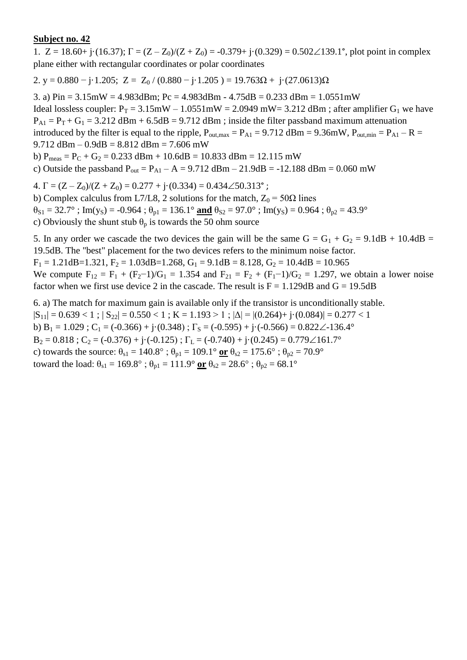1.  $Z = 18.60 + j \cdot (16.37)$ ;  $\Gamma = (Z - Z_0)/(Z + Z_0) = -0.379 + j \cdot (0.329) = 0.502 \angle 139.1^\circ$ , plot point in complex plane either with rectangular coordinates or polar coordinates

2. y = 0.880  $-$  j·1.205; Z = Z<sub>0</sub> / (0.880  $-$  j·1.205) = 19.763 $\Omega$  + j·(27.0613) $\Omega$ 

3. a)  $Pin = 3.15mW = 4.983dBm$ ;  $Pc = 4.983dBm - 4.75dB = 0.233dBm = 1.0551mW$ Ideal lossless coupler:  $P_T = 3.15 \text{mW} - 1.0551 \text{mW} = 2.0949 \text{ mW} = 3.212 \text{ dBm}$ ; after amplifier  $G_1$  we have  $P_{A1} = P_T + G_1 = 3.212$  dBm + 6.5dB = 9.712 dBm; inside the filter passband maximum attenuation introduced by the filter is equal to the ripple,  $P_{\text{out,max}} = P_{\text{A1}} = 9.712 \text{ dBm} = 9.36 \text{mW}$ ,  $P_{\text{out,min}} = P_{\text{A1}} - R =$ 9.712 dBm –  $0.9$ dB =  $8.812$  dBm =  $7.606$  mW b)  $P_{meas} = P_C + G_2 = 0.233$  dBm + 10.6dB = 10.833 dBm = 12.115 mW c) Outside the passband  $P_{out} = P_{A1} - A = 9.712$  dBm  $- 21.9$ dB = -12.188 dBm = 0.060 mW 4.  $\Gamma = (Z - Z_0)/(Z + Z_0) = 0.277 + j(0.334) = 0.434\angle 50.313$ °;

b) Complex calculus from L7/L8, 2 solutions for the match,  $Z_0 = 50\Omega$  lines  $\theta_{S1} = 32.7^\circ$ ; Im(y<sub>S</sub>) = -0.964;  $\theta_{p1} = 136.1^\circ$  and  $\theta_{S2} = 97.0^\circ$ ; Im(y<sub>S</sub>) = 0.964;  $\theta_{p2} = 43.9^\circ$ c) Obviously the shunt stub  $\theta_p$  is towards the 50 ohm source

5. In any order we cascade the two devices the gain will be the same  $G = G_1 + G_2 = 9.1dB + 10.4dB =$ 19.5dB. The "best" placement for the two devices refers to the minimum noise factor.  $F_1 = 1.21$ dB=1.321,  $F_2 = 1.03$ dB=1.268,  $G_1 = 9.1$ dB = 8.128,  $G_2 = 10.4$ dB = 10.965

We compute  $F_{12} = F_1 + (F_2 - 1)/G_1 = 1.354$  and  $F_{21} = F_2 + (F_1 - 1)/G_2 = 1.297$ , we obtain a lower noise factor when we first use device 2 in the cascade. The result is  $F = 1.129dB$  and  $G = 19.5dB$ 

6. a) The match for maximum gain is available only if the transistor is unconditionally stable.  $|S_{11}| = 0.639 < 1$ ;  $|S_{22}| = 0.550 < 1$ ;  $K = 1.193 > 1$ ;  $|\Delta| = |(0.264) + j(0.084)| = 0.277 < 1$ b) B<sub>1</sub> = 1.029 ; C<sub>1</sub> = (-0.366) + j·(0.348) ;  $\Gamma$ <sub>S</sub> = (-0.595) + j·(-0.566) = 0.822 $\angle$ -136.4°  $B_2 = 0.818$ ;  $C_2 = (-0.376) + i(-0.125)$ ;  $\Gamma_L = (-0.740) + i(0.245) = 0.779\angle 161.7^\circ$ c) towards the source:  $\theta_{s1} = 140.8^\circ$ ;  $\theta_{p1} = 109.1^\circ$  or  $\theta_{s2} = 175.6^\circ$ ;  $\theta_{p2} = 70.9^\circ$ toward the load:  $\theta_{s1} = 169.8^\circ$ ;  $\theta_{p1} = 111.9^\circ$  or  $\theta_{s2} = 28.6^\circ$ ;  $\theta_{p2} = 68.1^\circ$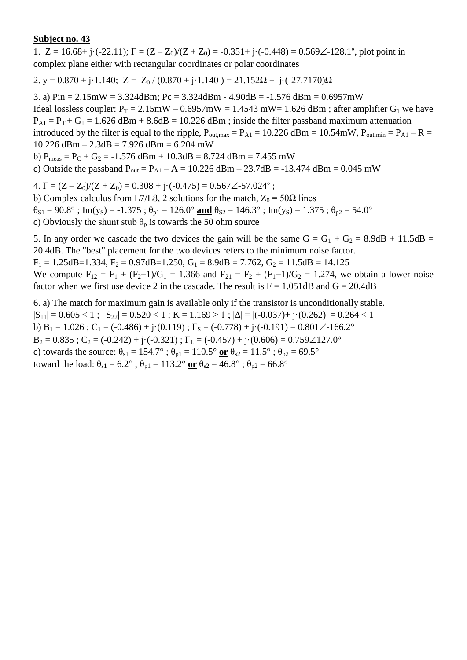1.  $Z = 16.68 + j \cdot (-22.11); \Gamma = (Z - Z_0)/(Z + Z_0) = -0.351 + j \cdot (-0.448) = 0.569\angle -128.1^\circ$ , plot point in complex plane either with rectangular coordinates or polar coordinates

2. y =  $0.870 + j \cdot 1.140$ ; Z =  $Z_0 / (0.870 + j \cdot 1.140) = 21.152\Omega + j \cdot (-27.7170)\Omega$ 

3. a) Pin = 2.15mW = 3.324dBm; Pc = 3.324dBm - 4.90dB = -1.576 dBm = 0.6957mW Ideal lossless coupler:  $P_T = 2.15 \text{mW} - 0.6957 \text{mW} = 1.4543 \text{ mW} = 1.626 \text{ dBm}$ ; after amplifier  $G_1$  we have  $P_{A1} = P_T + G_1 = 1.626$  dBm + 8.6dB = 10.226 dBm; inside the filter passband maximum attenuation introduced by the filter is equal to the ripple,  $P_{\text{out,max}} = P_{\text{A1}} = 10.226 \text{ dBm} = 10.54 \text{mW}$ ,  $P_{\text{out,min}} = P_{\text{A1}} - R =$ 10.226 dBm – 2.3dB = 7.926 dBm = 6.204 mW b)  $P_{meas} = P_C + G_2 = -1.576$  dBm + 10.3dB = 8.724 dBm = 7.455 mW

c) Outside the passband  $P_{out} = P_{A1} - A = 10.226$  dBm  $- 23.7$ dB = -13.474 dBm = 0.045 mW

4.  $\Gamma = (Z - Z_0)/(Z + Z_0) = 0.308 + i \cdot (-0.475) = 0.567 \angle 57.024$ °;

b) Complex calculus from L7/L8, 2 solutions for the match,  $Z_0 = 50\Omega$  lines  $\theta_{S1} = 90.8^\circ$ ; Im(y<sub>S</sub>) = -1.375;  $\theta_{p1} = 126.0^\circ$  and  $\theta_{S2} = 146.3^\circ$ ; Im(y<sub>S</sub>) = 1.375;  $\theta_{p2} = 54.0^\circ$ c) Obviously the shunt stub  $\theta_p$  is towards the 50 ohm source

5. In any order we cascade the two devices the gain will be the same  $G = G_1 + G_2 = 8.9dB + 11.5dB =$ 20.4dB. The "best" placement for the two devices refers to the minimum noise factor.

 $F_1 = 1.25$ dB=1.334,  $F_2 = 0.97$ dB=1.250,  $G_1 = 8.9$ dB = 7.762,  $G_2 = 11.5$ dB = 14.125

We compute  $F_{12} = F_1 + (F_2 - 1)/G_1 = 1.366$  and  $F_{21} = F_2 + (F_1 - 1)/G_2 = 1.274$ , we obtain a lower noise factor when we first use device 2 in the cascade. The result is  $F = 1.051dB$  and  $G = 20.4dB$ 

6. a) The match for maximum gain is available only if the transistor is unconditionally stable.  $|S_{11}| = 0.605 < 1$ ;  $|S_{22}| = 0.520 < 1$ ;  $K = 1.169 > 1$ ;  $|\Delta| = |(-0.037) + (-0.262)| = 0.264 < 1$ b) B<sub>1</sub> = 1.026 ; C<sub>1</sub> = (-0.486) + j·(0.119) ;  $\Gamma$ <sub>S</sub> = (-0.778) + j·(-0.191) = 0.801 $\angle$ -166.2°  $B_2 = 0.835$ ;  $C_2 = (-0.242) + i(-0.321)$ ;  $\Gamma_L = (-0.457) + i(0.606) = 0.759 \angle 127.0^\circ$ c) towards the source:  $\theta_{s1} = 154.7^\circ$ ;  $\theta_{p1} = 110.5^\circ$  or  $\theta_{s2} = 11.5^\circ$ ;  $\theta_{p2} = 69.5^\circ$ toward the load:  $\theta_{s1} = 6.2^{\circ}$ ;  $\theta_{p1} = 113.2^{\circ}$  or  $\theta_{s2} = 46.8^{\circ}$ ;  $\theta_{p2} = 66.8^{\circ}$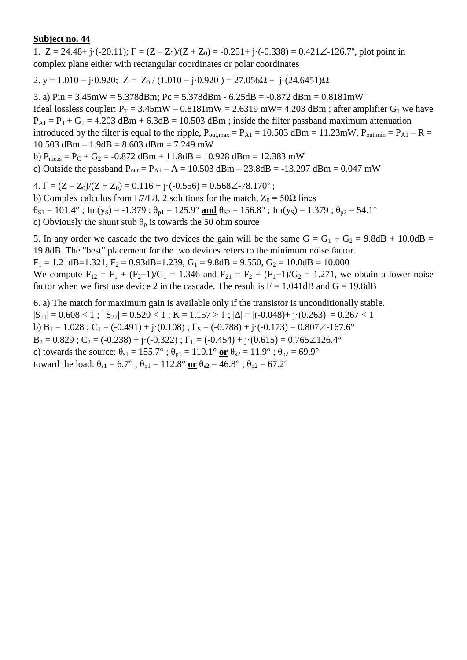1.  $Z = 24.48 + i \cdot (-20.11)$ ;  $\Gamma = (Z - Z_0)/(Z + Z_0) = -0.251 + i \cdot (-0.338) = 0.421 \angle -126.7^{\circ}$ , plot point in complex plane either with rectangular coordinates or polar coordinates

2. y = 1.010 – j·0.920; Z = Z<sub>0</sub> / (1.010 – j·0.920) = 27.056 $\Omega$  + j·(24.6451) $\Omega$ 

3. a) Pin = 3.45mW = 5.378dBm; Pc = 5.378dBm - 6.25dB = -0.872 dBm = 0.8181mW Ideal lossless coupler:  $P_T = 3.45 \text{mW} - 0.8181 \text{mW} = 2.6319 \text{ mW} = 4.203 \text{ dBm}$ ; after amplifier  $G_1$  we have  $P_{A1} = P_T + G_1 = 4.203$  dBm + 6.3dB = 10.503 dBm ; inside the filter passband maximum attenuation introduced by the filter is equal to the ripple,  $P_{\text{out,max}} = P_{\text{A1}} = 10.503 \text{ dBm} = 11.23 \text{mW}$ ,  $P_{\text{out,min}} = P_{\text{A1}} - R =$  $10.503$  dBm  $- 1.9$ dB  $= 8.603$  dBm  $= 7.249$  mW b)  $P_{meas} = P_C + G_2 = -0.872$  dBm + 11.8dB = 10.928 dBm = 12.383 mW

c) Outside the passband  $P_{out} = P_{A1} - A = 10.503$  dBm  $- 23.8$ dB = -13.297 dBm = 0.047 mW

4.  $\Gamma = (Z - Z_0)/(Z + Z_0) = 0.116 + i \cdot (-0.556) = 0.568 \angle -78.170^{\circ}$ ;

b) Complex calculus from L7/L8, 2 solutions for the match,  $Z_0 = 50\Omega$  lines  $\theta_{S1} = 101.4^\circ$ ; Im(y<sub>S</sub>) = -1.379;  $\theta_{p1} = 125.9^\circ$  and  $\theta_{S2} = 156.8^\circ$ ; Im(y<sub>S</sub>) = 1.379;  $\theta_{p2} = 54.1^\circ$ 

c) Obviously the shunt stub  $\theta_p$  is towards the 50 ohm source

5. In any order we cascade the two devices the gain will be the same  $G = G_1 + G_2 = 9.8dB + 10.0dB =$ 19.8dB. The "best" placement for the two devices refers to the minimum noise factor.

 $F_1 = 1.21$ dB=1.321,  $F_2 = 0.93$ dB=1.239,  $G_1 = 9.8$ dB = 9.550,  $G_2 = 10.0$ dB = 10.000

We compute  $F_{12} = F_1 + (F_2 - 1)/G_1 = 1.346$  and  $F_{21} = F_2 + (F_1 - 1)/G_2 = 1.271$ , we obtain a lower noise factor when we first use device 2 in the cascade. The result is  $F = 1.041dB$  and  $G = 19.8dB$ 

6. a) The match for maximum gain is available only if the transistor is unconditionally stable.  $|S_{11}| = 0.608 < 1$ ;  $|S_{22}| = 0.520 < 1$ ;  $K = 1.157 > 1$ ;  $|\Delta| = |(-0.048) + (-0.048) + (-0.263)| = 0.267 < 1$ b)  $B_1 = 1.028$ ;  $C_1 = (-0.491) + j(0.108)$ ;  $\Gamma_s = (-0.788) + j(-0.173) = 0.807\angle 167.6^\circ$  $B_2 = 0.829$ ;  $C_2 = (-0.238) + i(-0.322)$ ;  $\Gamma_L = (-0.454) + i(0.615) = 0.765 \angle 126.4^\circ$ c) towards the source:  $\theta_{s1} = 155.7^\circ$ ;  $\theta_{p1} = 110.1^\circ$  or  $\theta_{s2} = 11.9^\circ$ ;  $\theta_{p2} = 69.9^\circ$ toward the load:  $\theta_{s1} = 6.7^\circ$ ;  $\theta_{p1} = 112.8^\circ$  or  $\theta_{s2} = 46.8^\circ$ ;  $\theta_{p2} = 67.2^\circ$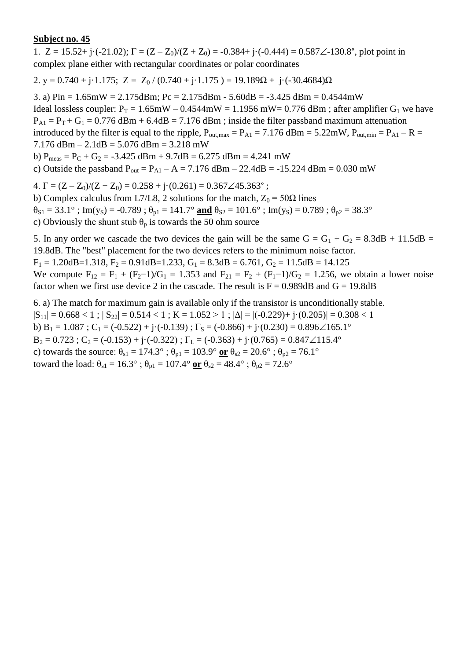1.  $Z = 15.52 + i(-21.02)$ ;  $\Gamma = (Z - Z_0)/(Z + Z_0) = -0.384 + i(-0.444) = 0.587\angle 130.8^\circ$ , plot point in complex plane either with rectangular coordinates or polar coordinates

2. y = 0.740 + j·1.175; Z = Z<sub>0</sub> / (0.740 + j·1.175) = 19.189 $\Omega$  + j·(-30.4684) $\Omega$ 

3. a)  $Pin = 1.65mW = 2.175dBm$ ;  $Pc = 2.175dBm - 5.60dB = -3.425dBm = 0.4544mW$ Ideal lossless coupler:  $P_T = 1.65$ mW – 0.4544mW = 1.1956 mW = 0.776 dBm; after amplifier G<sub>1</sub> we have  $P_{A1} = P_T + G_1 = 0.776$  dBm + 6.4dB = 7.176 dBm ; inside the filter passband maximum attenuation introduced by the filter is equal to the ripple,  $P_{\text{out,max}} = P_{A1} = 7.176 \text{ dBm} = 5.22 \text{mW}$ ,  $P_{\text{out,min}} = P_{A1} - R =$ 7.176 dBm  $- 2.1$ dB  $= 5.076$  dBm  $= 3.218$  mW b)  $P_{meas} = P_C + G_2 = -3.425$  dBm + 9.7dB = 6.275 dBm = 4.241 mW c) Outside the passband  $P_{out} = P_{A1} - A = 7.176$  dBm – 22.4dB = -15.224 dBm = 0.030 mW

4.  $\Gamma = (Z - Z_0)/(Z + Z_0) = 0.258 + i \cdot (0.261) = 0.367 \angle 45.363$ °;

b) Complex calculus from L7/L8, 2 solutions for the match,  $Z_0 = 50\Omega$  lines  $\theta_{S1} = 33.1^\circ$ ; Im(y<sub>S</sub>) = -0.789;  $\theta_{p1} = 141.7^\circ$  and  $\theta_{S2} = 101.6^\circ$ ; Im(y<sub>S</sub>) = 0.789;  $\theta_{p2} = 38.3^\circ$ c) Obviously the shunt stub  $\theta_p$  is towards the 50 ohm source

5. In any order we cascade the two devices the gain will be the same  $G = G_1 + G_2 = 8.3dB + 11.5dB =$ 19.8dB. The "best" placement for the two devices refers to the minimum noise factor.  $F_1 = 1.20$ dB=1.318,  $F_2 = 0.91$ dB=1.233,  $G_1 = 8.3$ dB = 6.761,  $G_2 = 11.5$ dB = 14.125

We compute  $F_{12} = F_1 + (F_2 - 1)/G_1 = 1.353$  and  $F_{21} = F_2 + (F_1 - 1)/G_2 = 1.256$ , we obtain a lower noise factor when we first use device 2 in the cascade. The result is  $F = 0.989dB$  and  $G = 19.8dB$ 

6. a) The match for maximum gain is available only if the transistor is unconditionally stable.  $|S_{11}| = 0.668 < 1$ ;  $|S_{22}| = 0.514 < 1$ ;  $K = 1.052 > 1$ ;  $|\Delta| = |(-0.229) + (-0.205)| = 0.308 < 1$ b) B<sub>1</sub> = 1.087 ; C<sub>1</sub> = (-0.522) + j·(-0.139) ;  $\Gamma$ <sub>S</sub> = (-0.866) + j·(0.230) = 0.896 $\angle$ 165.1°  $B_2 = 0.723$ ;  $C_2 = (-0.153) + (-0.322)$ ;  $\Gamma_L = (-0.363) + (-0.765) = 0.847 \angle 115.4^\circ$ c) towards the source:  $\theta_{s1} = 174.3^\circ$ ;  $\theta_{p1} = 103.9^\circ$  or  $\theta_{s2} = 20.6^\circ$ ;  $\theta_{p2} = 76.1^\circ$ toward the load:  $\theta_{s1} = 16.3^\circ$ ;  $\theta_{p1} = 107.4^\circ$  or  $\theta_{s2} = 48.4^\circ$ ;  $\theta_{p2} = 72.6^\circ$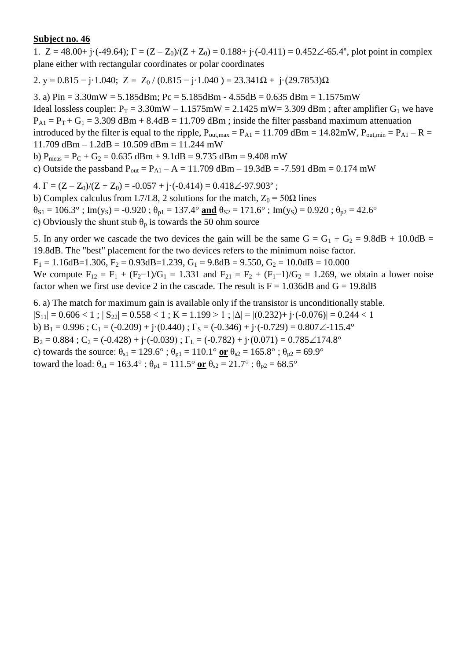1.  $Z = 48.00 + i \cdot (-49.64)$ ;  $\Gamma = (Z - Z_0)/(Z + Z_0) = 0.188 + i \cdot (-0.411) = 0.452 \angle 65.4^{\circ}$ , plot point in complex plane either with rectangular coordinates or polar coordinates

2. y = 0.815 – j·1.040; Z = Z<sub>0</sub> / (0.815 – j·1.040) = 23.341 $\Omega$  + j·(29.7853) $\Omega$ 

3. a)  $Pin = 3.30mW = 5.185dBm$ ;  $Pc = 5.185dBm - 4.55dB = 0.635dBm = 1.1575mW$ 

Ideal lossless coupler:  $P_T = 3.30$ mW – 1.1575mW = 2.1425 mW = 3.309 dBm; after amplifier G<sub>1</sub> we have  $P_{A1} = P_T + G_1 = 3.309$  dBm + 8.4dB = 11.709 dBm; inside the filter passband maximum attenuation introduced by the filter is equal to the ripple,  $P_{\text{out,max}} = P_{\text{A1}} = 11.709 \text{ dBm} = 14.82 \text{mW}$ ,  $P_{\text{out,min}} = P_{\text{A1}} - R =$ 

 $11.709$  dBm  $- 1.2$ dB  $= 10.509$  dBm  $= 11.244$  mW

b)  $P_{meas} = P_C + G_2 = 0.635$  dBm + 9.1dB = 9.735 dBm = 9.408 mW

c) Outside the passband  $P_{out} = P_{A1} - A = 11.709$  dBm – 19.3dB = -7.591 dBm = 0.174 mW

4.  $\Gamma = (Z - Z_0)/(Z + Z_0) = -0.057 + j \cdot (-0.414) = 0.418\angle -97.903$ °;

b) Complex calculus from L7/L8, 2 solutions for the match,  $Z_0 = 50\Omega$  lines

 $\theta_{S1} = 106.3^\circ$ ; Im(y<sub>S</sub>) = -0.920;  $\theta_{p1} = 137.4^\circ$  and  $\theta_{S2} = 171.6^\circ$ ; Im(y<sub>S</sub>) = 0.920;  $\theta_{p2} = 42.6^\circ$ 

c) Obviously the shunt stub  $\theta_p$  is towards the 50 ohm source

5. In any order we cascade the two devices the gain will be the same  $G = G_1 + G_2 = 9.8dB + 10.0dB =$ 19.8dB. The "best" placement for the two devices refers to the minimum noise factor.

 $F_1 = 1.16$ dB=1.306,  $F_2 = 0.93$ dB=1.239,  $G_1 = 9.8$ dB = 9.550,  $G_2 = 10.0$ dB = 10.000

We compute  $F_{12} = F_1 + (F_2 - 1)/G_1 = 1.331$  and  $F_{21} = F_2 + (F_1 - 1)/G_2 = 1.269$ , we obtain a lower noise factor when we first use device 2 in the cascade. The result is  $F = 1.036dB$  and  $G = 19.8dB$ 

6. a) The match for maximum gain is available only if the transistor is unconditionally stable.  $|S_{11}| = 0.606 < 1$ ;  $|S_{22}| = 0.558 < 1$ ;  $K = 1.199 > 1$ ;  $|\Delta| = |(0.232) + j \cdot (-0.076)| = 0.244 < 1$ b) B<sub>1</sub> = 0.996 ; C<sub>1</sub> = (-0.209) + j·(0.440) ;  $\Gamma$ <sub>S</sub> = (-0.346) + j·(-0.729) = 0.807 $\angle$ -115.4°  $B_2 = 0.884$ ;  $C_2 = (-0.428) + i(-0.039)$ ;  $\Gamma_L = (-0.782) + i(0.071) = 0.785 \angle 174.8^\circ$ c) towards the source:  $\theta_{s1} = 129.6^\circ$ ;  $\theta_{p1} = 110.1^\circ$  or  $\theta_{s2} = 165.8^\circ$ ;  $\theta_{p2} = 69.9^\circ$ toward the load:  $\theta_{s1} = 163.4^\circ$ ;  $\theta_{p1} = 111.5^\circ$  or  $\theta_{s2} = 21.7^\circ$ ;  $\theta_{p2} = 68.5^\circ$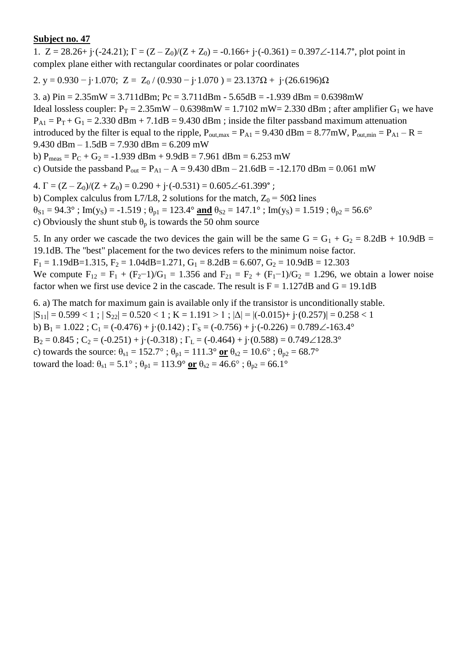1.  $Z = 28.26 + i \cdot (-24.21)$ ;  $\Gamma = (Z - Z_0)/(Z + Z_0) = -0.166 + i \cdot (-0.361) = 0.397\angle -114.7^{\circ}$ , plot point in complex plane either with rectangular coordinates or polar coordinates

2. y = 0.930 – j·1.070; Z = Z<sub>0</sub> / (0.930 – j·1.070) = 23.137 $\Omega$  + j·(26.6196) $\Omega$ 

3. a) Pin = 2.35mW = 3.711dBm; Pc = 3.711dBm - 5.65dB = -1.939 dBm = 0.6398mW Ideal lossless coupler:  $P_T = 2.35 \text{mW} - 0.6398 \text{mW} = 1.7102 \text{ mW} = 2.330 \text{ dBm}$ ; after amplifier  $G_1$  we have  $P_{A1} = P_T + G_1 = 2.330$  dBm + 7.1dB = 9.430 dBm ; inside the filter passband maximum attenuation introduced by the filter is equal to the ripple,  $P_{\text{out,max}} = P_{A1} = 9.430$  dBm = 8.77mW,  $P_{\text{out,min}} = P_{A1} - R =$ 9.430 dBm –  $1.5$ dB = 7.930 dBm = 6.209 mW b)  $P_{meas} = P_C + G_2 = -1.939$  dBm + 9.9dB = 7.961 dBm = 6.253 mW c) Outside the passband  $P_{out} = P_{A1} - A = 9.430$  dBm  $- 21.6$ dB = -12.170 dBm = 0.061 mW 4.  $\Gamma = (Z - Z_0)/(Z + Z_0) = 0.290 + j \cdot (-0.531) = 0.605 \angle 61.399$ °;

b) Complex calculus from L7/L8, 2 solutions for the match,  $Z_0 = 50\Omega$  lines  $\theta_{S1} = 94.3^\circ$ ; Im(y<sub>S</sub>) = -1.519;  $\theta_{p1} = 123.4^\circ$  and  $\theta_{S2} = 147.1^\circ$ ; Im(y<sub>S</sub>) = 1.519;  $\theta_{p2} = 56.6^\circ$ c) Obviously the shunt stub  $\theta_p$  is towards the 50 ohm source

5. In any order we cascade the two devices the gain will be the same  $G = G_1 + G_2 = 8.2dB + 10.9dB =$ 19.1dB. The "best" placement for the two devices refers to the minimum noise factor.  $F_1 = 1.19$ dB=1.315,  $F_2 = 1.04$ dB=1.271,  $G_1 = 8.2$ dB = 6.607,  $G_2 = 10.9$ dB = 12.303

We compute  $F_{12} = F_1 + (F_2 - 1)/G_1 = 1.356$  and  $F_{21} = F_2 + (F_1 - 1)/G_2 = 1.296$ , we obtain a lower noise factor when we first use device 2 in the cascade. The result is  $F = 1.127dB$  and  $G = 19.1dB$ 

6. a) The match for maximum gain is available only if the transistor is unconditionally stable.  $|S_{11}| = 0.599 < 1$ ;  $|S_{22}| = 0.520 < 1$ ;  $K = 1.191 > 1$ ;  $|\Delta| = |(-0.015) + (-0.257)| = 0.258 < 1$ b) B<sub>1</sub> = 1.022 ; C<sub>1</sub> = (-0.476) + j·(0.142) ;  $\Gamma$ <sub>S</sub> = (-0.756) + j·(-0.226) = 0.789 $\angle$ -163.4°  $B_2 = 0.845$ ;  $C_2 = (-0.251) + i(-0.318)$ ;  $\Gamma_L = (-0.464) + i(0.588) = 0.749 \angle 128.3^\circ$ c) towards the source:  $\theta_{s1} = 152.7^\circ$ ;  $\theta_{p1} = 111.3^\circ$  or  $\theta_{s2} = 10.6^\circ$ ;  $\theta_{p2} = 68.7^\circ$ toward the load:  $\theta_{s1} = 5.1^\circ$ ;  $\theta_{p1} = 113.9^\circ$  or  $\theta_{s2} = 46.6^\circ$ ;  $\theta_{p2} = 66.1^\circ$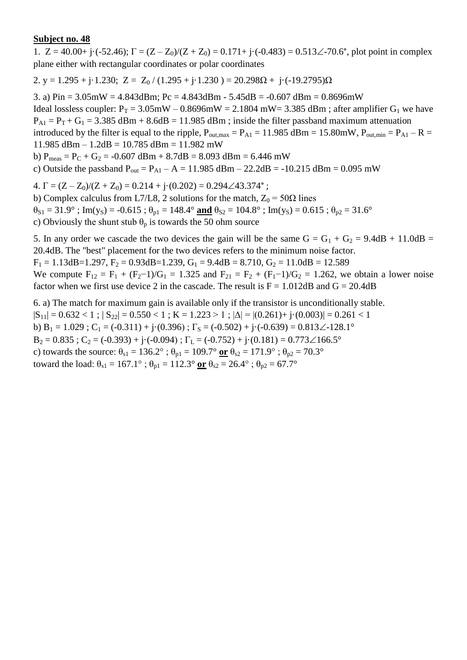1.  $Z = 40.00 + j \cdot (-52.46)$ ;  $\Gamma = (Z - Z_0)/(Z + Z_0) = 0.171 + j \cdot (-0.483) = 0.513 \angle -70.6^{\circ}$ , plot point in complex plane either with rectangular coordinates or polar coordinates

2. y = 1.295 + j·1.230; Z =  $Z_0$  / (1.295 + j·1.230) = 20.298 $\Omega$  + j·(-19.2795) $\Omega$ 

3. a)  $Pin = 3.05mW = 4.843dBm$ ;  $Pc = 4.843dBm - 5.45dB = -0.607dBm = 0.8696mW$ Ideal lossless coupler:  $P_T = 3.05$ mW – 0.8696mW = 2.1804 mW= 3.385 dBm; after amplifier G<sub>1</sub> we have  $P_{A1} = P_T + G_1 = 3.385$  dBm + 8.6dB = 11.985 dBm; inside the filter passband maximum attenuation introduced by the filter is equal to the ripple,  $P_{\text{out,max}} = P_{\text{A1}} = 11.985 \text{ dBm} = 15.80 \text{mW}$ ,  $P_{\text{out,min}} = P_{\text{A1}} - R =$ 11.985 dBm  $- 1.2$ dB  $= 10.785$  dBm  $= 11.982$  mW b)  $P_{meas} = P_C + G_2 = -0.607$  dBm + 8.7dB = 8.093 dBm = 6.446 mW

c) Outside the passband  $P_{out} = P_{A1} - A = 11.985$  dBm – 22.2dB = -10.215 dBm = 0.095 mW

4.  $\Gamma = (Z - Z_0)/(Z + Z_0) = 0.214 + \mathrm{i} \cdot (0.202) = 0.294 \angle 43.374$ °;

b) Complex calculus from L7/L8, 2 solutions for the match,  $Z_0 = 50\Omega$  lines  $\theta_{S1} = 31.9^\circ$ ; Im(y<sub>S</sub>) = -0.615;  $\theta_{p1} = 148.4^\circ$  and  $\theta_{S2} = 104.8^\circ$ ; Im(y<sub>S</sub>) = 0.615;  $\theta_{p2} = 31.6^\circ$ c) Obviously the shunt stub  $\theta_p$  is towards the 50 ohm source

5. In any order we cascade the two devices the gain will be the same  $G = G_1 + G_2 = 9.4dB + 11.0dB =$ 20.4dB. The "best" placement for the two devices refers to the minimum noise factor.

 $F_1 = 1.13$ dB=1.297,  $F_2 = 0.93$ dB=1.239,  $G_1 = 9.4$ dB = 8.710,  $G_2 = 11.0$ dB = 12.589

We compute  $F_{12} = F_1 + (F_2 - 1)/G_1 = 1.325$  and  $F_{21} = F_2 + (F_1 - 1)/G_2 = 1.262$ , we obtain a lower noise factor when we first use device 2 in the cascade. The result is  $F = 1.012dB$  and  $G = 20.4dB$ 

6. a) The match for maximum gain is available only if the transistor is unconditionally stable.  $|S_{11}| = 0.632 < 1$ ;  $|S_{22}| = 0.550 < 1$ ;  $K = 1.223 > 1$ ;  $|\Delta| = |(0.261) + j(0.003)| = 0.261 < 1$ b) B<sub>1</sub> = 1.029 ; C<sub>1</sub> = (-0.311) + j·(0.396) ;  $\Gamma$ <sub>S</sub> = (-0.502) + j·(-0.639) = 0.813 $\angle$ -128.1°  $B_2 = 0.835$ ;  $C_2 = (-0.393) + i(-0.094)$ ;  $\Gamma_L = (-0.752) + i(0.181) = 0.773 \angle 166.5^\circ$ c) towards the source:  $\theta_{s1} = 136.2^\circ$ ;  $\theta_{p1} = 109.7^\circ$  or  $\theta_{s2} = 171.9^\circ$ ;  $\theta_{p2} = 70.3^\circ$ toward the load:  $\theta_{s1} = 167.1^\circ$ ;  $\theta_{p1} = 112.3^\circ$  or  $\theta_{s2} = 26.4^\circ$ ;  $\theta_{p2} = 67.7^\circ$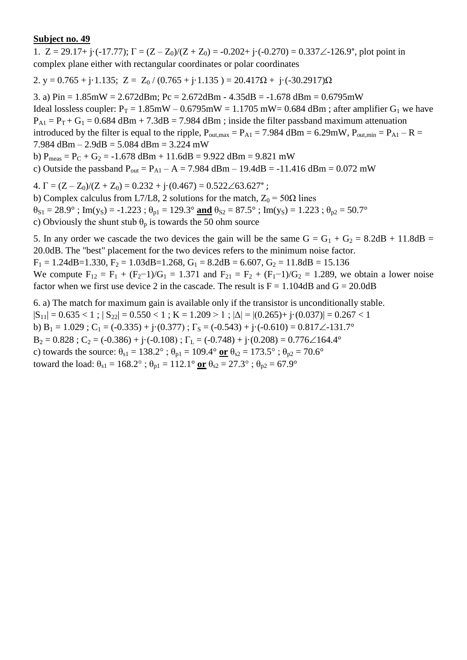1.  $Z = 29.17 + i(-17.77)$ ;  $\Gamma = (Z - Z_0)/(Z + Z_0) = -0.202 + i(-0.270) = 0.337\angle 126.9^\circ$ , plot point in complex plane either with rectangular coordinates or polar coordinates

2. y = 0.765 + j·1.135; Z = Z<sub>0</sub> / (0.765 + j·1.135) = 20.417 $\Omega$  + j·(-30.2917) $\Omega$ 

3. a) Pin = 1.85mW = 2.672dBm; Pc = 2.672dBm - 4.35dB = -1.678 dBm = 0.6795mW Ideal lossless coupler:  $P_T = 1.85$ mW – 0.6795mW = 1.1705 mW = 0.684 dBm; after amplifier G<sub>1</sub> we have  $P_{A1} = P_T + G_1 = 0.684$  dBm + 7.3dB = 7.984 dBm ; inside the filter passband maximum attenuation introduced by the filter is equal to the ripple,  $P_{\text{out,max}} = P_{\text{A1}} = 7.984 \text{ dBm} = 6.29 \text{mW}$ ,  $P_{\text{out,min}} = P_{\text{A1}} - R =$ 7.984 dBm – 2.9dB = 5.084 dBm = 3.224 mW b)  $P_{meas} = P_C + G_2 = -1.678$  dBm + 11.6dB = 9.922 dBm = 9.821 mW c) Outside the passband  $P_{out} = P_{A1} - A = 7.984$  dBm  $- 19.4$ dB = -11.416 dBm = 0.072 mW

4.  $\Gamma = (Z - Z_0)/(Z + Z_0) = 0.232 + i \cdot (0.467) = 0.522 \angle 63.627$ °;

b) Complex calculus from L7/L8, 2 solutions for the match,  $Z_0 = 50\Omega$  lines  $\theta_{S1} = 28.9^\circ$ ; Im(y<sub>S</sub>) = -1.223;  $\theta_{p1} = 129.3^\circ$  and  $\theta_{S2} = 87.5^\circ$ ; Im(y<sub>S</sub>) = 1.223;  $\theta_{p2} = 50.7^\circ$ c) Obviously the shunt stub  $\theta_p$  is towards the 50 ohm source

5. In any order we cascade the two devices the gain will be the same  $G = G_1 + G_2 = 8.2dB + 11.8dB =$ 20.0dB. The "best" placement for the two devices refers to the minimum noise factor.  $F_1 = 1.24$ dB=1.330,  $F_2 = 1.03$ dB=1.268,  $G_1 = 8.2$ dB = 6.607,  $G_2 = 11.8$ dB = 15.136

We compute  $F_{12} = F_1 + (F_2 - 1)/G_1 = 1.371$  and  $F_{21} = F_2 + (F_1 - 1)/G_2 = 1.289$ , we obtain a lower noise factor when we first use device 2 in the cascade. The result is  $F = 1.104 dB$  and  $G = 20.0dB$ 

6. a) The match for maximum gain is available only if the transistor is unconditionally stable.  $|S_{11}| = 0.635 < 1$ ;  $|S_{22}| = 0.550 < 1$ ;  $K = 1.209 > 1$ ;  $|\Delta| = |(0.265) + j(0.037)| = 0.267 < 1$ b) B<sub>1</sub> = 1.029 ; C<sub>1</sub> = (-0.335) + j·(0.377) ;  $\Gamma$ <sub>S</sub> = (-0.543) + j·(-0.610) = 0.817 $\angle$ -131.7°  $B_2 = 0.828$ ;  $C_2 = (-0.386) + i(-0.108)$ ;  $\Gamma_L = (-0.748) + i(0.208) = 0.776\angle{164.4^{\circ}}$ c) towards the source:  $\theta_{s1} = 138.2^\circ$ ;  $\theta_{p1} = 109.4^\circ$  or  $\theta_{s2} = 173.5^\circ$ ;  $\theta_{p2} = 70.6^\circ$ toward the load:  $\theta_{s1} = 168.2^{\circ}$ ;  $\theta_{p1} = 112.1^{\circ}$  or  $\theta_{s2} = 27.3^{\circ}$ ;  $\theta_{p2} = 67.9^{\circ}$